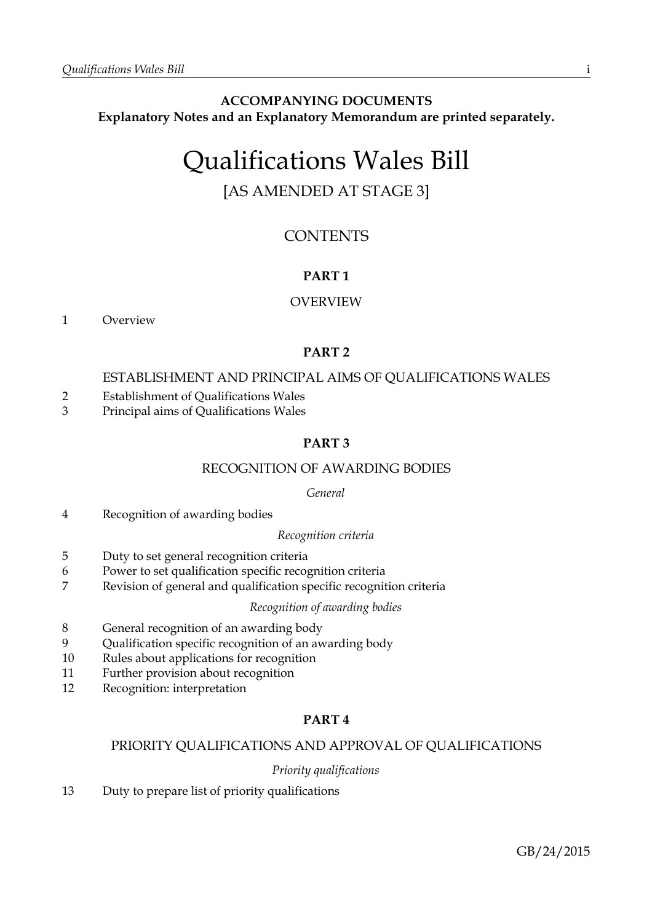# **ACCOMPANYING DOCUMENTS Explanatory Notes and an Explanatory Memorandum are printed separately.**

# Qualifications Wales Bill

# [AS AMENDED AT STAGE 3]

# **CONTENTS**

# **PART 1**

# OVERVIEW

1 Overview

# **PART 2**

# ESTABLISHMENT AND PRINCIPAL AIMS OF QUALIFICATIONS WALES

- 2 Establishment of Qualifications Wales
- 3 Principal aims of Qualifications Wales

# **PART 3**

# RECOGNITION OF AWARDING BODIES

### *General*

4 Recognition of awarding bodies

### *Recognition criteria*

- 5 Duty to set general recognition criteria
- 6 Power to set qualification specific recognition criteria
- 7 Revision of general and qualification specific recognition criteria

### *Recognition of awarding bodies*

- 8 General recognition of an awarding body
- 9 Qualification specific recognition of an awarding body
- 10 Rules about applications for recognition
- 11 Further provision about recognition
- 12 Recognition: interpretation

# **PART 4**

# PRIORITY QUALIFICATIONS AND APPROVAL OF QUALIFICATIONS

# *Priority qualifications*

13 Duty to prepare list of priority qualifications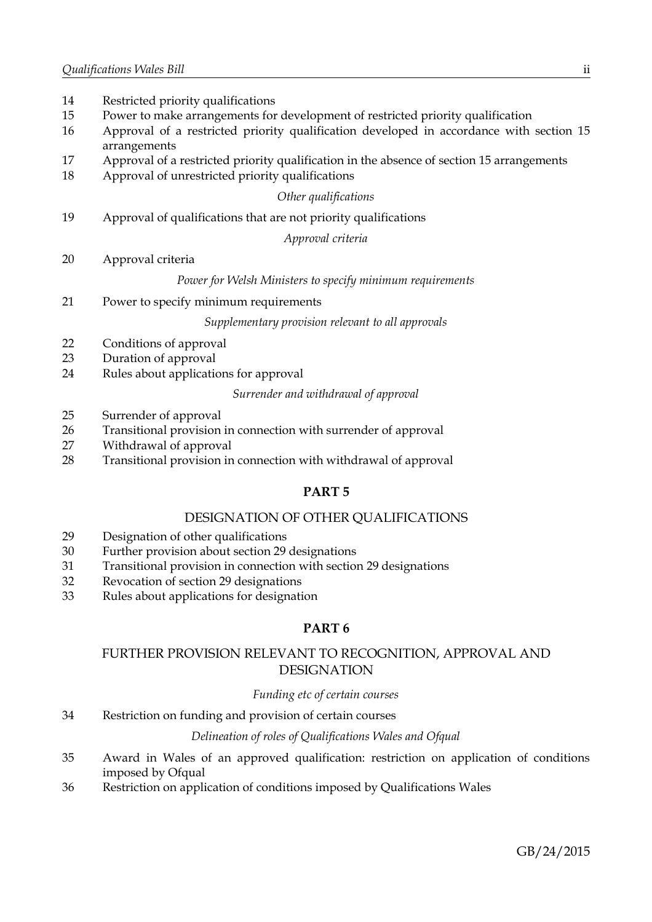| 14<br>15 | Restricted priority qualifications<br>Power to make arrangements for development of restricted priority qualification |
|----------|-----------------------------------------------------------------------------------------------------------------------|
| 16       | Approval of a restricted priority qualification developed in accordance with section 15<br>arrangements               |
| 17       | Approval of a restricted priority qualification in the absence of section 15 arrangements                             |
| 18       | Approval of unrestricted priority qualifications                                                                      |
|          | Other qualifications                                                                                                  |
| 19       | Approval of qualifications that are not priority qualifications                                                       |
|          | Approval criteria                                                                                                     |
| 20       | Approval criteria                                                                                                     |
|          | Power for Welsh Ministers to specify minimum requirements                                                             |
| 21       | Power to specify minimum requirements                                                                                 |
|          | Supplementary provision relevant to all approvals                                                                     |
| 22       | Conditions of approval                                                                                                |
| 23       | Duration of approval                                                                                                  |
| 24       | Rules about applications for approval                                                                                 |
|          | Surrender and withdrawal of approval                                                                                  |

25 Surrender of approval

- 26 Transitional provision in connection with surrender of approval
- 27 Withdrawal of approval
- 28 Transitional provision in connection with withdrawal of approval

# **PART 5**

# DESIGNATION OF OTHER QUALIFICATIONS

- 29 Designation of other qualifications
- 30 Further provision about section 29 designations
- 31 Transitional provision in connection with section 29 designations
- 32 Revocation of section 29 designations
- 33 Rules about applications for designation

# **PART 6**

# FURTHER PROVISION RELEVANT TO RECOGNITION, APPROVAL AND DESIGNATION

### *Funding etc of certain courses*

34 Restriction on funding and provision of certain courses

# *Delineation of roles of Qualifications Wales and Ofqual*

- 35 Award in Wales of an approved qualification: restriction on application of conditions imposed by Ofqual
- 36 Restriction on application of conditions imposed by Qualifications Wales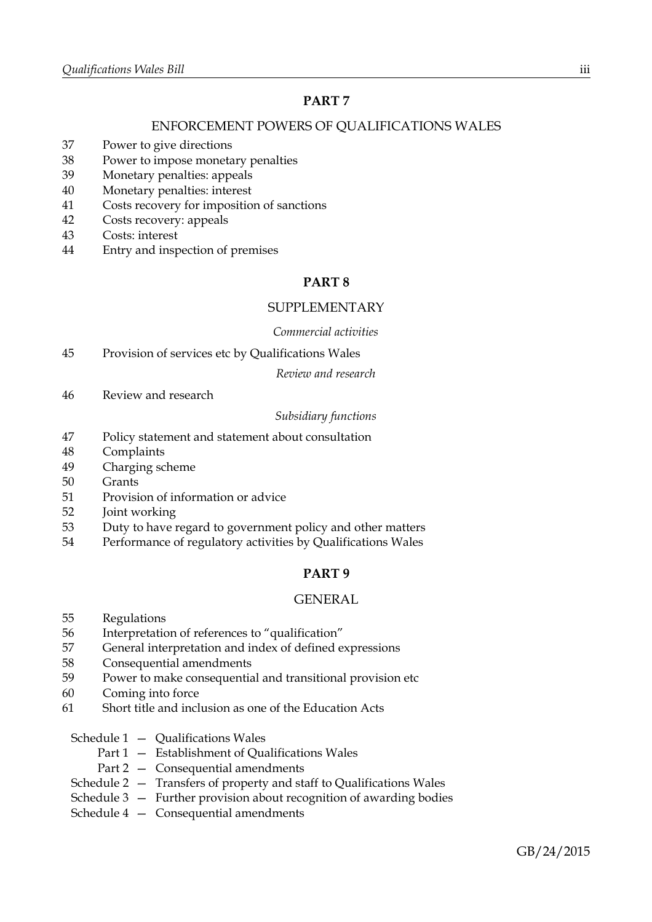# **PART 7**

# ENFORCEMENT POWERS OF QUALIFICATIONS WALES

- 37 Power to give directions
- 38 Power to impose monetary penalties
- 39 Monetary penalties: appeals
- 40 Monetary penalties: interest
- 41 Costs recovery for imposition of sanctions
- 42 Costs recovery: appeals
- 43 Costs: interest
- 44 Entry and inspection of premises

# **PART 8**

### SUPPLEMENTARY

### *Commercial activities*

45 Provision of services etc by Qualifications Wales

*Review and research*

46 Review and research

### *Subsidiary functions*

- 47 Policy statement and statement about consultation
- 48 Complaints
- 49 Charging scheme
- 50 Grants
- 51 Provision of information or advice
- 52 Joint working
- 53 Duty to have regard to government policy and other matters
- 54 Performance of regulatory activities by Qualifications Wales

## **PART 9**

### GENERAL

- 55 Regulations
- 56 Interpretation of references to "qualification"
- 57 General interpretation and index of defined expressions
- 58 Consequential amendments
- 59 Power to make consequential and transitional provision etc
- 60 Coming into force
- 61 Short title and inclusion as one of the Education Acts
	- Schedule 1 Qualifications Wales
		- Part 1 Establishment of Qualifications Wales
		- Part 2 Consequential amendments
	- Schedule 2 Transfers of property and staff to Qualifications Wales
	- Schedule 3 Further provision about recognition of awarding bodies
	- Schedule 4 Consequential amendments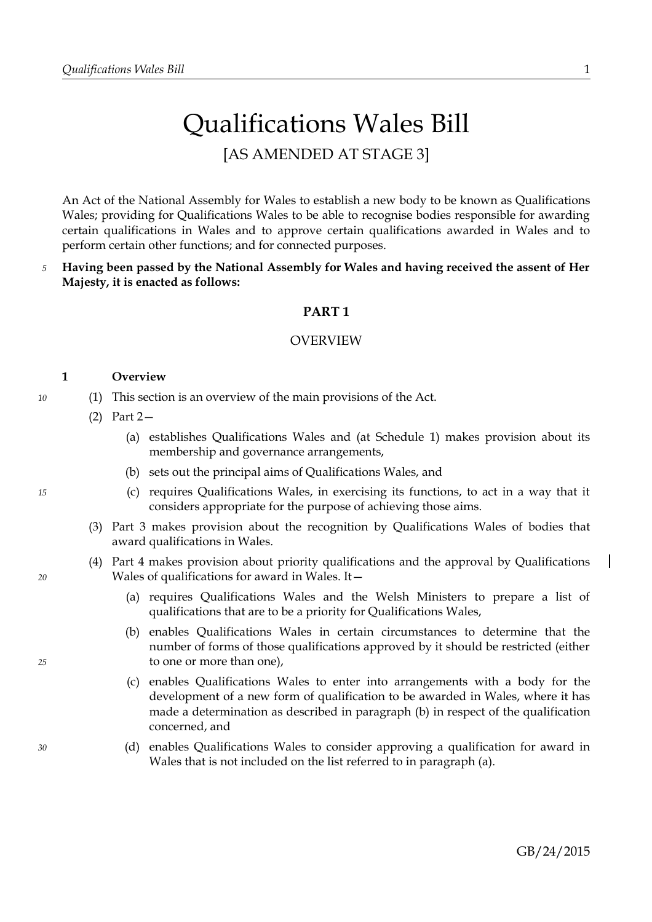# Qualifications Wales Bill [AS AMENDED AT STAGE 3]

An Act of the National Assembly for Wales to establish a new body to be known as Qualifications Wales; providing for Qualifications Wales to be able to recognise bodies responsible for awarding certain qualifications in Wales and to approve certain qualifications awarded in Wales and to perform certain other functions; and for connected purposes.

**Having been passed by the National Assembly for Wales and having received the assent of Her Majesty, it is enacted as follows:** *5*

### **PART 1**

### OVERVIEW

### <span id="page-4-2"></span>**1 Overview**

- (1) This section is an overview of the main provisions of the Act.
	- (2) Part [2—](#page-5-0)
		- (a) establishes Qualifications Wales and (at Schedule [1\)](#page-37-0) makes provision about its membership and governance arrangements,
		- (b) sets out the principal aims of Qualifications Wales, and
		- (c) requires Qualifications Wales, in exercising its functions, to act in a way that it considers appropriate for the purpose of achieving those aims.
	- (3) Part [3](#page-7-0) makes provision about the recognition by Qualifications Wales of bodies that award qualifications in Wales.
	- (4) Part [4](#page-10-0) makes provision about priority qualifications and the approval by Qualifications Wales of qualifications for award in Wales. It—
		- (a) requires Qualifications Wales and the Welsh Ministers to prepare a list of qualifications that are to be a priority for Qualifications Wales,
		- (b) enables Qualifications Wales in certain circumstances to determine that the number of forms of those qualifications approved by it should be restricted (either to one or more than one),
		- (c) enables Qualifications Wales to enter into arrangements with a body for the development of a new form of qualification to be awarded in Wales, where it has made a determination as described in paragraph [\(b\)](#page-4-1) in respect of the qualification concerned, and
		- (d) enables Qualifications Wales to consider approving a qualification for award in Wales that is not included on the list referred to in paragraph [\(a\).](#page-4-0)

*15*

*10*

<span id="page-4-0"></span>*20*

<span id="page-4-1"></span>*25*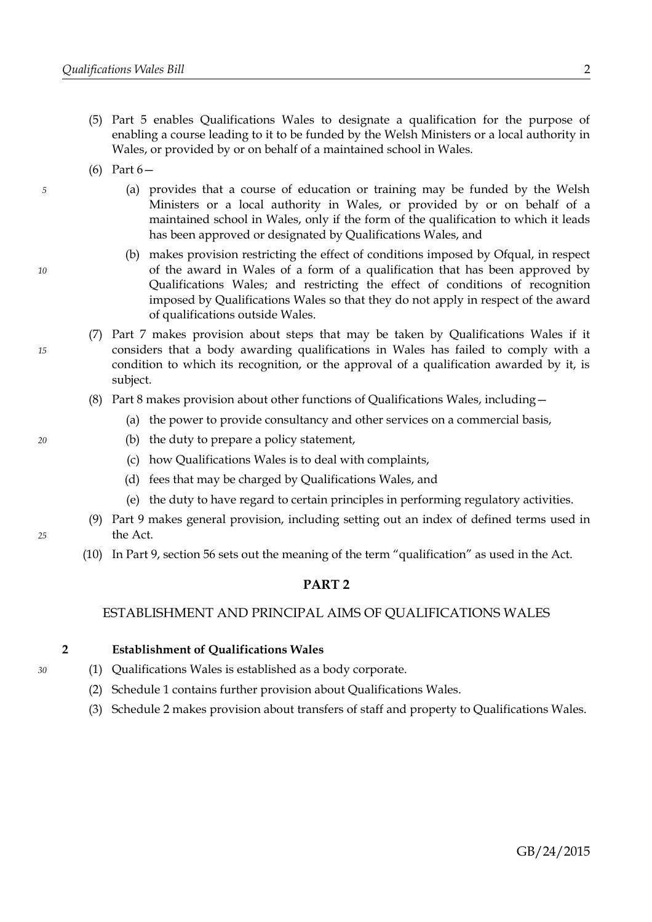- (5) Part [5](#page-18-0) enables Qualifications Wales to designate a qualification for the purpose of enabling a course leading to it to be funded by the Welsh Ministers or a local authority in Wales, or provided by or on behalf of a maintained school in Wales.
- (6) Part [6—](#page-21-0)

*5*

*10*

*15*

*20*

- (a) provides that a course of education or training may be funded by the Welsh Ministers or a local authority in Wales, or provided by or on behalf of a maintained school in Wales, only if the form of the qualification to which it leads has been approved or designated by Qualifications Wales, and
- (b) makes provision restricting the effect of conditions imposed by Ofqual, in respect of the award in Wales of a form of a qualification that has been approved by Qualifications Wales; and restricting the effect of conditions of recognition imposed by Qualifications Wales so that they do not apply in respect of the award of qualifications outside Wales.
- (7) Part [7](#page-23-0) makes provision about steps that may be taken by Qualifications Wales if it considers that a body awarding qualifications in Wales has failed to comply with a condition to which its recognition, or the approval of a qualification awarded by it, is subject.
- (8) Part [8](#page-29-0) makes provision about other functions of Qualifications Wales, including—
	- (a) the power to provide consultancy and other services on a commercial basis,
	- (b) the duty to prepare a policy statement,
	- (c) how Qualifications Wales is to deal with complaints,
	- (d) fees that may be charged by Qualifications Wales, and
	- (e) the duty to have regard to certain principles in performing regulatory activities.
- (9) Part [9](#page-33-1) makes general provision, including setting out an index of defined terms used in the Act.
- (10) In Part [9,](#page-33-1) section [56](#page-33-0) sets out the meaning of the term "qualification" as used in the Act.

### <span id="page-5-0"></span>**PART 2**

### ESTABLISHMENT AND PRINCIPAL AIMS OF QUALIFICATIONS WALES

### <span id="page-5-2"></span>**2 Establishment of Qualifications Wales**

- <span id="page-5-3"></span>(1) Qualifications Wales is established as a body corporate.
- (2) Schedule [1](#page-37-0) contains further provision about Qualifications Wales.
- <span id="page-5-1"></span>(3) Schedule [2](#page-44-0) makes provision about transfers of staff and property to Qualifications Wales.

*30*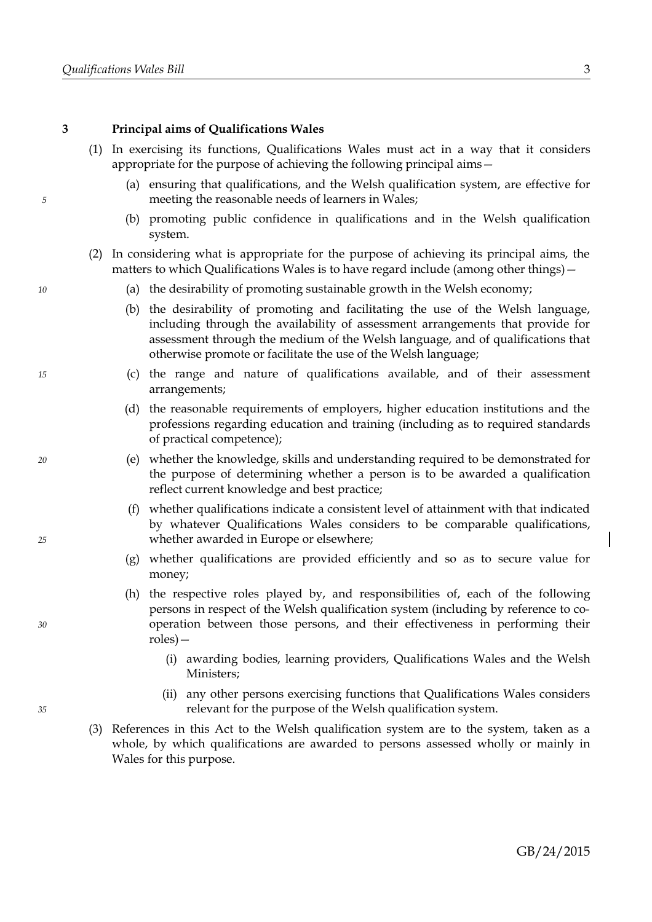*5*

*10*

*15*

*20*

*25*

*30*

*35*

### <span id="page-6-1"></span>**3 Principal aims of Qualifications Wales**

- <span id="page-6-0"></span>(1) In exercising its functions, Qualifications Wales must act in a way that it considers appropriate for the purpose of achieving the following principal aims—
	- (a) ensuring that qualifications, and the Welsh qualification system, are effective for meeting the reasonable needs of learners in Wales;
	- (b) promoting public confidence in qualifications and in the Welsh qualification system.
- (2) In considering what is appropriate for the purpose of achieving its principal aims, the matters to which Qualifications Wales is to have regard include (among other things)—
	- (a) the desirability of promoting sustainable growth in the Welsh economy;
	- (b) the desirability of promoting and facilitating the use of the Welsh language, including through the availability of assessment arrangements that provide for assessment through the medium of the Welsh language, and of qualifications that otherwise promote or facilitate the use of the Welsh language;
	- (c) the range and nature of qualifications available, and of their assessment arrangements;
	- (d) the reasonable requirements of employers, higher education institutions and the professions regarding education and training (including as to required standards of practical competence);
	- (e) whether the knowledge, skills and understanding required to be demonstrated for the purpose of determining whether a person is to be awarded a qualification reflect current knowledge and best practice;
	- (f) whether qualifications indicate a consistent level of attainment with that indicated by whatever Qualifications Wales considers to be comparable qualifications, whether awarded in Europe or elsewhere;
	- (g) whether qualifications are provided efficiently and so as to secure value for money;
	- (h) the respective roles played by, and responsibilities of, each of the following persons in respect of the Welsh qualification system (including by reference to cooperation between those persons, and their effectiveness in performing their roles)—
		- (i) awarding bodies, learning providers, Qualifications Wales and the Welsh Ministers;
		- (ii) any other persons exercising functions that Qualifications Wales considers relevant for the purpose of the Welsh qualification system.
- <span id="page-6-2"></span>(3) References in this Act to the Welsh qualification system are to the system, taken as a whole, by which qualifications are awarded to persons assessed wholly or mainly in Wales for this purpose.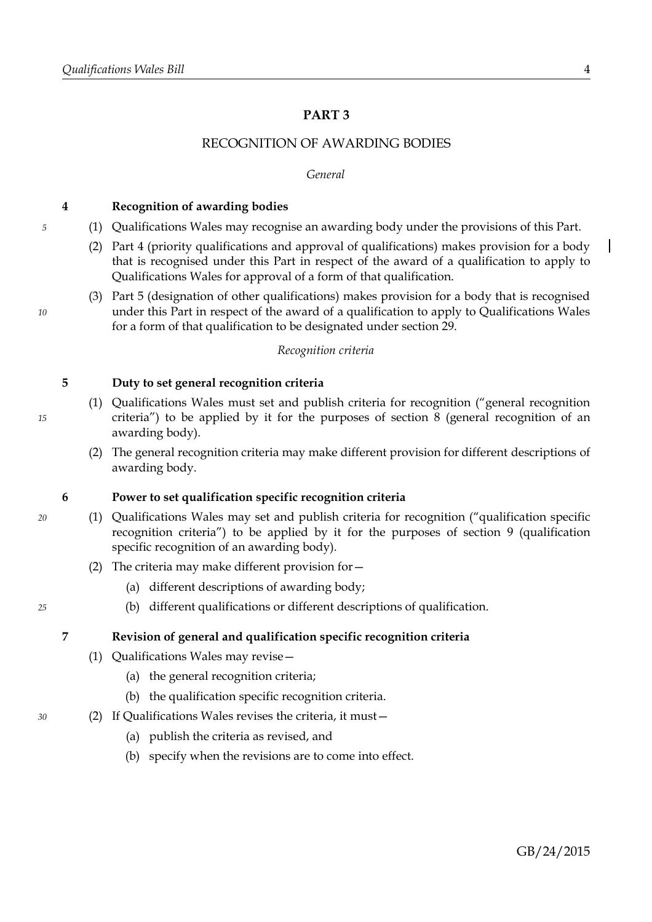# <span id="page-7-0"></span>**PART 3**

# RECOGNITION OF AWARDING BODIES

### *General*

### **4 Recognition of awarding bodies**

- (1) Qualifications Wales may recognise an awarding body under the provisions of this Part.
	- (2) Part [4](#page-10-0) (priority qualifications and approval of qualifications) makes provision for a body that is recognised under this Part in respect of the award of a qualification to apply to Qualifications Wales for approval of a form of that qualification.
	- (3) Part [5](#page-18-0) (designation of other qualifications) makes provision for a body that is recognised under this Part in respect of the award of a qualification to apply to Qualifications Wales for a form of that qualification to be designated under section [29.](#page-18-1)

### *Recognition criteria*

### <span id="page-7-1"></span>**5 Duty to set general recognition criteria**

- <span id="page-7-6"></span>(1) Qualifications Wales must set and publish criteria for recognition ("general recognition criteria") to be applied by it for the purposes of section [8](#page-8-0) (general recognition of an awarding body).
- (2) The general recognition criteria may make different provision for different descriptions of awarding body.

### <span id="page-7-4"></span>**6 Power to set qualification specific recognition criteria**

- <span id="page-7-5"></span>(1) Qualifications Wales may set and publish criteria for recognition ("qualification specific recognition criteria") to be applied by it for the purposes of section [9](#page-9-0) (qualification specific recognition of an awarding body).
	- (2) The criteria may make different provision for—
		- (a) different descriptions of awarding body;
		- (b) different qualifications or different descriptions of qualification.

### **7 Revision of general and qualification specific recognition criteria**

- (1) Qualifications Wales may revise—
	- (a) the general recognition criteria;
	- (b) the qualification specific recognition criteria.
- <span id="page-7-3"></span><span id="page-7-2"></span>(2) If Qualifications Wales revises the criteria, it must—
	- (a) publish the criteria as revised, and
	- (b) specify when the revisions are to come into effect.

*10*

*5*

### *15*

*20*

*25*

*30*

 $\mathbf l$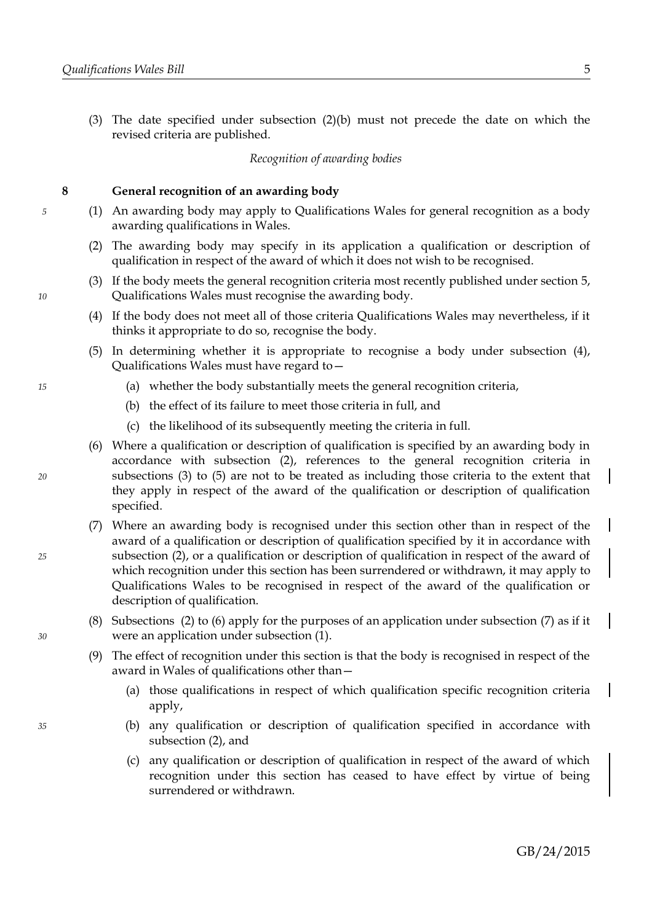(3) The date specified under subsection [\(2\)](#page-7-3)[\(b\)](#page-7-2) must not precede the date on which the revised criteria are published.

*Recognition of awarding bodies*

### <span id="page-8-0"></span>**8 General recognition of an awarding body**

- <span id="page-8-2"></span>(1) An awarding body may apply to Qualifications Wales for general recognition as a body awarding qualifications in Wales.
- <span id="page-8-1"></span>(2) The awarding body may specify in its application a qualification or description of qualification in respect of the award of which it does not wish to be recognised.
- <span id="page-8-6"></span>(3) If the body meets the general recognition criteria most recently published under section [5,](#page-7-1) Qualifications Wales must recognise the awarding body.
- <span id="page-8-7"></span>(4) If the body does not meet all of those criteria Qualifications Wales may nevertheless, if it thinks it appropriate to do so, recognise the body.
- <span id="page-8-5"></span>(5) In determining whether it is appropriate to recognise a body under subsection [\(4\),](#page-8-7) Qualifications Wales must have regard to—
	- (a) whether the body substantially meets the general recognition criteria,
	- (b) the effect of its failure to meet those criteria in full, and
	- (c) the likelihood of its subsequently meeting the criteria in full.
- <span id="page-8-4"></span>(6) Where a qualification or description of qualification is specified by an awarding body in accordance with subsection [\(2\),](#page-8-1) references to the general recognition criteria in subsections [\(3\)](#page-8-6) to [\(5\)](#page-8-5) are not to be treated as including those criteria to the extent that they apply in respect of the award of the qualification or description of qualification specified.
- <span id="page-8-3"></span>(7) Where an awarding body is recognised under this section other than in respect of the award of a qualification or description of qualification specified by it in accordance with subsection [\(2\),](#page-8-1) or a qualification or description of qualification in respect of the award of which recognition under this section has been surrendered or withdrawn, it may apply to Qualifications Wales to be recognised in respect of the award of the qualification or description of qualification.
- (8) Subsections [\(2\)](#page-8-1) to [\(6\)](#page-8-4) apply for the purposes of an application under subsection [\(7\)](#page-8-3) as if it were an application under subsection [\(1\).](#page-8-2)
- (9) The effect of recognition under this section is that the body is recognised in respect of the award in Wales of qualifications other than—
	- (a) those qualifications in respect of which qualification specific recognition criteria apply,
	- (b) any qualification or description of qualification specified in accordance with subsection [\(2\),](#page-8-1) and
	- (c) any qualification or description of qualification in respect of the award of which recognition under this section has ceased to have effect by virtue of being surrendered or withdrawn.

*10*

*5*

*20*

*15*

*25*

*30*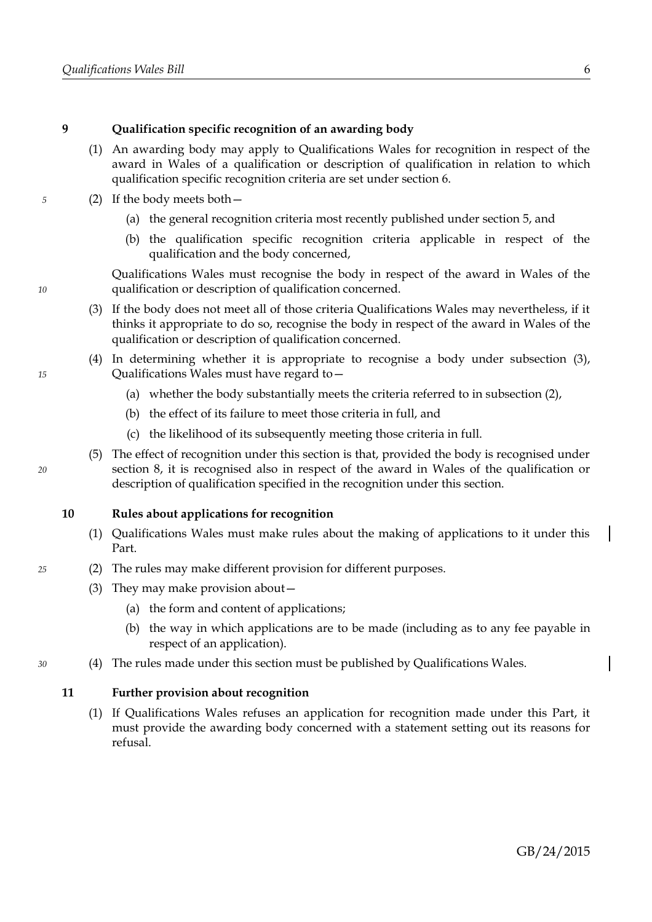*5*

*10*

*15*

*20*

*25*

*30*

### <span id="page-9-0"></span>**9 Qualification specific recognition of an awarding body**

- (1) An awarding body may apply to Qualifications Wales for recognition in respect of the award in Wales of a qualification or description of qualification in relation to which qualification specific recognition criteria are set under section [6.](#page-7-4)
- <span id="page-9-1"></span>(2) If the body meets both—
	- (a) the general recognition criteria most recently published under section [5,](#page-7-1) and
	- (b) the qualification specific recognition criteria applicable in respect of the qualification and the body concerned,

Qualifications Wales must recognise the body in respect of the award in Wales of the qualification or description of qualification concerned.

- <span id="page-9-2"></span>(3) If the body does not meet all of those criteria Qualifications Wales may nevertheless, if it thinks it appropriate to do so, recognise the body in respect of the award in Wales of the qualification or description of qualification concerned.
- (4) In determining whether it is appropriate to recognise a body under subsection [\(3\),](#page-9-2) Qualifications Wales must have regard to—
	- (a) whether the body substantially meets the criteria referred to in subsection [\(2\),](#page-9-1)
	- (b) the effect of its failure to meet those criteria in full, and
	- (c) the likelihood of its subsequently meeting those criteria in full.
- (5) The effect of recognition under this section is that, provided the body is recognised under section [8,](#page-8-0) it is recognised also in respect of the award in Wales of the qualification or description of qualification specified in the recognition under this section.

### **10 Rules about applications for recognition**

- (1) Qualifications Wales must make rules about the making of applications to it under this Part.
- (2) The rules may make different provision for different purposes.
	- (3) They may make provision about—
		- (a) the form and content of applications;
		- (b) the way in which applications are to be made (including as to any fee payable in respect of an application).
- (4) The rules made under this section must be published by Qualifications Wales.

### <span id="page-9-3"></span>**11 Further provision about recognition**

(1) If Qualifications Wales refuses an application for recognition made under this Part, it must provide the awarding body concerned with a statement setting out its reasons for refusal.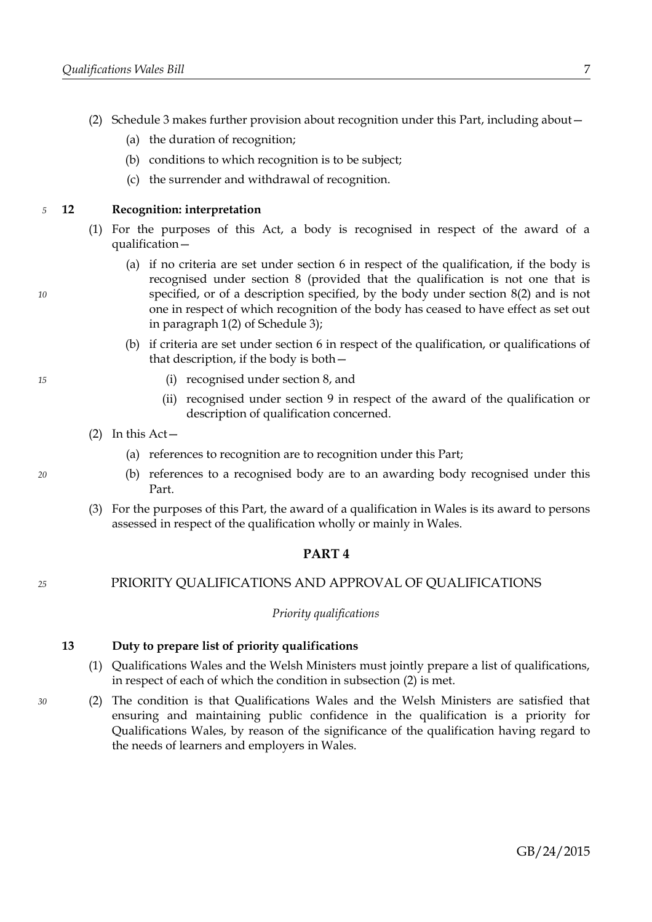- (2) Schedule [3](#page-46-0) makes further provision about recognition under this Part, including about—
	- (a) the duration of recognition;
	- (b) conditions to which recognition is to be subject;
	- (c) the surrender and withdrawal of recognition.

<span id="page-10-3"></span>**12 Recognition: interpretation** *5*

- (1) For the purposes of this Act, a body is recognised in respect of the award of a qualification—
	- (a) if no criteria are set under section [6](#page-7-4) in respect of the qualification, if the body is recognised under section [8](#page-8-0) (provided that the qualification is not one that is specified, or of a description specified, by the body under section [8](#page-8-0)[\(2\)](#page-8-1) and is not one in respect of which recognition of the body has ceased to have effect as set out in paragraph [1](#page-46-2)[\(2\)](#page-46-1) of Schedule [3\)](#page-46-0);
	- (b) if criteria are set under section [6](#page-7-4) in respect of the qualification, or qualifications of that description, if the body is both—
		- (i) recognised under section [8,](#page-8-0) and
		- (ii) recognised under section [9](#page-9-0) in respect of the award of the qualification or description of qualification concerned.
- <span id="page-10-2"></span> $(2)$  In this Act –
	- (a) references to recognition are to recognition under this Part;
	- (b) references to a recognised body are to an awarding body recognised under this Part.
- (3) For the purposes of this Part, the award of a qualification in Wales is its award to persons assessed in respect of the qualification wholly or mainly in Wales.

### <span id="page-10-0"></span>**PART 4**

PRIORITY QUALIFICATIONS AND APPROVAL OF QUALIFICATIONS *25*

### *Priority qualifications*

<span id="page-10-4"></span>**13 Duty to prepare list of priority qualifications**

- (1) Qualifications Wales and the Welsh Ministers must jointly prepare a list of qualifications, in respect of each of which the condition in subsection [\(2\)](#page-10-1) is met.
- <span id="page-10-1"></span>(2) The condition is that Qualifications Wales and the Welsh Ministers are satisfied that ensuring and maintaining public confidence in the qualification is a priority for Qualifications Wales, by reason of the significance of the qualification having regard to the needs of learners and employers in Wales.

*10*

*20*

*30*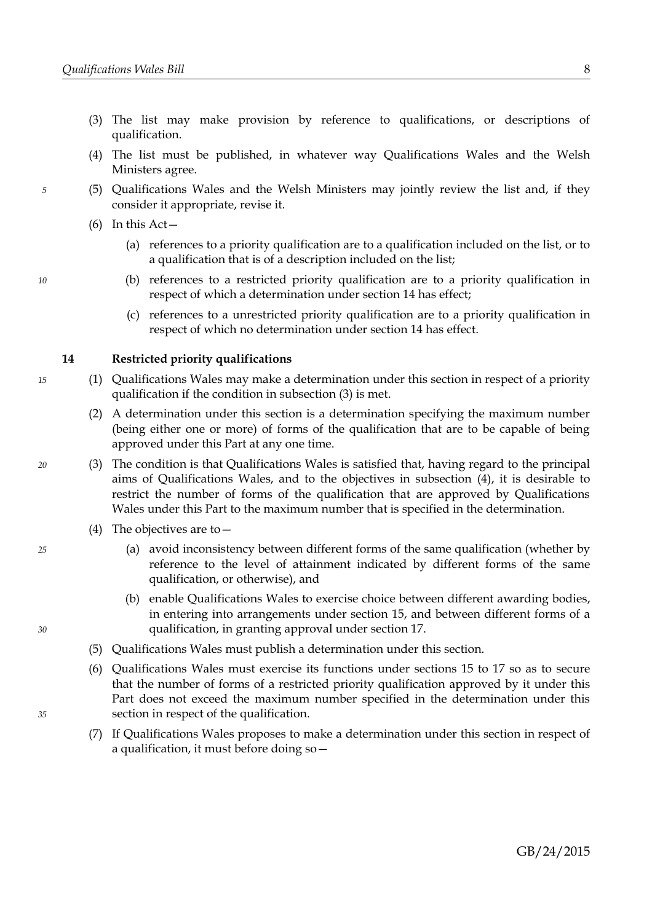- (3) The list may make provision by reference to qualifications, or descriptions of qualification.
- (4) The list must be published, in whatever way Qualifications Wales and the Welsh Ministers agree.
- (5) Qualifications Wales and the Welsh Ministers may jointly review the list and, if they consider it appropriate, revise it.
- <span id="page-11-3"></span> $(6)$  In this Act –
	- (a) references to a priority qualification are to a qualification included on the list, or to a qualification that is of a description included on the list;
	- (b) references to a restricted priority qualification are to a priority qualification in respect of which a determination under section [14](#page-11-2) has effect;
	- (c) references to a unrestricted priority qualification are to a priority qualification in respect of which no determination under section [14](#page-11-2) has effect.

### <span id="page-11-2"></span>**14 Restricted priority qualifications**

- (1) Qualifications Wales may make a determination under this section in respect of a priority qualification if the condition in subsection [\(3\)](#page-11-1) is met.
	- (2) A determination under this section is a determination specifying the maximum number (being either one or more) of forms of the qualification that are to be capable of being approved under this Part at any one time.
- <span id="page-11-1"></span>(3) The condition is that Qualifications Wales is satisfied that, having regard to the principal aims of Qualifications Wales, and to the objectives in subsection [\(4\),](#page-11-0) it is desirable to restrict the number of forms of the qualification that are approved by Qualifications Wales under this Part to the maximum number that is specified in the determination.
	- (4) The objectives are to—
		- (a) avoid inconsistency between different forms of the same qualification (whether by reference to the level of attainment indicated by different forms of the same qualification, or otherwise), and
		- (b) enable Qualifications Wales to exercise choice between different awarding bodies, in entering into arrangements under section [15,](#page-12-0) and between different forms of a qualification, in granting approval under section [17.](#page-13-0)
	- (5) Qualifications Wales must publish a determination under this section.
	- (6) Qualifications Wales must exercise its functions under sections [15](#page-12-0) to [17](#page-13-0) so as to secure that the number of forms of a restricted priority qualification approved by it under this Part does not exceed the maximum number specified in the determination under this section in respect of the qualification.
	- (7) If Qualifications Wales proposes to make a determination under this section in respect of a qualification, it must before doing so—

*10*

*15*

*5*

*20*

<span id="page-11-0"></span>*25*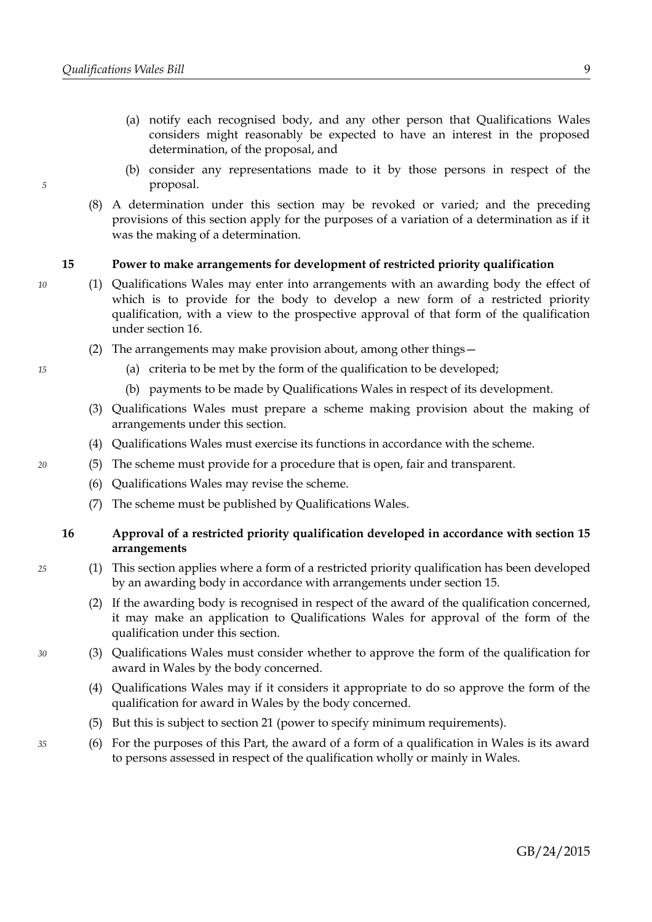- (a) notify each recognised body, and any other person that Qualifications Wales considers might reasonably be expected to have an interest in the proposed determination, of the proposal, and
- (b) consider any representations made to it by those persons in respect of the proposal.
- (8) A determination under this section may be revoked or varied; and the preceding provisions of this section apply for the purposes of a variation of a determination as if it was the making of a determination.

### <span id="page-12-0"></span>**15 Power to make arrangements for development of restricted priority qualification**

- (1) Qualifications Wales may enter into arrangements with an awarding body the effect of which is to provide for the body to develop a new form of a restricted priority qualification, with a view to the prospective approval of that form of the qualification under section [16.](#page-12-1)
	- (2) The arrangements may make provision about, among other things—
		- (a) criteria to be met by the form of the qualification to be developed;
		- (b) payments to be made by Qualifications Wales in respect of its development.
	- (3) Qualifications Wales must prepare a scheme making provision about the making of arrangements under this section.
	- (4) Qualifications Wales must exercise its functions in accordance with the scheme.
	- (5) The scheme must provide for a procedure that is open, fair and transparent.
		- (6) Qualifications Wales may revise the scheme.
		- (7) The scheme must be published by Qualifications Wales.

### <span id="page-12-1"></span>**16 Approval of a restricted priority qualification developed in accordance with section [15](#page-12-0) arrangements**

- (1) This section applies where a form of a restricted priority qualification has been developed by an awarding body in accordance with arrangements under section [15.](#page-12-0)
	- (2) If the awarding body is recognised in respect of the award of the qualification concerned, it may make an application to Qualifications Wales for approval of the form of the qualification under this section.
- (3) Qualifications Wales must consider whether to approve the form of the qualification for award in Wales by the body concerned.
- (4) Qualifications Wales may if it considers it appropriate to do so approve the form of the qualification for award in Wales by the body concerned.
- (5) But this is subject to section [21](#page-14-0) (power to specify minimum requirements).
- (6) For the purposes of this Part, the award of a form of a qualification in Wales is its award to persons assessed in respect of the qualification wholly or mainly in Wales.

*20*

*25*

*30*

*35*

*5*

*10*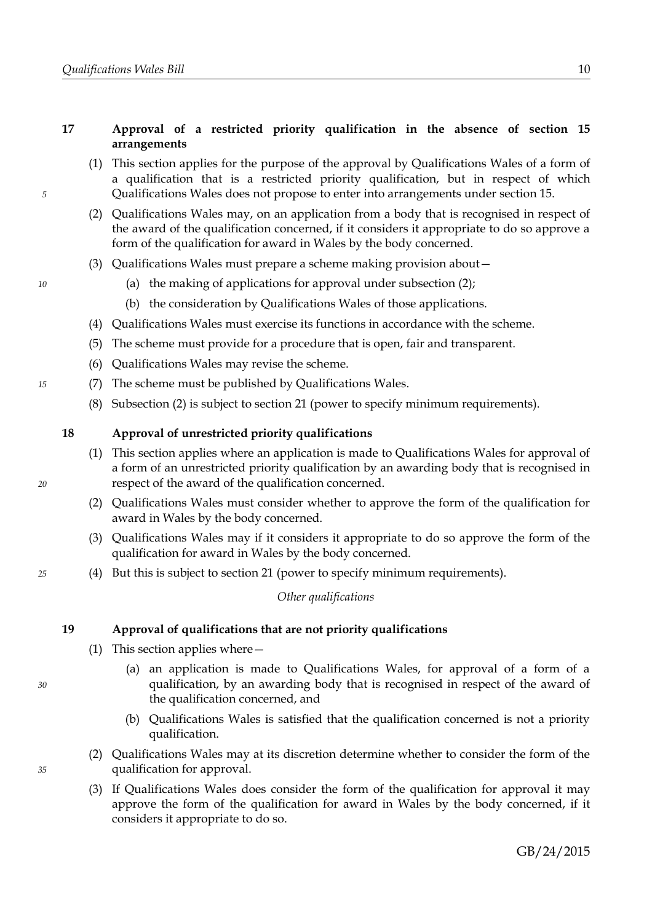### <span id="page-13-0"></span>**17 Approval of a restricted priority qualification in the absence of section [15](#page-12-0) arrangements**

- (1) This section applies for the purpose of the approval by Qualifications Wales of a form of a qualification that is a restricted priority qualification, but in respect of which Qualifications Wales does not propose to enter into arrangements under section [15.](#page-12-0)
- <span id="page-13-1"></span>(2) Qualifications Wales may, on an application from a body that is recognised in respect of the award of the qualification concerned, if it considers it appropriate to do so approve a form of the qualification for award in Wales by the body concerned.
- (3) Qualifications Wales must prepare a scheme making provision about—
	- (a) the making of applications for approval under subsection [\(2\);](#page-13-1)
	- (b) the consideration by Qualifications Wales of those applications.
- (4) Qualifications Wales must exercise its functions in accordance with the scheme.
- (5) The scheme must provide for a procedure that is open, fair and transparent.
- (6) Qualifications Wales may revise the scheme.
- (7) The scheme must be published by Qualifications Wales.
	- (8) Subsection [\(2\)](#page-13-1) is subject to section [21](#page-14-0) (power to specify minimum requirements).

### <span id="page-13-4"></span>**18 Approval of unrestricted priority qualifications**

- (1) This section applies where an application is made to Qualifications Wales for approval of a form of an unrestricted priority qualification by an awarding body that is recognised in respect of the award of the qualification concerned.
- (2) Qualifications Wales must consider whether to approve the form of the qualification for award in Wales by the body concerned.
- (3) Qualifications Wales may if it considers it appropriate to do so approve the form of the qualification for award in Wales by the body concerned.
- (4) But this is subject to section [21](#page-14-0) (power to specify minimum requirements).

### *Other qualifications*

### <span id="page-13-3"></span>**19 Approval of qualifications that are not priority qualifications**

- (1) This section applies where—
	- (a) an application is made to Qualifications Wales, for approval of a form of a qualification, by an awarding body that is recognised in respect of the award of the qualification concerned, and
	- (b) Qualifications Wales is satisfied that the qualification concerned is not a priority qualification.
- <span id="page-13-2"></span>(2) Qualifications Wales may at its discretion determine whether to consider the form of the qualification for approval.
- (3) If Qualifications Wales does consider the form of the qualification for approval it may approve the form of the qualification for award in Wales by the body concerned, if it considers it appropriate to do so.

*25*

*20*

*5*

*10*

*15*

*30*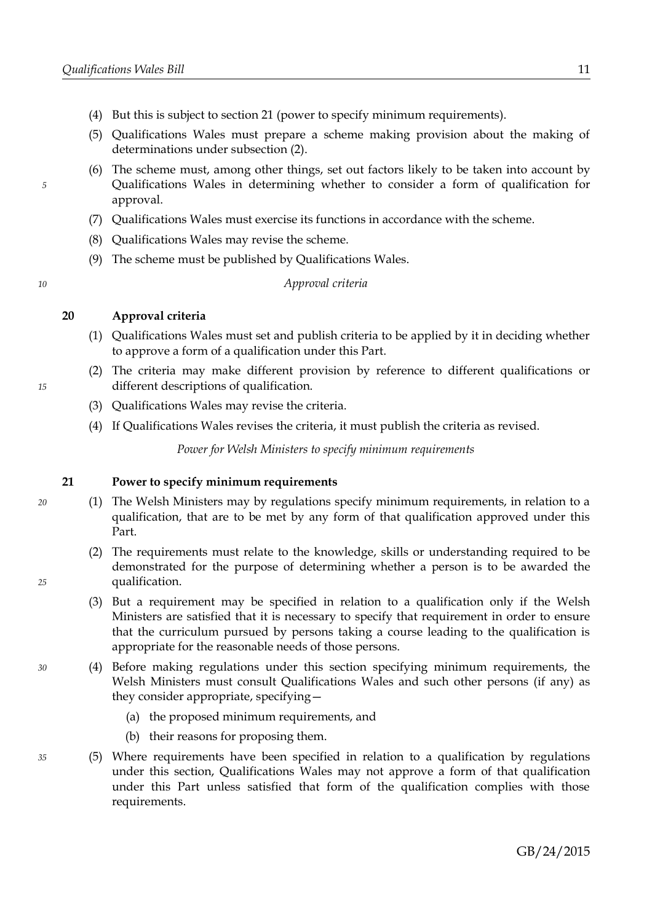- (4) But this is subject to section [21](#page-14-0) (power to specify minimum requirements).
- (5) Qualifications Wales must prepare a scheme making provision about the making of determinations under subsection [\(2\).](#page-13-2)
- (6) The scheme must, among other things, set out factors likely to be taken into account by Qualifications Wales in determining whether to consider a form of qualification for approval.
- (7) Qualifications Wales must exercise its functions in accordance with the scheme.
- (8) Qualifications Wales may revise the scheme.
- (9) The scheme must be published by Qualifications Wales.

*Approval criteria*

### **20 Approval criteria**

- (1) Qualifications Wales must set and publish criteria to be applied by it in deciding whether to approve a form of a qualification under this Part.
- (2) The criteria may make different provision by reference to different qualifications or different descriptions of qualification.
- (3) Qualifications Wales may revise the criteria.
- (4) If Qualifications Wales revises the criteria, it must publish the criteria as revised.

*Power for Welsh Ministers to specify minimum requirements*

### <span id="page-14-0"></span>**21 Power to specify minimum requirements**

- (1) The Welsh Ministers may by regulations specify minimum requirements, in relation to a qualification, that are to be met by any form of that qualification approved under this Part.
- (2) The requirements must relate to the knowledge, skills or understanding required to be demonstrated for the purpose of determining whether a person is to be awarded the qualification.
- (3) But a requirement may be specified in relation to a qualification only if the Welsh Ministers are satisfied that it is necessary to specify that requirement in order to ensure that the curriculum pursued by persons taking a course leading to the qualification is appropriate for the reasonable needs of those persons.
- (4) Before making regulations under this section specifying minimum requirements, the Welsh Ministers must consult Qualifications Wales and such other persons (if any) as they consider appropriate, specifying—
	- (a) the proposed minimum requirements, and
	- (b) their reasons for proposing them.
- (5) Where requirements have been specified in relation to a qualification by regulations under this section, Qualifications Wales may not approve a form of that qualification under this Part unless satisfied that form of the qualification complies with those requirements.

*15*

*20*

*25*

*30*

*35*

*10*

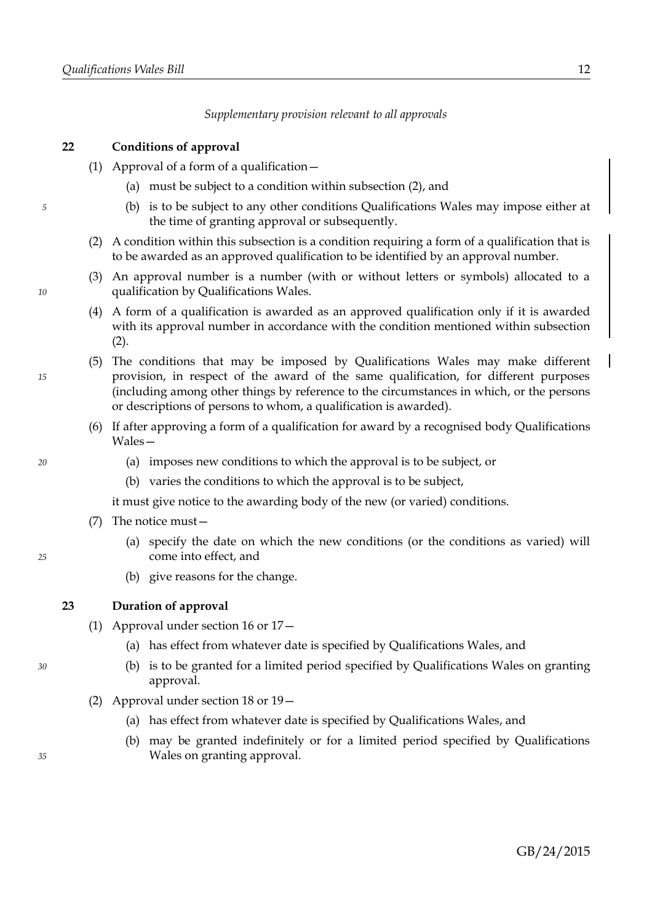*Supplementary provision relevant to all approvals*

### <span id="page-15-3"></span>**22 Conditions of approval**

- (1) Approval of a form of a qualification—
	- (a) must be subject to a condition within subsection [\(2\),](#page-15-0) and
	- (b) is to be subject to any other conditions Qualifications Wales may impose either at the time of granting approval or subsequently.
- <span id="page-15-0"></span>(2) A condition within this subsection is a condition requiring a form of a qualification that is to be awarded as an approved qualification to be identified by an approval number.
- (3) An approval number is a number (with or without letters or symbols) allocated to a qualification by Qualifications Wales.
- <span id="page-15-2"></span>(4) A form of a qualification is awarded as an approved qualification only if it is awarded with its approval number in accordance with the condition mentioned within subsection  $(2).$
- (5) The conditions that may be imposed by Qualifications Wales may make different provision, in respect of the award of the same qualification, for different purposes (including among other things by reference to the circumstances in which, or the persons or descriptions of persons to whom, a qualification is awarded).
- (6) If after approving a form of a qualification for award by a recognised body Qualifications Wales—
	- (a) imposes new conditions to which the approval is to be subject, or
	- (b) varies the conditions to which the approval is to be subject,

it must give notice to the awarding body of the new (or varied) conditions.

- (7) The notice must—
	- (a) specify the date on which the new conditions (or the conditions as varied) will come into effect, and
	- (b) give reasons for the change.

### <span id="page-15-1"></span>**23 Duration of approval**

- (1) Approval under section [16](#page-12-1) or [17—](#page-13-0)
	- (a) has effect from whatever date is specified by Qualifications Wales, and
	- (b) is to be granted for a limited period specified by Qualifications Wales on granting approval.
- (2) Approval under section [18](#page-13-4) or [19—](#page-13-3)
	- (a) has effect from whatever date is specified by Qualifications Wales, and
	- (b) may be granted indefinitely or for a limited period specified by Qualifications Wales on granting approval.

*35*

*30*

*15*

*5*

*10*

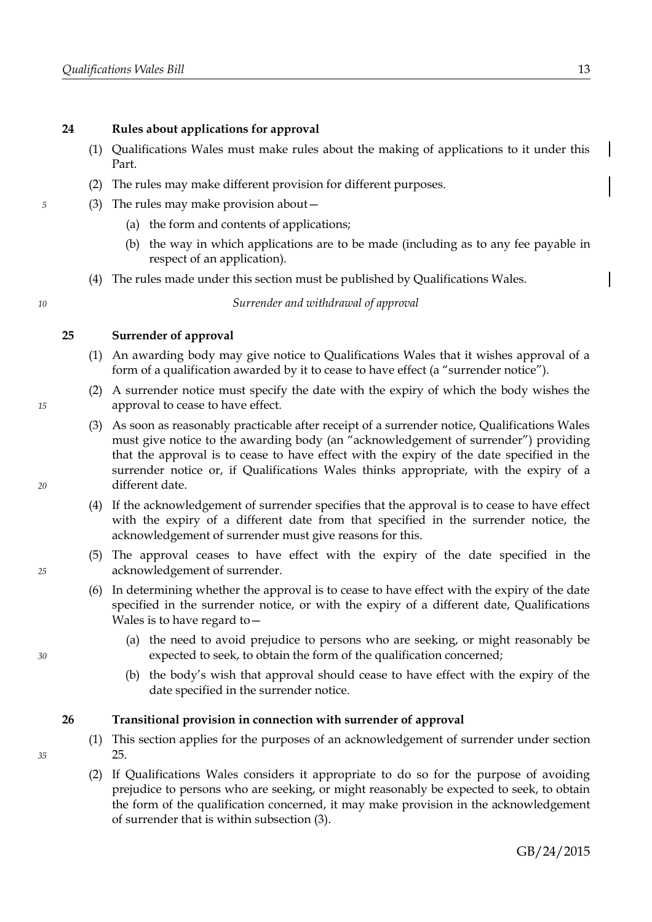### **24 Rules about applications for approval**

- (1) Qualifications Wales must make rules about the making of applications to it under this Part.
- (2) The rules may make different provision for different purposes.
- (3) The rules may make provision about—
	- (a) the form and contents of applications;
	- (b) the way in which applications are to be made (including as to any fee payable in respect of an application).
	- (4) The rules made under this section must be published by Qualifications Wales.

*Surrender and withdrawal of approval*

### <span id="page-16-0"></span>**25 Surrender of approval**

- (1) An awarding body may give notice to Qualifications Wales that it wishes approval of a form of a qualification awarded by it to cease to have effect (a "surrender notice").
- (2) A surrender notice must specify the date with the expiry of which the body wishes the approval to cease to have effect.
- (3) As soon as reasonably practicable after receipt of a surrender notice, Qualifications Wales must give notice to the awarding body (an "acknowledgement of surrender") providing that the approval is to cease to have effect with the expiry of the date specified in the surrender notice or, if Qualifications Wales thinks appropriate, with the expiry of a different date.
- (4) If the acknowledgement of surrender specifies that the approval is to cease to have effect with the expiry of a different date from that specified in the surrender notice, the acknowledgement of surrender must give reasons for this.
- (5) The approval ceases to have effect with the expiry of the date specified in the acknowledgement of surrender.
- (6) In determining whether the approval is to cease to have effect with the expiry of the date specified in the surrender notice, or with the expiry of a different date, Qualifications Wales is to have regard to—
	- (a) the need to avoid prejudice to persons who are seeking, or might reasonably be expected to seek, to obtain the form of the qualification concerned;
	- (b) the body's wish that approval should cease to have effect with the expiry of the date specified in the surrender notice.

### **26 Transitional provision in connection with surrender of approval**

- (1) This section applies for the purposes of an acknowledgement of surrender under section [25.](#page-16-0)
- (2) If Qualifications Wales considers it appropriate to do so for the purpose of avoiding prejudice to persons who are seeking, or might reasonably be expected to seek, to obtain the form of the qualification concerned, it may make provision in the acknowledgement of surrender that is within subsection [\(3\).](#page-17-0)

*20*

*15*

*5*

*10*

*25*

*30*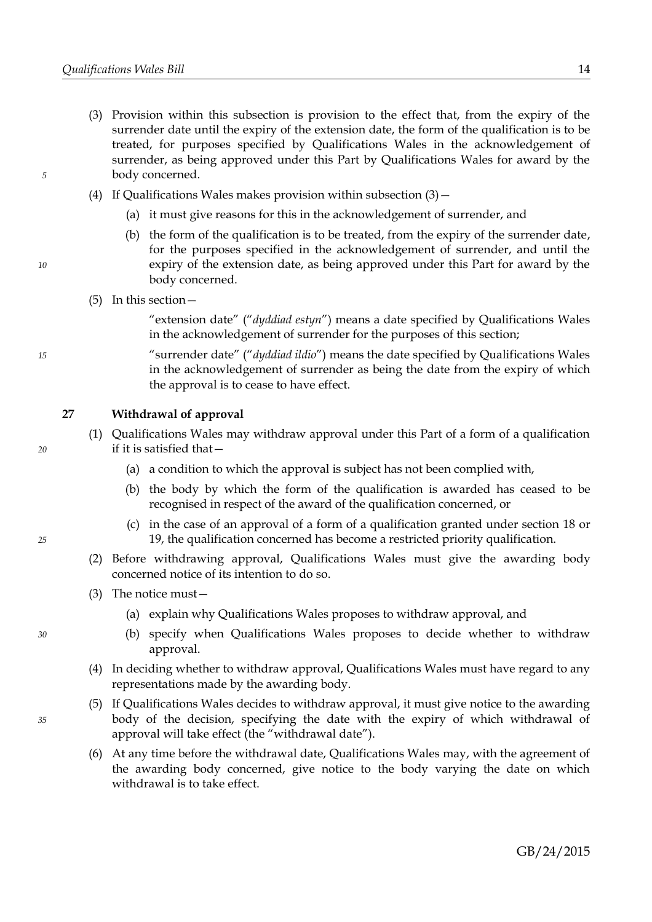- <span id="page-17-0"></span>(3) Provision within this subsection is provision to the effect that, from the expiry of the surrender date until the expiry of the extension date, the form of the qualification is to be treated, for purposes specified by Qualifications Wales in the acknowledgement of surrender, as being approved under this Part by Qualifications Wales for award by the body concerned.
- (4) If Qualifications Wales makes provision within subsection  $(3)$  -
	- (a) it must give reasons for this in the acknowledgement of surrender, and
	- (b) the form of the qualification is to be treated, from the expiry of the surrender date, for the purposes specified in the acknowledgement of surrender, and until the expiry of the extension date, as being approved under this Part for award by the body concerned.
- (5) In this section—

"extension date" ("*dyddiad estyn*") means a date specified by Qualifications Wales in the acknowledgement of surrender for the purposes of this section;

"surrender date" ("*dyddiad ildio*") means the date specified by Qualifications Wales in the acknowledgement of surrender as being the date from the expiry of which the approval is to cease to have effect.

### <span id="page-17-2"></span>**27 Withdrawal of approval**

- (1) Qualifications Wales may withdraw approval under this Part of a form of a qualification if it is satisfied that—
	- (a) a condition to which the approval is subject has not been complied with,
	- (b) the body by which the form of the qualification is awarded has ceased to be recognised in respect of the award of the qualification concerned, or
	- (c) in the case of an approval of a form of a qualification granted under section [18](#page-13-4) or [19,](#page-13-3) the qualification concerned has become a restricted priority qualification.
- (2) Before withdrawing approval, Qualifications Wales must give the awarding body concerned notice of its intention to do so.
- (3) The notice must—
	- (a) explain why Qualifications Wales proposes to withdraw approval, and
	- (b) specify when Qualifications Wales proposes to decide whether to withdraw approval.
- (4) In deciding whether to withdraw approval, Qualifications Wales must have regard to any representations made by the awarding body.
- <span id="page-17-1"></span>(5) If Qualifications Wales decides to withdraw approval, it must give notice to the awarding body of the decision, specifying the date with the expiry of which withdrawal of approval will take effect (the "withdrawal date").
- <span id="page-17-3"></span>(6) At any time before the withdrawal date, Qualifications Wales may, with the agreement of the awarding body concerned, give notice to the body varying the date on which withdrawal is to take effect.

*35*

*30*

*15*

*20*

*25*

*5*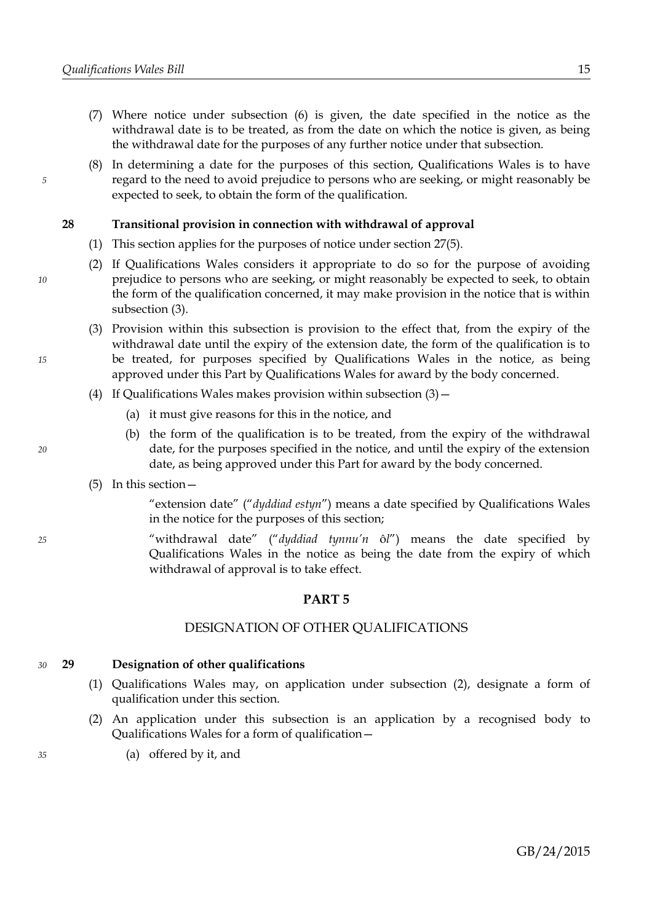- (7) Where notice under subsection [\(6\)](#page-17-3) is given, the date specified in the notice as the withdrawal date is to be treated, as from the date on which the notice is given, as being the withdrawal date for the purposes of any further notice under that subsection.
- (8) In determining a date for the purposes of this section, Qualifications Wales is to have regard to the need to avoid prejudice to persons who are seeking, or might reasonably be expected to seek, to obtain the form of the qualification.

### **28 Transitional provision in connection with withdrawal of approval**

- (1) This section applies for the purposes of notice under section [27](#page-17-2)[\(5\).](#page-17-1)
- (2) If Qualifications Wales considers it appropriate to do so for the purpose of avoiding prejudice to persons who are seeking, or might reasonably be expected to seek, to obtain the form of the qualification concerned, it may make provision in the notice that is within subsection [\(3\).](#page-18-3)
- <span id="page-18-3"></span>(3) Provision within this subsection is provision to the effect that, from the expiry of the withdrawal date until the expiry of the extension date, the form of the qualification is to be treated, for purposes specified by Qualifications Wales in the notice, as being approved under this Part by Qualifications Wales for award by the body concerned.
- (4) If Qualifications Wales makes provision within subsection  $(3)$ 
	- (a) it must give reasons for this in the notice, and
	- (b) the form of the qualification is to be treated, from the expiry of the withdrawal date, for the purposes specified in the notice, and until the expiry of the extension date, as being approved under this Part for award by the body concerned.
- (5) In this section—

"extension date" ("*dyddiad estyn*") means a date specified by Qualifications Wales in the notice for the purposes of this section;

"withdrawal date" ("*dyddiad tynnu'n* ô*l*") means the date specified by Qualifications Wales in the notice as being the date from the expiry of which withdrawal of approval is to take effect.

### <span id="page-18-0"></span>**PART 5**

### DESIGNATION OF OTHER QUALIFICATIONS

#### <span id="page-18-1"></span>**29 Designation of other qualifications** *30*

- (1) Qualifications Wales may, on application under subsection [\(2\),](#page-18-2) designate a form of qualification under this section.
- <span id="page-18-2"></span>(2) An application under this subsection is an application by a recognised body to Qualifications Wales for a form of qualification—
	- (a) offered by it, and

### *35*

*15*

*10*

*5*

*25*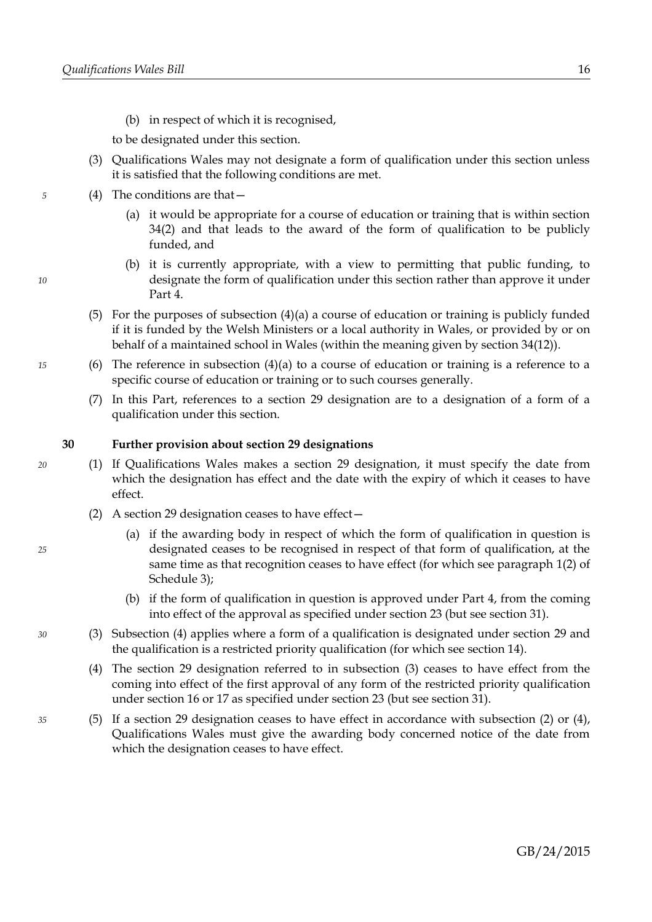(b) in respect of which it is recognised,

to be designated under this section.

- (3) Qualifications Wales may not designate a form of qualification under this section unless it is satisfied that the following conditions are met.
- <span id="page-19-4"></span><span id="page-19-3"></span>(4) The conditions are that—
	- (a) it would be appropriate for a course of education or training that is within section [34](#page-21-1)[\(2\)](#page-21-2) and that leads to the award of the form of qualification to be publicly funded, and
	- (b) it is currently appropriate, with a view to permitting that public funding, to designate the form of qualification under this section rather than approve it under Part [4.](#page-10-0)
- (5) For the purposes of subsection  $(4)(a)$  a course of education or training is publicly funded if it is funded by the Welsh Ministers or a local authority in Wales, or provided by or on behalf of a maintained school in Wales (within the meaning given by section [34](#page-21-1)[\(12\)\)](#page-22-0).
- (6) The reference in subsection  $(4)(a)$  to a course of education or training is a reference to a specific course of education or training or to such courses generally.
- (7) In this Part, references to a section [29](#page-18-1) designation are to a designation of a form of a qualification under this section.

### <span id="page-19-6"></span>**30 Further provision about section [29](#page-18-1) designations**

- <span id="page-19-1"></span>(1) If Qualifications Wales makes a section [29](#page-18-1) designation, it must specify the date from which the designation has effect and the date with the expiry of which it ceases to have effect.
	- (2) A section [29](#page-18-1) designation ceases to have effect—
		- (a) if the awarding body in respect of which the form of qualification in question is designated ceases to be recognised in respect of that form of qualification, at the same time as that recognition ceases to have effect (for which see paragraph [1](#page-46-2)[\(2\)](#page-46-1) of Schedule [3\)](#page-46-0);
		- (b) if the form of qualification in question is approved under Part [4,](#page-10-0) from the coming into effect of the approval as specified under section [23](#page-15-1) (but see section [31\)](#page-20-0).
- <span id="page-19-5"></span><span id="page-19-2"></span>(3) Subsection [\(4\)](#page-19-0) applies where a form of a qualification is designated under section [29](#page-18-1) and the qualification is a restricted priority qualification (for which see section [14\)](#page-11-2).
- <span id="page-19-0"></span>(4) The section [29](#page-18-1) designation referred to in subsection [\(3\)](#page-19-2) ceases to have effect from the coming into effect of the first approval of any form of the restricted priority qualification under section [16](#page-12-1) or [17](#page-13-0) as specified under section [23](#page-15-1) (but see section [31\)](#page-20-0).
- (5) If a section [29](#page-18-1) designation ceases to have effect in accordance with subsection [\(2\)](#page-19-1) or [\(4\),](#page-19-0) Qualifications Wales must give the awarding body concerned notice of the date from which the designation ceases to have effect.

*10*

*15*

*20*

*25*

*30*

*35*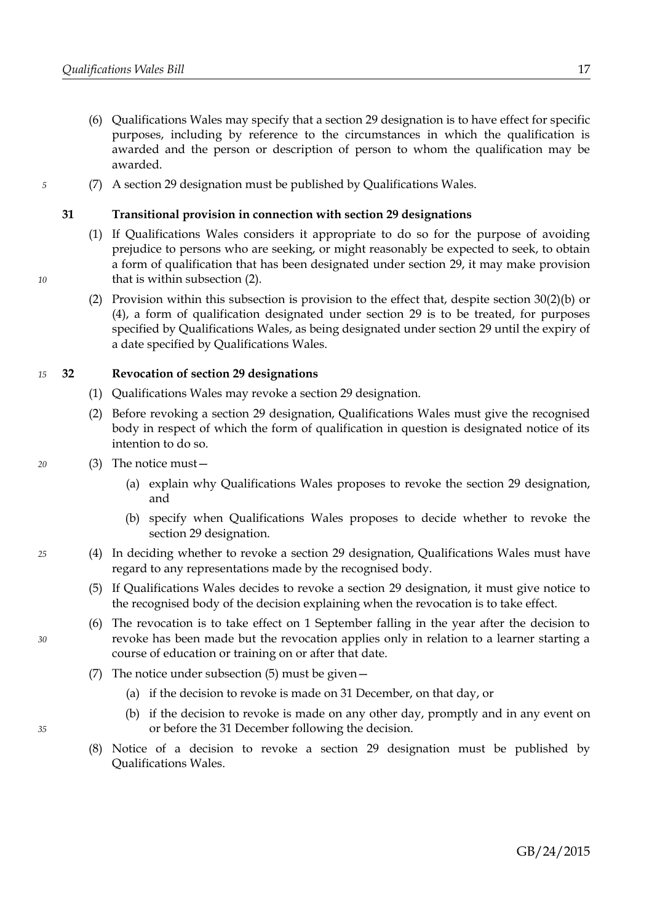- <span id="page-20-3"></span>(6) Qualifications Wales may specify that a section [29](#page-18-1) designation is to have effect for specific purposes, including by reference to the circumstances in which the qualification is awarded and the person or description of person to whom the qualification may be awarded.
- (7) A section [29](#page-18-1) designation must be published by Qualifications Wales.

### <span id="page-20-0"></span>**31 Transitional provision in connection with section [29](#page-18-1) designations**

- (1) If Qualifications Wales considers it appropriate to do so for the purpose of avoiding prejudice to persons who are seeking, or might reasonably be expected to seek, to obtain a form of qualification that has been designated under section [29,](#page-18-1) it may make provision that is within subsection [\(2\).](#page-20-2)
- <span id="page-20-2"></span>(2) Provision within this subsection is provision to the effect that, despite section [30](#page-19-6)[\(2\)](#page-19-1)[\(b\)](#page-19-5) or [\(4\),](#page-19-0) a form of qualification designated under section [29](#page-18-1) is to be treated, for purposes specified by Qualifications Wales, as being designated under section [29](#page-18-1) until the expiry of a date specified by Qualifications Wales.

#### **32 Revocation of section [29](#page-18-1) designations** *15*

- (1) Qualifications Wales may revoke a section [29](#page-18-1) designation.
- (2) Before revoking a section [29](#page-18-1) designation, Qualifications Wales must give the recognised body in respect of which the form of qualification in question is designated notice of its intention to do so.
- (3) The notice must—
	- (a) explain why Qualifications Wales proposes to revoke the section [29](#page-18-1) designation, and
	- (b) specify when Qualifications Wales proposes to decide whether to revoke the section [29](#page-18-1) designation.
	- (4) In deciding whether to revoke a section [29](#page-18-1) designation, Qualifications Wales must have regard to any representations made by the recognised body.
		- (5) If Qualifications Wales decides to revoke a section [29](#page-18-1) designation, it must give notice to the recognised body of the decision explaining when the revocation is to take effect.
	- (6) The revocation is to take effect on 1 September falling in the year after the decision to revoke has been made but the revocation applies only in relation to a learner starting a course of education or training on or after that date.
	- (7) The notice under subsection [\(5\)](#page-20-1) must be given—
		- (a) if the decision to revoke is made on 31 December, on that day, or
		- (b) if the decision to revoke is made on any other day, promptly and in any event on or before the 31 December following the decision.
	- (8) Notice of a decision to revoke a section [29](#page-18-1) designation must be published by Qualifications Wales.

*10*

*5*

*30*

*35*

<span id="page-20-1"></span>*25*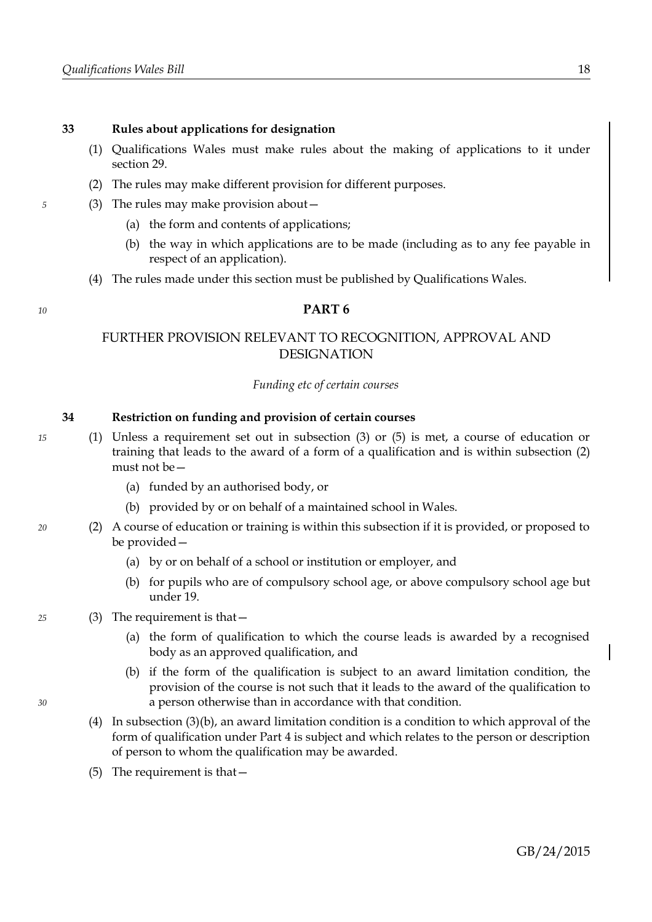- (1) Qualifications Wales must make rules about the making of applications to it under section [29.](#page-18-1)
- (2) The rules may make different provision for different purposes.
- (3) The rules may make provision about—
	- (a) the form and contents of applications;
	- (b) the way in which applications are to be made (including as to any fee payable in respect of an application).
	- (4) The rules made under this section must be published by Qualifications Wales.

### <span id="page-21-0"></span>**PART 6**

# FURTHER PROVISION RELEVANT TO RECOGNITION, APPROVAL AND DESIGNATION

### *Funding etc of certain courses*

### <span id="page-21-1"></span>**34 Restriction on funding and provision of certain courses**

- <span id="page-21-7"></span>(1) Unless a requirement set out in subsection [\(3\)](#page-21-4) or [\(5\)](#page-21-5) is met, a course of education or training that leads to the award of a form of a qualification and is within subsection [\(2\)](#page-21-2) must not be—
	- (a) funded by an authorised body, or
	- (b) provided by or on behalf of a maintained school in Wales.
- <span id="page-21-6"></span><span id="page-21-2"></span>(2) A course of education or training is within this subsection if it is provided, or proposed to be provided—
	- (a) by or on behalf of a school or institution or employer, and
	- (b) for pupils who are of compulsory school age, or above compulsory school age but under 19.

### <span id="page-21-4"></span>(3) The requirement is that—

- (a) the form of qualification to which the course leads is awarded by a recognised body as an approved qualification, and
- <span id="page-21-3"></span>(b) if the form of the qualification is subject to an award limitation condition, the provision of the course is not such that it leads to the award of the qualification to a person otherwise than in accordance with that condition.
- (4) In subsection [\(3\)](#page-21-4)[\(b\),](#page-21-3) an award limitation condition is a condition to which approval of the form of qualification under Part [4](#page-10-0) is subject and which relates to the person or description of person to whom the qualification may be awarded.
- <span id="page-21-5"></span>(5) The requirement is that—

*5*

*10*

*15*

*20*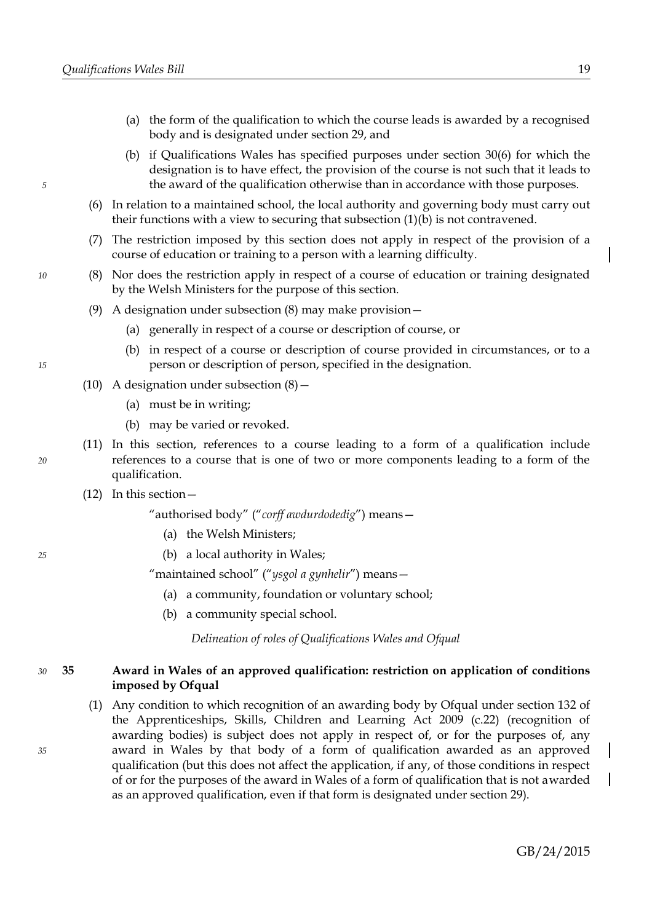- (a) the form of the qualification to which the course leads is awarded by a recognised body and is designated under section [29,](#page-18-1) and
- (b) if Qualifications Wales has specified purposes under section [30](#page-19-6)[\(6\)](#page-20-3) for which the designation is to have effect, the provision of the course is not such that it leads to the award of the qualification otherwise than in accordance with those purposes.
- (6) In relation to a maintained school, the local authority and governing body must carry out their functions with a view to securing that subsection [\(1\)](#page-21-7)[\(b\)](#page-21-6) is not contravened.
- (7) The restriction imposed by this section does not apply in respect of the provision of a course of education or training to a person with a learning difficulty.
- <span id="page-22-1"></span>(8) Nor does the restriction apply in respect of a course of education or training designated by the Welsh Ministers for the purpose of this section.
- (9) A designation under subsection [\(8\)](#page-22-1) may make provision—
	- (a) generally in respect of a course or description of course, or
	- (b) in respect of a course or description of course provided in circumstances, or to a person or description of person, specified in the designation.
- (10) A designation under subsection  $(8)$ 
	- (a) must be in writing;
	- (b) may be varied or revoked.
- (11) In this section, references to a course leading to a form of a qualification include references to a course that is one of two or more components leading to a form of the qualification.
- <span id="page-22-0"></span>(12) In this section—

"authorised body" ("*corff awdurdodedig*") means—

- (a) the Welsh Ministers;
- (b) a local authority in Wales;

"maintained school" ("*ysgol a gynhelir*") means—

- (a) a community, foundation or voluntary school;
- (b) a community special school.

*Delineation of roles of Qualifications Wales and Ofqual*

#### <span id="page-22-2"></span>**35 Award in Wales of an approved qualification: restriction on application of conditions imposed by Ofqual** *30*

(1) Any condition to which recognition of an awarding body by Ofqual under section 132 of the Apprenticeships, Skills, Children and Learning Act 2009 (c.22) (recognition of awarding bodies) is subject does not apply in respect of, or for the purposes of, any award in Wales by that body of a form of qualification awarded as an approved qualification (but this does not affect the application, if any, of those conditions in respect of or for the purposes of the award in Wales of a form of qualification that is not awarded as an approved qualification, even if that form is designated under section [29\)](#page-18-1).

*15*

*10*

*5*

*20*

*25*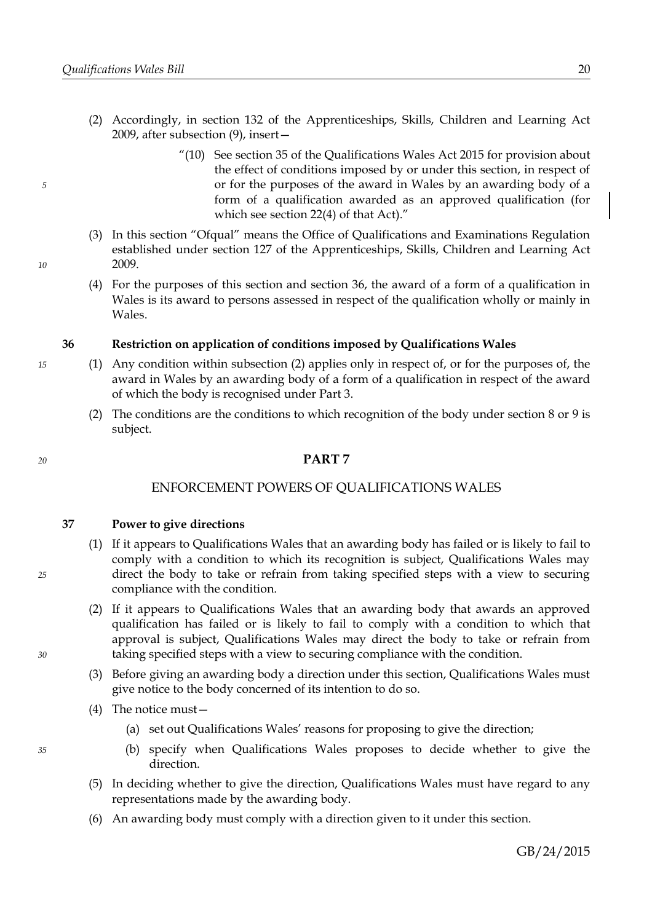- (2) Accordingly, in section 132 of the Apprenticeships, Skills, Children and Learning Act 2009, after subsection (9), insert—
	- "(10) See section [35](#page-22-2) of the Qualifications Wales Act 2015 for provision about the effect of conditions imposed by or under this section, in respect of or for the purposes of the award in Wales by an awarding body of a form of a qualification awarded as an approved qualification (for which see section [22](#page-15-3)[\(4\)](#page-15-2) of that Act)."
- (3) In this section "Ofqual" means the Office of Qualifications and Examinations Regulation established under section 127 of the Apprenticeships, Skills, Children and Learning Act 2009.
- (4) For the purposes of this section and section [36,](#page-23-2) the award of a form of a qualification in Wales is its award to persons assessed in respect of the qualification wholly or mainly in Wales.

### <span id="page-23-2"></span>**36 Restriction on application of conditions imposed by Qualifications Wales**

- <span id="page-23-1"></span>(1) Any condition within subsection [\(2\)](#page-23-1) applies only in respect of, or for the purposes of, the award in Wales by an awarding body of a form of a qualification in respect of the award of which the body is recognised under Part [3.](#page-7-0)
	- (2) The conditions are the conditions to which recognition of the body under section [8](#page-8-0) or [9](#page-9-0) is subject.

### <span id="page-23-0"></span>**PART 7**

### ENFORCEMENT POWERS OF QUALIFICATIONS WALES

<span id="page-23-3"></span>**37 Power to give directions**

- (1) If it appears to Qualifications Wales that an awarding body has failed or is likely to fail to comply with a condition to which its recognition is subject, Qualifications Wales may direct the body to take or refrain from taking specified steps with a view to securing compliance with the condition.
- (2) If it appears to Qualifications Wales that an awarding body that awards an approved qualification has failed or is likely to fail to comply with a condition to which that approval is subject, Qualifications Wales may direct the body to take or refrain from taking specified steps with a view to securing compliance with the condition.
- (3) Before giving an awarding body a direction under this section, Qualifications Wales must give notice to the body concerned of its intention to do so.
- (4) The notice must—
	- (a) set out Qualifications Wales' reasons for proposing to give the direction;
	- (b) specify when Qualifications Wales proposes to decide whether to give the direction.
- (5) In deciding whether to give the direction, Qualifications Wales must have regard to any representations made by the awarding body.
- (6) An awarding body must comply with a direction given to it under this section.

*30*

*35*

*25*

*5*

*10*

*20*

*15*

# GB/24/2015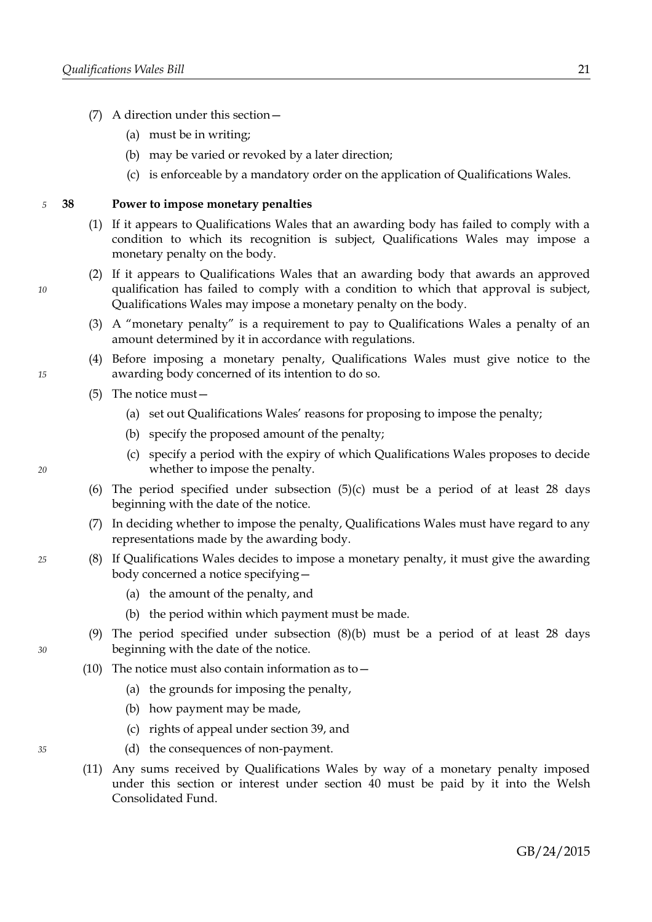- (7) A direction under this section—
	- (a) must be in writing;
	- (b) may be varied or revoked by a later direction;
	- (c) is enforceable by a mandatory order on the application of Qualifications Wales.

#### <span id="page-24-4"></span>**38 Power to impose monetary penalties** *5*

- (1) If it appears to Qualifications Wales that an awarding body has failed to comply with a condition to which its recognition is subject, Qualifications Wales may impose a monetary penalty on the body.
- (2) If it appears to Qualifications Wales that an awarding body that awards an approved qualification has failed to comply with a condition to which that approval is subject, Qualifications Wales may impose a monetary penalty on the body.
- <span id="page-24-5"></span>(3) A "monetary penalty" is a requirement to pay to Qualifications Wales a penalty of an amount determined by it in accordance with regulations.
- (4) Before imposing a monetary penalty, Qualifications Wales must give notice to the awarding body concerned of its intention to do so.
- <span id="page-24-3"></span>(5) The notice must—
	- (a) set out Qualifications Wales' reasons for proposing to impose the penalty;
	- (b) specify the proposed amount of the penalty;
	- (c) specify a period with the expiry of which Qualifications Wales proposes to decide whether to impose the penalty.
- <span id="page-24-2"></span>(6) The period specified under subsection  $(5)(c)$  $(5)(c)$  must be a period of at least 28 days beginning with the date of the notice.
- (7) In deciding whether to impose the penalty, Qualifications Wales must have regard to any representations made by the awarding body.
- <span id="page-24-1"></span><span id="page-24-0"></span>(8) If Qualifications Wales decides to impose a monetary penalty, it must give the awarding body concerned a notice specifying—
	- (a) the amount of the penalty, and
	- (b) the period within which payment must be made.
	- (9) The period specified under subsection [\(8\)](#page-24-1)[\(b\)](#page-24-0) must be a period of at least 28 days beginning with the date of the notice.
- (10) The notice must also contain information as to  $-$ 
	- (a) the grounds for imposing the penalty,
	- (b) how payment may be made,
	- (c) rights of appeal under section [39,](#page-25-1) and
	- (d) the consequences of non-payment.
- (11) Any sums received by Qualifications Wales by way of a monetary penalty imposed under this section or interest under section [40](#page-25-0) must be paid by it into the Welsh Consolidated Fund.

*35*

*15*

*10*

*20*

*25*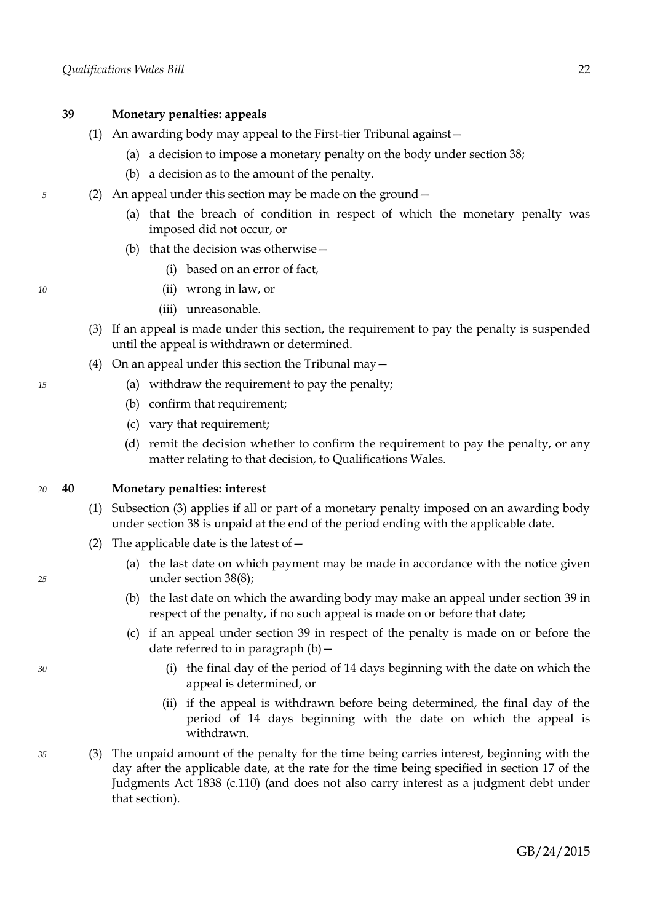### <span id="page-25-1"></span>**39 Monetary penalties: appeals**

- (1) An awarding body may appeal to the First-tier Tribunal against—
	- (a) a decision to impose a monetary penalty on the body under section [38;](#page-24-4)
	- (b) a decision as to the amount of the penalty.
- (2) An appeal under this section may be made on the ground—
	- (a) that the breach of condition in respect of which the monetary penalty was imposed did not occur, or
	- (b) that the decision was otherwise—
		- (i) based on an error of fact,
		- (ii) wrong in law, or
		- (iii) unreasonable.
	- (3) If an appeal is made under this section, the requirement to pay the penalty is suspended until the appeal is withdrawn or determined.
	- (4) On an appeal under this section the Tribunal may  $-$ 
		- (a) withdraw the requirement to pay the penalty;
		- (b) confirm that requirement;
		- (c) vary that requirement;
		- (d) remit the decision whether to confirm the requirement to pay the penalty, or any matter relating to that decision, to Qualifications Wales.

#### <span id="page-25-0"></span>**40 Monetary penalties: interest** *20*

- (1) Subsection [\(3\)](#page-25-3) applies if all or part of a monetary penalty imposed on an awarding body under section [38](#page-24-4) is unpaid at the end of the period ending with the applicable date.
- <span id="page-25-2"></span>(2) The applicable date is the latest of  $-$ 
	- (a) the last date on which payment may be made in accordance with the notice given under section [38](#page-24-4)[\(8\);](#page-24-1)
	- (b) the last date on which the awarding body may make an appeal under section [39](#page-25-1) in respect of the penalty, if no such appeal is made on or before that date;
	- (c) if an appeal under section [39](#page-25-1) in respect of the penalty is made on or before the date referred to in paragraph  $(b)$  –
		- (i) the final day of the period of 14 days beginning with the date on which the appeal is determined, or
		- (ii) if the appeal is withdrawn before being determined, the final day of the period of 14 days beginning with the date on which the appeal is withdrawn.
- <span id="page-25-3"></span>(3) The unpaid amount of the penalty for the time being carries interest, beginning with the day after the applicable date, at the rate for the time being specified in section 17 of the Judgments Act 1838 (c.110) (and does not also carry interest as a judgment debt under that section).

*15*

<span id="page-25-4"></span>*10*

*5*

*25*

*35*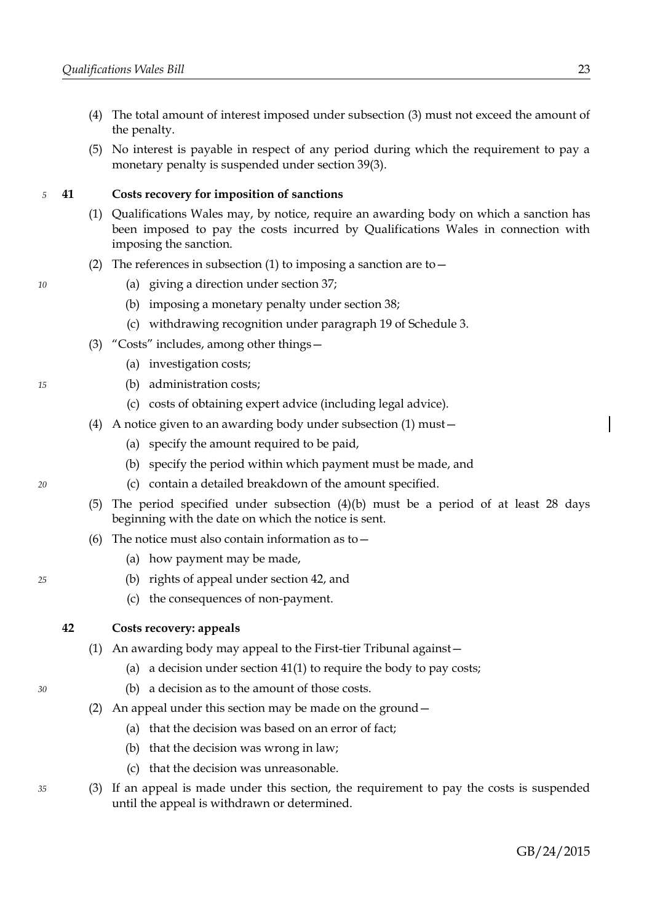- (4) The total amount of interest imposed under subsection [\(3\)](#page-25-3) must not exceed the amount of the penalty.
- (5) No interest is payable in respect of any period during which the requirement to pay a monetary penalty is suspended under section [39](#page-25-1)[\(3\).](#page-25-4)

#### <span id="page-26-1"></span>**41 Costs recovery for imposition of sanctions** *5*

- <span id="page-26-0"></span>(1) Qualifications Wales may, by notice, require an awarding body on which a sanction has been imposed to pay the costs incurred by Qualifications Wales in connection with imposing the sanction.
- (2) The references in subsection [\(1\)](#page-26-0) to imposing a sanction are to  $-$ 
	- (a) giving a direction under section [37;](#page-23-3)
	- (b) imposing a monetary penalty under section [38;](#page-24-4)
	- (c) withdrawing recognition under paragraph [19](#page-52-0) of Schedule [3.](#page-46-0)
- (3) "Costs" includes, among other things—
	- (a) investigation costs;
	- (b) administration costs;
	- (c) costs of obtaining expert advice (including legal advice).
- <span id="page-26-4"></span><span id="page-26-3"></span>(4) A notice given to an awarding body under subsection [\(1\)](#page-26-0) must—
	- (a) specify the amount required to be paid,
	- (b) specify the period within which payment must be made, and
	- (c) contain a detailed breakdown of the amount specified.
- (5) The period specified under subsection [\(4\)](#page-26-4)[\(b\)](#page-26-3) must be a period of at least 28 days beginning with the date on which the notice is sent.
- (6) The notice must also contain information as to  $-$ 
	- (a) how payment may be made,
	- (b) rights of appeal under section [42,](#page-26-2) and
	- (c) the consequences of non-payment.

### <span id="page-26-2"></span>**42 Costs recovery: appeals**

- (1) An awarding body may appeal to the First-tier Tribunal against—
	- (a) a decision under section [41](#page-26-1)[\(1\)](#page-26-0) to require the body to pay costs;
	- (b) a decision as to the amount of those costs.
- (2) An appeal under this section may be made on the ground—
	- (a) that the decision was based on an error of fact;
	- (b) that the decision was wrong in law;
	- (c) that the decision was unreasonable.
- <span id="page-26-5"></span>(3) If an appeal is made under this section, the requirement to pay the costs is suspended until the appeal is withdrawn or determined.

*25*

*10*

*15*

*20*

*30*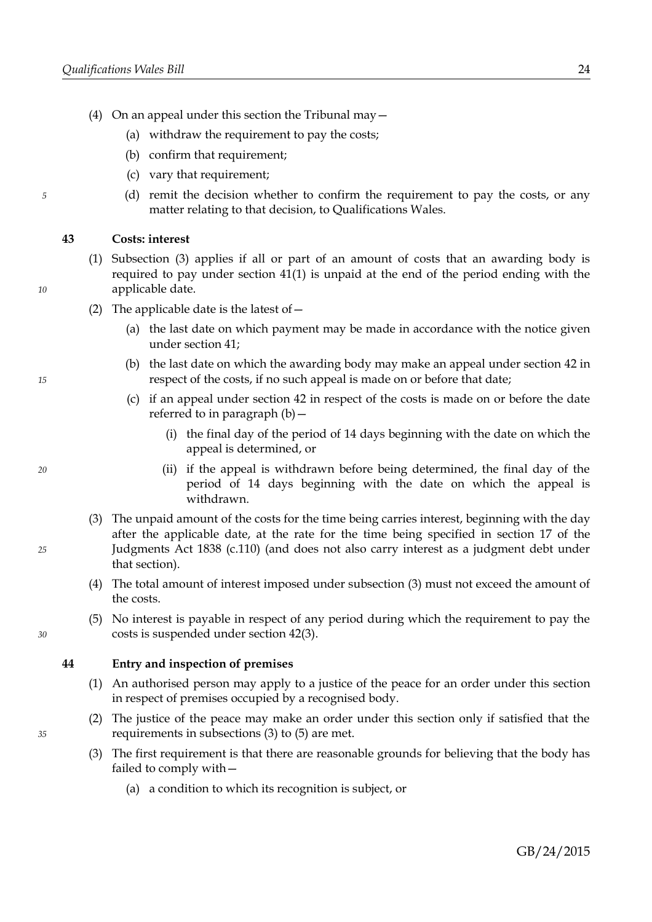- (4) On an appeal under this section the Tribunal may  $-$ 
	- (a) withdraw the requirement to pay the costs;
	- (b) confirm that requirement;
	- (c) vary that requirement;
	- (d) remit the decision whether to confirm the requirement to pay the costs, or any matter relating to that decision, to Qualifications Wales.

### **43 Costs: interest**

- (1) Subsection [\(3\)](#page-27-1) applies if all or part of an amount of costs that an awarding body is required to pay under section [41](#page-26-1)[\(1\)](#page-26-0) is unpaid at the end of the period ending with the applicable date.
	- (2) The applicable date is the latest of  $-$ 
		- (a) the last date on which payment may be made in accordance with the notice given under section [41;](#page-26-1)
		- (b) the last date on which the awarding body may make an appeal under section [42](#page-26-2) in respect of the costs, if no such appeal is made on or before that date;
		- (c) if an appeal under section [42](#page-26-2) in respect of the costs is made on or before the date referred to in paragraph [\(b\)—](#page-27-2)
			- (i) the final day of the period of 14 days beginning with the date on which the appeal is determined, or
			- (ii) if the appeal is withdrawn before being determined, the final day of the period of 14 days beginning with the date on which the appeal is withdrawn.
	- (3) The unpaid amount of the costs for the time being carries interest, beginning with the day after the applicable date, at the rate for the time being specified in section 17 of the Judgments Act 1838 (c.110) (and does not also carry interest as a judgment debt under that section).
	- (4) The total amount of interest imposed under subsection [\(3\)](#page-27-1) must not exceed the amount of the costs.
	- (5) No interest is payable in respect of any period during which the requirement to pay the costs is suspended under section [42](#page-26-2)[\(3\).](#page-26-5)

### **44 Entry and inspection of premises**

- (1) An authorised person may apply to a justice of the peace for an order under this section in respect of premises occupied by a recognised body.
- (2) The justice of the peace may make an order under this section only if satisfied that the requirements in subsections [\(3\)](#page-27-0) to [\(5\)](#page-28-0) are met.
- <span id="page-27-0"></span>(3) The first requirement is that there are reasonable grounds for believing that the body has failed to comply with—
	- (a) a condition to which its recognition is subject, or

<span id="page-27-2"></span>*15*

*10*

*5*

<span id="page-27-1"></span>*25*

*20*

*30*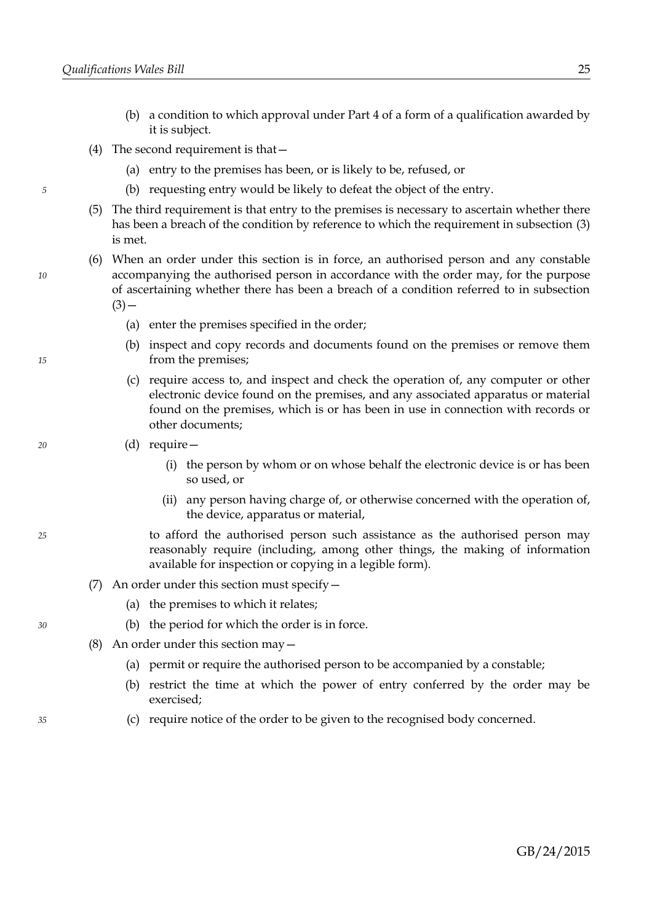- (b) a condition to which approval under Part [4](#page-10-0) of a form of a qualification awarded by it is subject.
- (4) The second requirement is that—
	- (a) entry to the premises has been, or is likely to be, refused, or
	- (b) requesting entry would be likely to defeat the object of the entry.
- <span id="page-28-0"></span>(5) The third requirement is that entry to the premises is necessary to ascertain whether there has been a breach of the condition by reference to which the requirement in subsection [\(3\)](#page-27-0) is met.
- (6) When an order under this section is in force, an authorised person and any constable accompanying the authorised person in accordance with the order may, for the purpose of ascertaining whether there has been a breach of a condition referred to in subsection  $(3)$  —
	- (a) enter the premises specified in the order;
	- (b) inspect and copy records and documents found on the premises or remove them from the premises;
	- (c) require access to, and inspect and check the operation of, any computer or other electronic device found on the premises, and any associated apparatus or material found on the premises, which is or has been in use in connection with records or other documents;
	- (d) require—
		- (i) the person by whom or on whose behalf the electronic device is or has been so used, or
		- (ii) any person having charge of, or otherwise concerned with the operation of, the device, apparatus or material,
		- to afford the authorised person such assistance as the authorised person may reasonably require (including, among other things, the making of information available for inspection or copying in a legible form).
- (7) An order under this section must specify—
	- (a) the premises to which it relates;
	- (b) the period for which the order is in force.
- (8) An order under this section may—
	- (a) permit or require the authorised person to be accompanied by a constable;
	- (b) restrict the time at which the power of entry conferred by the order may be exercised;
	- (c) require notice of the order to be given to the recognised body concerned.

*5*

*20*

*25*

*30*

*35*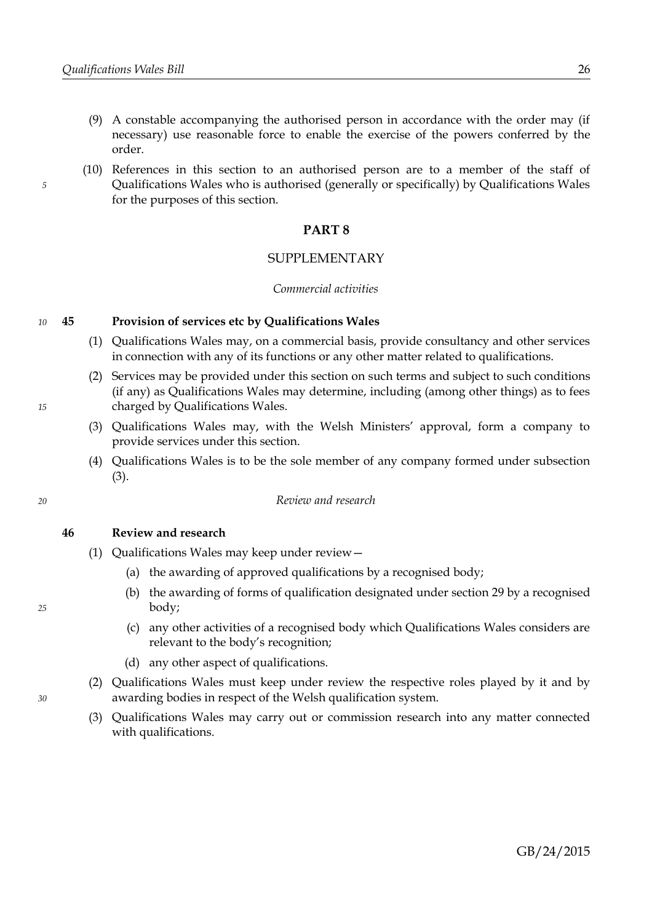- (9) A constable accompanying the authorised person in accordance with the order may (if necessary) use reasonable force to enable the exercise of the powers conferred by the order.
- (10) References in this section to an authorised person are to a member of the staff of Qualifications Wales who is authorised (generally or specifically) by Qualifications Wales for the purposes of this section.

### <span id="page-29-0"></span>**PART 8**

### SUPPLEMENTARY

### *Commercial activities*

#### <span id="page-29-4"></span>**45 Provision of services etc by Qualifications Wales** *10*

- (1) Qualifications Wales may, on a commercial basis, provide consultancy and other services in connection with any of its functions or any other matter related to qualifications.
- (2) Services may be provided under this section on such terms and subject to such conditions (if any) as Qualifications Wales may determine, including (among other things) as to fees charged by Qualifications Wales.
- <span id="page-29-1"></span>(3) Qualifications Wales may, with the Welsh Ministers' approval, form a company to provide services under this section.
- (4) Qualifications Wales is to be the sole member of any company formed under subsection [\(3\).](#page-29-1)

### *Review and research*

<span id="page-29-3"></span>**46 Review and research**

- <span id="page-29-6"></span><span id="page-29-2"></span>(1) Qualifications Wales may keep under review—
	- (a) the awarding of approved qualifications by a recognised body;
	- (b) the awarding of forms of qualification designated under section [29](#page-18-1) by a recognised body;
	- (c) any other activities of a recognised body which Qualifications Wales considers are relevant to the body's recognition;
	- (d) any other aspect of qualifications.
- <span id="page-29-5"></span>(2) Qualifications Wales must keep under review the respective roles played by it and by awarding bodies in respect of the Welsh qualification system.
- <span id="page-29-7"></span>(3) Qualifications Wales may carry out or commission research into any matter connected with qualifications.

*25*

*30*

*20*

*15*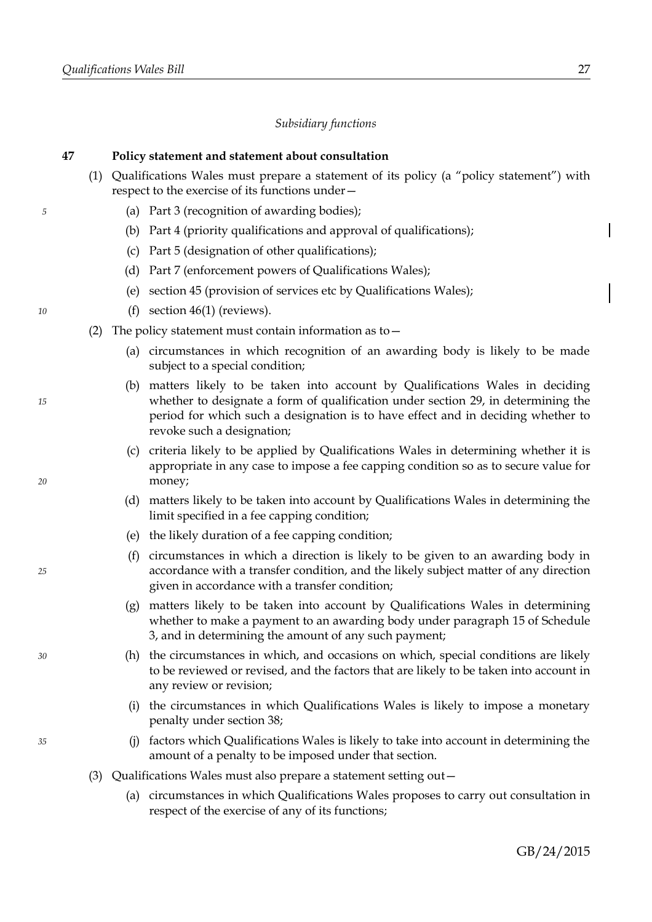*5*

*10*

*15*

*20*

*25*

*30*

*35*

### *Subsidiary functions*

### **47 Policy statement and statement about consultation**

- (1) Qualifications Wales must prepare a statement of its policy (a "policy statement") with respect to the exercise of its functions under—
	- (a) Part [3](#page-7-0) (recognition of awarding bodies);
	- (b) Part [4](#page-10-0) (priority qualifications and approval of qualifications);
	- (c) Part [5](#page-18-0) (designation of other qualifications);
	- (d) Part [7](#page-23-0) (enforcement powers of Qualifications Wales);
	- (e) section [45](#page-29-4) (provision of services etc by Qualifications Wales);
	- (f) section [46](#page-29-3)[\(1\)](#page-29-2) (reviews).
- (2) The policy statement must contain information as to—
	- (a) circumstances in which recognition of an awarding body is likely to be made subject to a special condition;
	- (b) matters likely to be taken into account by Qualifications Wales in deciding whether to designate a form of qualification under section [29,](#page-18-1) in determining the period for which such a designation is to have effect and in deciding whether to revoke such a designation;
	- (c) criteria likely to be applied by Qualifications Wales in determining whether it is appropriate in any case to impose a fee capping condition so as to secure value for money;
	- (d) matters likely to be taken into account by Qualifications Wales in determining the limit specified in a fee capping condition;
	- (e) the likely duration of a fee capping condition;
	- (f) circumstances in which a direction is likely to be given to an awarding body in accordance with a transfer condition, and the likely subject matter of any direction given in accordance with a transfer condition;
	- (g) matters likely to be taken into account by Qualifications Wales in determining whether to make a payment to an awarding body under paragraph [15](#page-50-0) of Schedule [3,](#page-46-0) and in determining the amount of any such payment;
	- (h) the circumstances in which, and occasions on which, special conditions are likely to be reviewed or revised, and the factors that are likely to be taken into account in any review or revision;
	- (i) the circumstances in which Qualifications Wales is likely to impose a monetary penalty under section [38;](#page-24-4)
	- (j) factors which Qualifications Wales is likely to take into account in determining the amount of a penalty to be imposed under that section.
- (3) Qualifications Wales must also prepare a statement setting out—
	- (a) circumstances in which Qualifications Wales proposes to carry out consultation in respect of the exercise of any of its functions;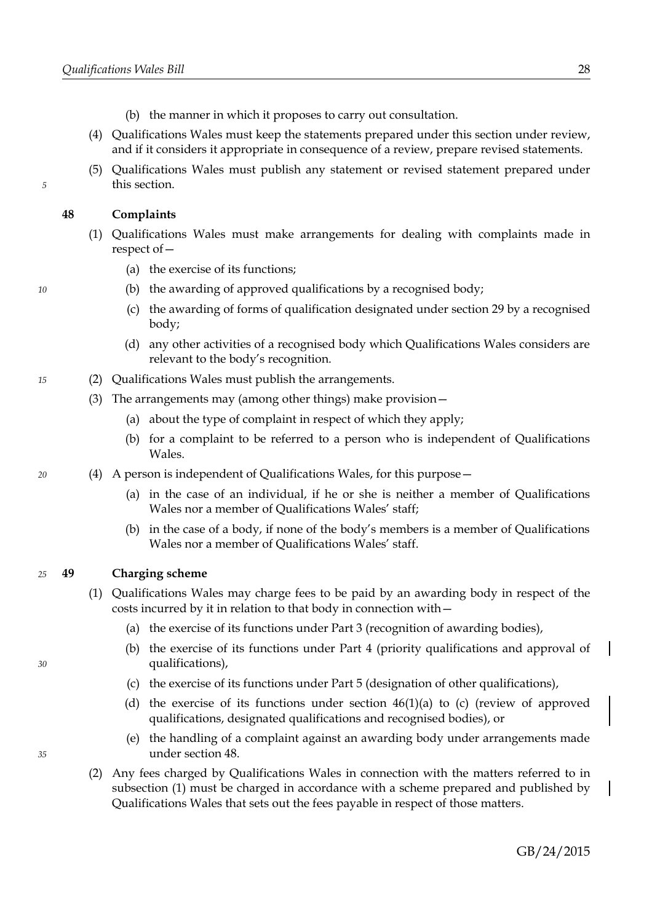- (b) the manner in which it proposes to carry out consultation.
- (4) Qualifications Wales must keep the statements prepared under this section under review, and if it considers it appropriate in consequence of a review, prepare revised statements.
- (5) Qualifications Wales must publish any statement or revised statement prepared under this section.

### <span id="page-31-1"></span>**48 Complaints**

*5*

*10*

*20*

- (1) Qualifications Wales must make arrangements for dealing with complaints made in respect of—
	- (a) the exercise of its functions;
	- (b) the awarding of approved qualifications by a recognised body;
	- (c) the awarding of forms of qualification designated under section [29](#page-18-1) by a recognised body;
	- (d) any other activities of a recognised body which Qualifications Wales considers are relevant to the body's recognition.
- (2) Qualifications Wales must publish the arrangements. *15*
	- (3) The arrangements may (among other things) make provision—
		- (a) about the type of complaint in respect of which they apply;
		- (b) for a complaint to be referred to a person who is independent of Qualifications Wales.
	- (4) A person is independent of Qualifications Wales, for this purpose—
		- (a) in the case of an individual, if he or she is neither a member of Qualifications Wales nor a member of Qualifications Wales' staff;
		- (b) in the case of a body, if none of the body's members is a member of Qualifications Wales nor a member of Qualifications Wales' staff.

#### **49 Charging scheme** *25*

- <span id="page-31-0"></span>(1) Qualifications Wales may charge fees to be paid by an awarding body in respect of the costs incurred by it in relation to that body in connection with—
	- (a) the exercise of its functions under Part [3](#page-7-0) (recognition of awarding bodies),
	- (b) the exercise of its functions under Part [4](#page-10-0) (priority qualifications and approval of qualifications),
	- (c) the exercise of its functions under Part [5](#page-18-0) (designation of other qualifications),
	- (d) the exercise of its functions under section  $46(1)(a)$  $46(1)(a)$  $46(1)(a)$  to [\(c\)](#page-29-5) (review of approved qualifications, designated qualifications and recognised bodies), or
	- (e) the handling of a complaint against an awarding body under arrangements made under section [48.](#page-31-1)
- (2) Any fees charged by Qualifications Wales in connection with the matters referred to in subsection [\(1\)](#page-31-0) must be charged in accordance with a scheme prepared and published by Qualifications Wales that sets out the fees payable in respect of those matters.

*35*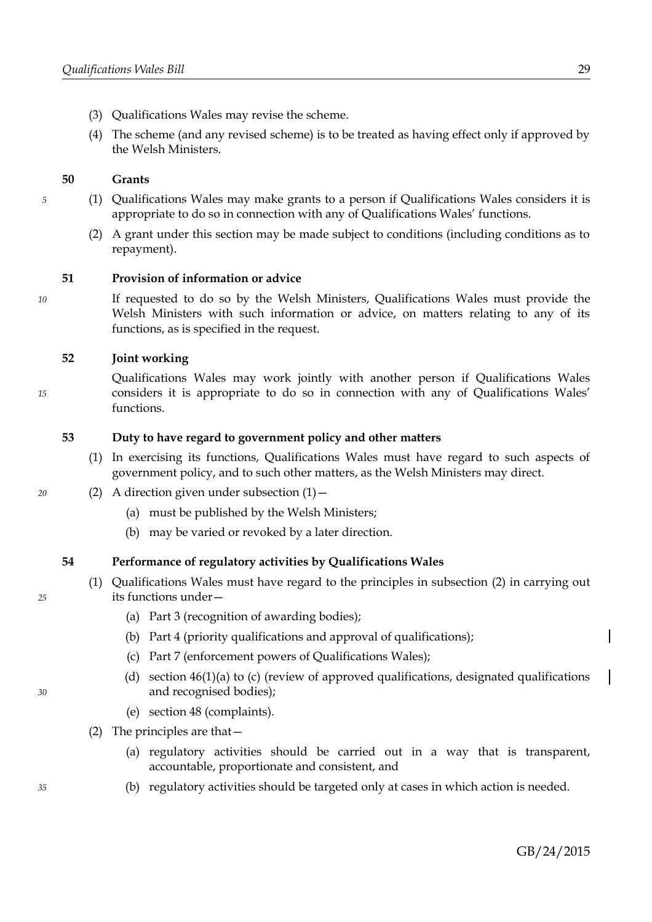- (3) Qualifications Wales may revise the scheme.
- (4) The scheme (and any revised scheme) is to be treated as having effect only if approved by the Welsh Ministers.

### **50 Grants**

- (1) Qualifications Wales may make grants to a person if Qualifications Wales considers it is appropriate to do so in connection with any of Qualifications Wales' functions.
	- (2) A grant under this section may be made subject to conditions (including conditions as to repayment).

### **51 Provision of information or advice**

*10*

*15*

*5*

If requested to do so by the Welsh Ministers, Qualifications Wales must provide the Welsh Ministers with such information or advice, on matters relating to any of its functions, as is specified in the request.

### **52 Joint working**

Qualifications Wales may work jointly with another person if Qualifications Wales considers it is appropriate to do so in connection with any of Qualifications Wales' functions.

### **53 Duty to have regard to government policy and other matters**

- <span id="page-32-1"></span>(1) In exercising its functions, Qualifications Wales must have regard to such aspects of government policy, and to such other matters, as the Welsh Ministers may direct.
- (2) A direction given under subsection  $(1)$  -
	- (a) must be published by the Welsh Ministers;
	- (b) may be varied or revoked by a later direction.

### **54 Performance of regulatory activities by Qualifications Wales**

- (1) Qualifications Wales must have regard to the principles in subsection [\(2\)](#page-32-0) in carrying out its functions under—
	- (a) Part [3](#page-7-0) (recognition of awarding bodies);
	- (b) Part [4](#page-10-0) (priority qualifications and approval of qualifications);
	- (c) Part [7](#page-23-0) (enforcement powers of Qualifications Wales);
	- (d) section  $46(1)(a)$  $46(1)(a)$  $46(1)(a)$  to [\(c\)](#page-29-5) (review of approved qualifications, designated qualifications and recognised bodies);
	- (e) section [48](#page-31-1) (complaints).
- <span id="page-32-0"></span>(2) The principles are that—
	- (a) regulatory activities should be carried out in a way that is transparent, accountable, proportionate and consistent, and
	- (b) regulatory activities should be targeted only at cases in which action is needed.

*35*

- *20*
- 

*25*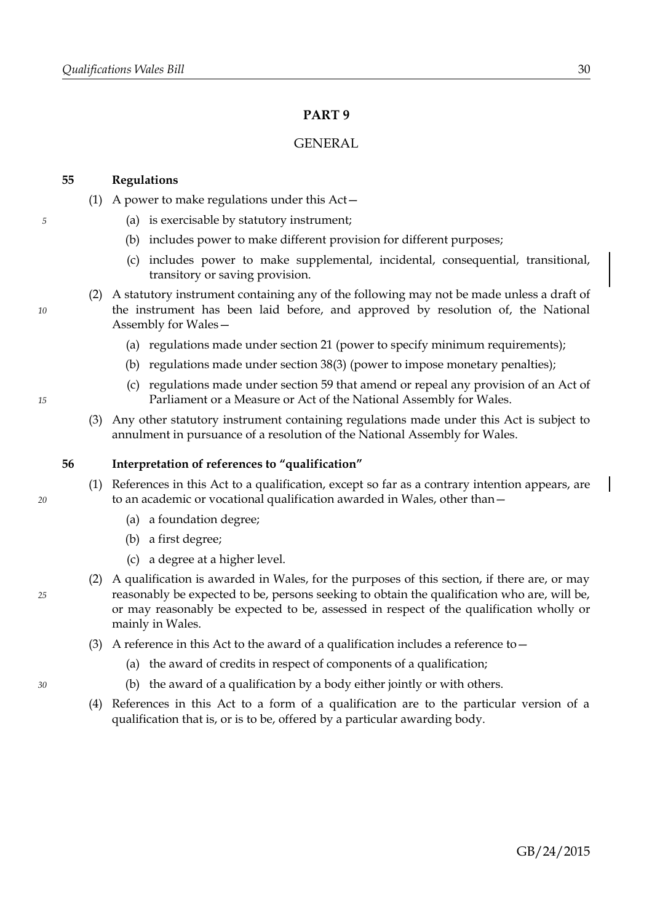# <span id="page-33-1"></span>**PART 9**

### GENERAL

### <span id="page-33-2"></span>**55 Regulations**

- (1) A power to make regulations under this Act—
	- (a) is exercisable by statutory instrument;
	- (b) includes power to make different provision for different purposes;
	- (c) includes power to make supplemental, incidental, consequential, transitional, transitory or saving provision.
- (2) A statutory instrument containing any of the following may not be made unless a draft of the instrument has been laid before, and approved by resolution of, the National Assembly for Wales—
	- (a) regulations made under section [21](#page-14-0) (power to specify minimum requirements);
	- (b) regulations made under section [38](#page-24-4)[\(3\)](#page-24-5) (power to impose monetary penalties);
	- (c) regulations made under section [59](#page-36-0) that amend or repeal any provision of an Act of Parliament or a Measure or Act of the National Assembly for Wales.
- (3) Any other statutory instrument containing regulations made under this Act is subject to annulment in pursuance of a resolution of the National Assembly for Wales.

### <span id="page-33-0"></span>**56 Interpretation of references to "qualification"**

- (1) References in this Act to a qualification, except so far as a contrary intention appears, are to an academic or vocational qualification awarded in Wales, other than—
	- (a) a foundation degree;
	- (b) a first degree;
	- (c) a degree at a higher level.
- (2) A qualification is awarded in Wales, for the purposes of this section, if there are, or may reasonably be expected to be, persons seeking to obtain the qualification who are, will be, or may reasonably be expected to be, assessed in respect of the qualification wholly or mainly in Wales.
- (3) A reference in this Act to the award of a qualification includes a reference to  $-$ 
	- (a) the award of credits in respect of components of a qualification;
	- (b) the award of a qualification by a body either jointly or with others.
- (4) References in this Act to a form of a qualification are to the particular version of a qualification that is, or is to be, offered by a particular awarding body.

*10*

*5*

### *15*

*25*

*30*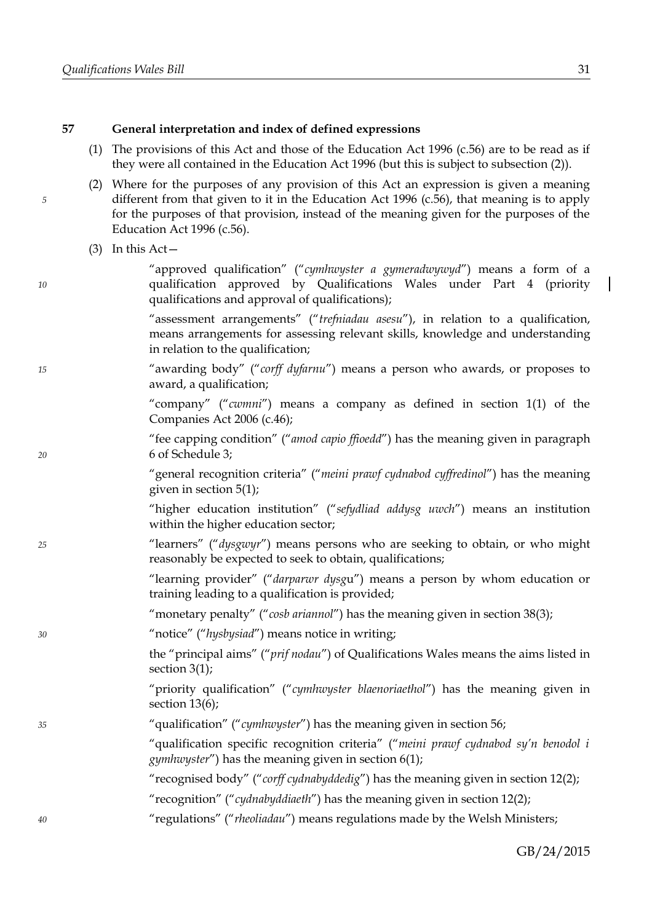### <span id="page-34-1"></span>**57 General interpretation and index of defined expressions**

- (1) The provisions of this Act and those of the Education Act 1996 (c.56) are to be read as if they were all contained in the Education Act 1996 (but this is subject to subsection [\(2\)\)](#page-34-0).
- <span id="page-34-0"></span>(2) Where for the purposes of any provision of this Act an expression is given a meaning different from that given to it in the Education Act 1996 (c.56), that meaning is to apply for the purposes of that provision, instead of the meaning given for the purposes of the Education Act 1996 (c.56).
- $(3)$  In this Act –

*5*

*10*

*15*

*20*

*25*

*30*

*35*

*40*

"approved qualification" ("*cymhwyster a gymeradwywyd*") means a form of a qualification approved by Qualifications Wales under Part [4](#page-10-0) (priority qualifications and approval of qualifications);

"assessment arrangements" ("*trefniadau asesu*"), in relation to a qualification, means arrangements for assessing relevant skills, knowledge and understanding in relation to the qualification;

"awarding body" ("*corff dyfarnu*") means a person who awards, or proposes to award, a qualification;

> "company" ("*cwmni*") means a company as defined in section 1(1) of the Companies Act 2006 (c.46);

"fee capping condition" ("*amod capio ffioedd*") has the meaning given in paragraph [6](#page-47-0) of Schedule [3;](#page-46-0)

"general recognition criteria" ("*meini prawf cydnabod cyffredinol*") has the meaning given in section [5](#page-7-1)[\(1\);](#page-7-6)

"higher education institution" ("*sefydliad addysg uwch*") means an institution within the higher education sector;

"learners" ("*dysgwyr*") means persons who are seeking to obtain, or who might reasonably be expected to seek to obtain, qualifications;

> "learning provider" ("*darparwr dysg*u") means a person by whom education or training leading to a qualification is provided;

- "monetary penalty" ("*cosb ariannol*") has the meaning given in section [38](#page-24-4)[\(3\);](#page-24-5)
- "notice" ("*hysbysiad*") means notice in writing;

the "principal aims" ("*prif nodau*") of Qualifications Wales means the aims listed in section [3](#page-6-1)[\(1\);](#page-6-0)

"priority qualification" ("*cymhwyster blaenoriaethol*") has the meaning given in section [13](#page-10-4)[\(6\);](#page-11-3)

"qualification" ("*cymhwyster*") has the meaning given in section [56;](#page-33-0)

"qualification specific recognition criteria" ("*meini prawf cydnabod sy'n benodol i gymhwyster*") has the meaning given in section [6](#page-7-4)[\(1\);](#page-7-5)

"recognised body" ("*corff cydnabyddedig*") has the meaning given in section [12](#page-10-3)[\(2\);](#page-10-2)

- "recognition" ("*cydnabyddiaeth*") has the meaning given in section [12](#page-10-3)[\(2\);](#page-10-2)
- "regulations" ("*rheoliadau*") means regulations made by the Welsh Ministers;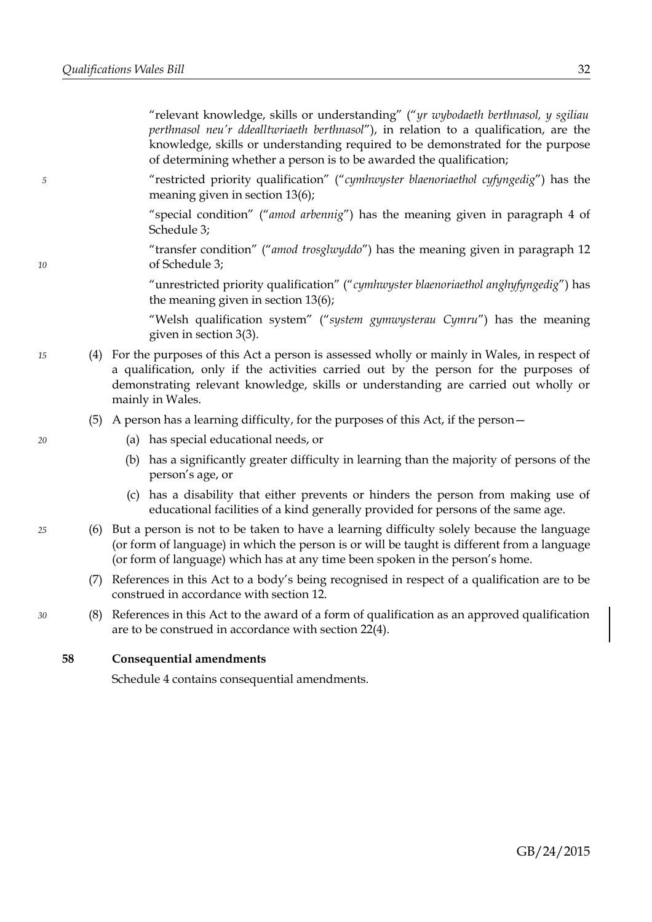"relevant knowledge, skills or understanding" ("*yr wybodaeth berthnasol, y sgiliau perthnasol neu'r ddealltwriaeth berthnasol*"), in relation to a qualification, are the knowledge, skills or understanding required to be demonstrated for the purpose of determining whether a person is to be awarded the qualification;

"restricted priority qualification" ("*cymhwyster blaenoriaethol cyfyngedig*") has the meaning given in section [13](#page-10-4)[\(6\);](#page-11-3)

"special condition" ("*amod arbennig*") has the meaning given in paragraph [4](#page-47-1) of Schedule [3;](#page-46-0)

"transfer condition" ("*amod trosglwyddo*") has the meaning given in paragraph [12](#page-49-0) of Schedule [3;](#page-46-0)

"unrestricted priority qualification" ("*cymhwyster blaenoriaethol anghyfyngedig*") has the meaning given in section [13](#page-10-4)[\(6\);](#page-11-3)

"Welsh qualification system" ("*system gymwysterau Cymru*") has the meaning given in section [3](#page-6-1)[\(3\).](#page-6-2)

(4) For the purposes of this Act a person is assessed wholly or mainly in Wales, in respect of a qualification, only if the activities carried out by the person for the purposes of demonstrating relevant knowledge, skills or understanding are carried out wholly or mainly in Wales.

### (5) A person has a learning difficulty, for the purposes of this Act, if the person—

- (a) has special educational needs, or
- (b) has a significantly greater difficulty in learning than the majority of persons of the person's age, or
- (c) has a disability that either prevents or hinders the person from making use of educational facilities of a kind generally provided for persons of the same age.
- (6) But a person is not to be taken to have a learning difficulty solely because the language (or form of language) in which the person is or will be taught is different from a language (or form of language) which has at any time been spoken in the person's home.
	- (7) References in this Act to a body's being recognised in respect of a qualification are to be construed in accordance with section [12.](#page-10-3)
	- (8) References in this Act to the award of a form of qualification as an approved qualification are to be construed in accordance with section [22](#page-15-3)[\(4\).](#page-15-2)

<span id="page-35-0"></span>**58 Consequential amendments**

Schedule [4](#page-56-0) contains consequential amendments.

*20*

*5*

*10*

*15*

*25*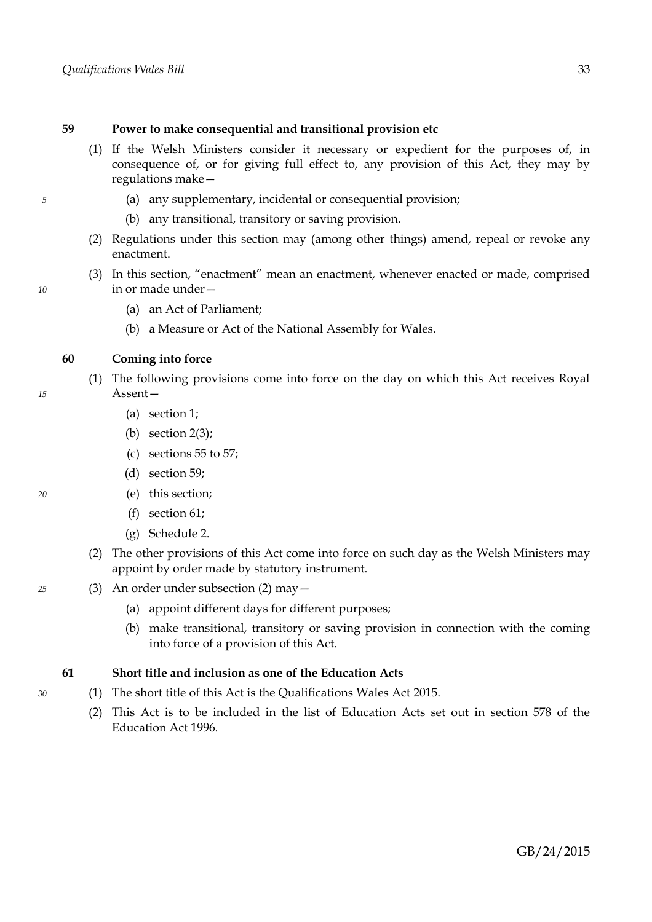### <span id="page-36-0"></span>**59 Power to make consequential and transitional provision etc**

- (1) If the Welsh Ministers consider it necessary or expedient for the purposes of, in consequence of, or for giving full effect to, any provision of this Act, they may by regulations make—
	- (a) any supplementary, incidental or consequential provision;
	- (b) any transitional, transitory or saving provision.
- (2) Regulations under this section may (among other things) amend, repeal or revoke any enactment.
- (3) In this section, "enactment" mean an enactment, whenever enacted or made, comprised in or made under—
	- (a) an Act of Parliament;
	- (b) a Measure or Act of the National Assembly for Wales.

### **60 Coming into force**

- (1) The following provisions come into force on the day on which this Act receives Royal Assent—
	- (a) section [1;](#page-4-2)
	- (b) section  $2(3)$ ;
	- (c) sections [55](#page-33-2) to [57;](#page-34-1)
	- (d) section [59;](#page-36-0)
	- (e) this section;
	- (f) section [61;](#page-36-2)
	- (g) Schedule [2.](#page-44-0)
- <span id="page-36-1"></span>(2) The other provisions of this Act come into force on such day as the Welsh Ministers may appoint by order made by statutory instrument.
- (3) An order under subsection [\(2\)](#page-36-1) may—
	- (a) appoint different days for different purposes;
	- (b) make transitional, transitory or saving provision in connection with the coming into force of a provision of this Act.

### <span id="page-36-2"></span>**61 Short title and inclusion as one of the Education Acts**

- (1) The short title of this Act is the Qualifications Wales Act 2015.
	- (2) This Act is to be included in the list of Education Acts set out in section 578 of the Education Act 1996.

*20*

*15*

*5*

*10*

*30*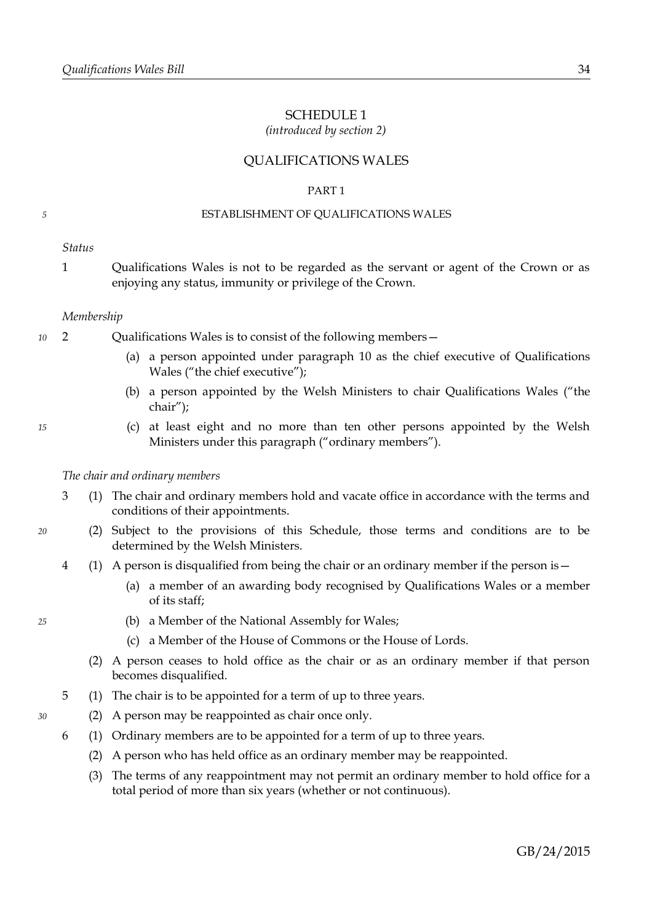### <span id="page-37-0"></span>SCHEDULE 1

*(introduced by section [2\)](#page-5-2)*

### QUALIFICATIONS WALES

### PART 1

### ESTABLISHMENT OF QUALIFICATIONS WALES

*Status*

*5*

1 Qualifications Wales is not to be regarded as the servant or agent of the Crown or as enjoying any status, immunity or privilege of the Crown.

### *Membership*

- 2 Qualifications Wales is to consist of the following members— *10*
	- (a) a person appointed under paragraph [10](#page-38-0) as the chief executive of Qualifications Wales ("the chief executive");
	- (b) a person appointed by the Welsh Ministers to chair Qualifications Wales ("the chair");
	- (c) at least eight and no more than ten other persons appointed by the Welsh Ministers under this paragraph ("ordinary members").

### *The chair and ordinary members*

- 3 (1) The chair and ordinary members hold and vacate office in accordance with the terms and conditions of their appointments.
- (2) Subject to the provisions of this Schedule, those terms and conditions are to be determined by the Welsh Ministers.
- 4 (1) A person is disqualified from being the chair or an ordinary member if the person is—
	- (a) a member of an awarding body recognised by Qualifications Wales or a member of its staff;
	- (b) a Member of the National Assembly for Wales;
	- (c) a Member of the House of Commons or the House of Lords.
	- (2) A person ceases to hold office as the chair or as an ordinary member if that person becomes disqualified.
- 5 (1) The chair is to be appointed for a term of up to three years.
- (2) A person may be reappointed as chair once only.
- <span id="page-37-1"></span>6 (1) Ordinary members are to be appointed for a term of up to three years.
	- (2) A person who has held office as an ordinary member may be reappointed.
	- (3) The terms of any reappointment may not permit an ordinary member to hold office for a total period of more than six years (whether or not continuous).

*30*

*20*

*25*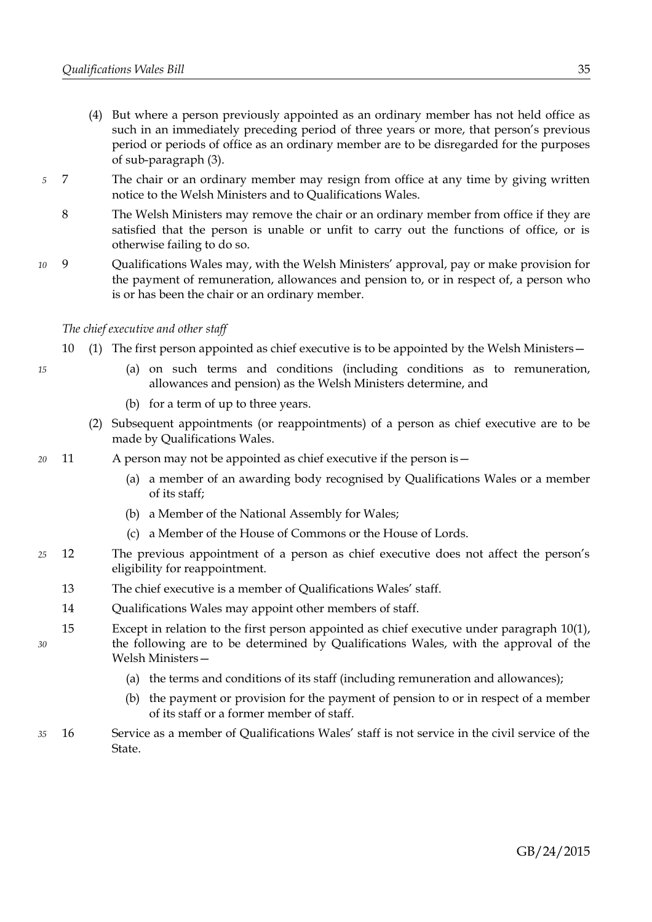- (4) But where a person previously appointed as an ordinary member has not held office as such in an immediately preceding period of three years or more, that person's previous period or periods of office as an ordinary member are to be disregarded for the purposes of sub-paragraph [\(3\).](#page-37-1)
- 7 The chair or an ordinary member may resign from office at any time by giving written notice to the Welsh Ministers and to Qualifications Wales. *5*
	- 8 The Welsh Ministers may remove the chair or an ordinary member from office if they are satisfied that the person is unable or unfit to carry out the functions of office, or is otherwise failing to do so.
- 9 Qualifications Wales may, with the Welsh Ministers' approval, pay or make provision for the payment of remuneration, allowances and pension to, or in respect of, a person who is or has been the chair or an ordinary member. *10*

### *The chief executive and other staff*

- <span id="page-38-1"></span><span id="page-38-0"></span>10 (1) The first person appointed as chief executive is to be appointed by the Welsh Ministers—
	- (a) on such terms and conditions (including conditions as to remuneration, allowances and pension) as the Welsh Ministers determine, and
	- (b) for a term of up to three years.
	- (2) Subsequent appointments (or reappointments) of a person as chief executive are to be made by Qualifications Wales.
- 11 A person may not be appointed as chief executive if the person is— *20*
	- (a) a member of an awarding body recognised by Qualifications Wales or a member of its staff;
	- (b) a Member of the National Assembly for Wales;
	- (c) a Member of the House of Commons or the House of Lords.
- 12 The previous appointment of a person as chief executive does not affect the person's eligibility for reappointment. *25*
	- 13 The chief executive is a member of Qualifications Wales' staff.
	- 14 Qualifications Wales may appoint other members of staff.
- 15 Except in relation to the first person appointed as chief executive under paragraph [10](#page-38-0)[\(1\),](#page-38-1) the following are to be determined by Qualifications Wales, with the approval of the Welsh Ministers— *30*
	- (a) the terms and conditions of its staff (including remuneration and allowances);
	- (b) the payment or provision for the payment of pension to or in respect of a member of its staff or a former member of staff.
- 16 Service as a member of Qualifications Wales' staff is not service in the civil service of the State. *35*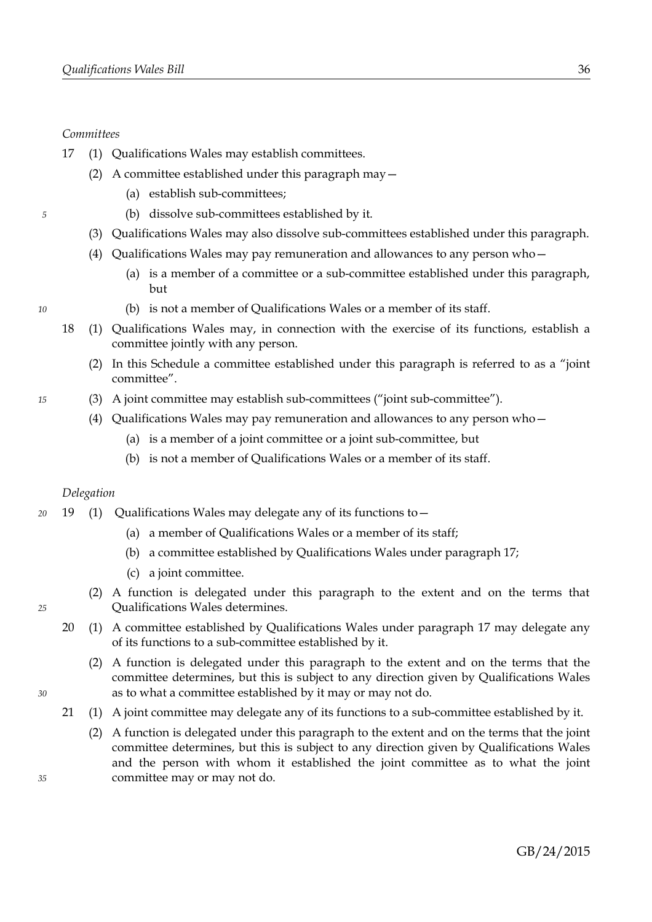### *Committees*

*5*

*10*

*15*

- <span id="page-39-0"></span>17 (1) Qualifications Wales may establish committees.
	- (2) A committee established under this paragraph may—
		- (a) establish sub-committees;
		- (b) dissolve sub-committees established by it.
	- (3) Qualifications Wales may also dissolve sub-committees established under this paragraph.
	- (4) Qualifications Wales may pay remuneration and allowances to any person who—
		- (a) is a member of a committee or a sub-committee established under this paragraph, but
		- (b) is not a member of Qualifications Wales or a member of its staff.
- 18 (1) Qualifications Wales may, in connection with the exercise of its functions, establish a committee jointly with any person.
	- (2) In this Schedule a committee established under this paragraph is referred to as a "joint committee".
	- (3) A joint committee may establish sub-committees ("joint sub-committee").
		- (4) Qualifications Wales may pay remuneration and allowances to any person who—
			- (a) is a member of a joint committee or a joint sub-committee, but
			- (b) is not a member of Qualifications Wales or a member of its staff.

### *Delegation*

- 19 (1) Qualifications Wales may delegate any of its functions to— *20*
	- (a) a member of Qualifications Wales or a member of its staff;
	- (b) a committee established by Qualifications Wales under paragraph [17;](#page-39-0)
	- (c) a joint committee.
	- (2) A function is delegated under this paragraph to the extent and on the terms that Qualifications Wales determines.
	- 20 (1) A committee established by Qualifications Wales under paragraph [17](#page-39-0) may delegate any of its functions to a sub-committee established by it.
		- (2) A function is delegated under this paragraph to the extent and on the terms that the committee determines, but this is subject to any direction given by Qualifications Wales as to what a committee established by it may or may not do.
	- 21 (1) A joint committee may delegate any of its functions to a sub-committee established by it.
		- (2) A function is delegated under this paragraph to the extent and on the terms that the joint committee determines, but this is subject to any direction given by Qualifications Wales and the person with whom it established the joint committee as to what the joint committee may or may not do.

*25*

*30*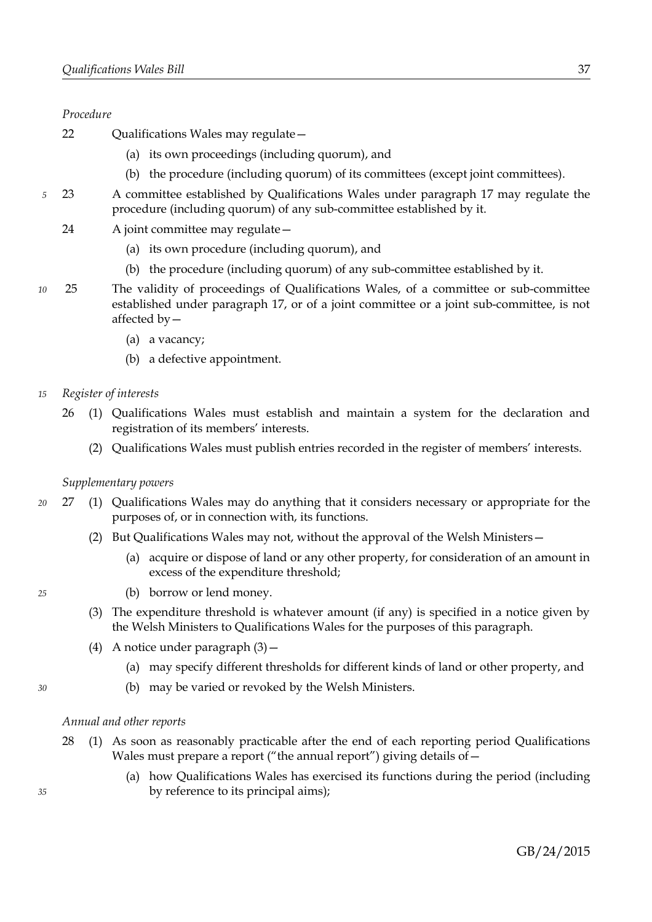### *Procedure*

- 22 Oualifications Wales may regulate -
	- (a) its own proceedings (including quorum), and
	- (b) the procedure (including quorum) of its committees (except joint committees).
- 23 A committee established by Qualifications Wales under paragraph [17](#page-39-0) may regulate the procedure (including quorum) of any sub-committee established by it. *5*
	- 24 A joint committee may regulate—
		- (a) its own procedure (including quorum), and
		- (b) the procedure (including quorum) of any sub-committee established by it.
- 25 The validity of proceedings of Qualifications Wales, of a committee or sub-committee established under paragraph [17,](#page-39-0) or of a joint committee or a joint sub-committee, is not affected by— *10*
	- (a) a vacancy;
	- (b) a defective appointment.
- *Register of interests 15*
	- 26 (1) Qualifications Wales must establish and maintain a system for the declaration and registration of its members' interests.
		- (2) Qualifications Wales must publish entries recorded in the register of members' interests.

### *Supplementary powers*

- 27 (1) Qualifications Wales may do anything that it considers necessary or appropriate for the purposes of, or in connection with, its functions. *20*
	- (2) But Qualifications Wales may not, without the approval of the Welsh Ministers—
		- (a) acquire or dispose of land or any other property, for consideration of an amount in excess of the expenditure threshold;
		- (b) borrow or lend money.
	- (3) The expenditure threshold is whatever amount (if any) is specified in a notice given by the Welsh Ministers to Qualifications Wales for the purposes of this paragraph.
	- (4) A notice under paragraph  $(3)$  -
		- (a) may specify different thresholds for different kinds of land or other property, and
		- (b) may be varied or revoked by the Welsh Ministers.

### *Annual and other reports*

- <span id="page-40-2"></span><span id="page-40-1"></span>28 (1) As soon as reasonably practicable after the end of each reporting period Qualifications Wales must prepare a report ("the annual report") giving details of -
	- (a) how Qualifications Wales has exercised its functions during the period (including by reference to its principal aims);

*35*

<span id="page-40-0"></span>*25*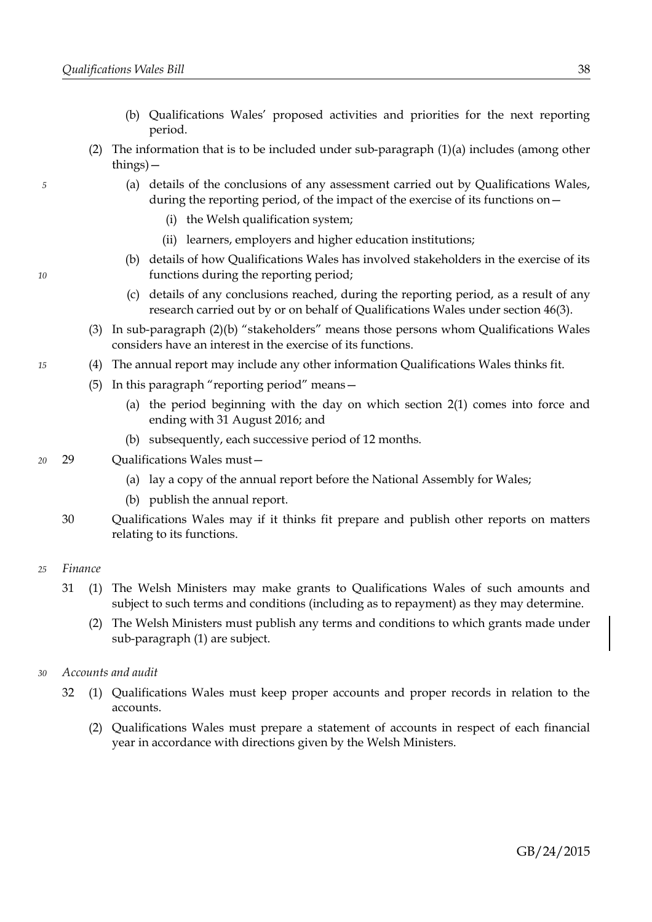- (b) Qualifications Wales' proposed activities and priorities for the next reporting period.
- <span id="page-41-2"></span>(2) The information that is to be included under sub-paragraph [\(1\)](#page-40-2)[\(a\)](#page-40-1) includes (among other things)—
	- (a) details of the conclusions of any assessment carried out by Qualifications Wales, during the reporting period, of the impact of the exercise of its functions on—
		- (i) the Welsh qualification system;
		- (ii) learners, employers and higher education institutions;
	- (b) details of how Qualifications Wales has involved stakeholders in the exercise of its functions during the reporting period;
	- (c) details of any conclusions reached, during the reporting period, as a result of any research carried out by or on behalf of Qualifications Wales under section [46](#page-29-3)[\(3\).](#page-29-7)
- <span id="page-41-1"></span>(3) In sub-paragraph [\(2\)](#page-41-2)[\(b\)](#page-41-1) "stakeholders" means those persons whom Qualifications Wales considers have an interest in the exercise of its functions.
- (4) The annual report may include any other information Qualifications Wales thinks fit.
	- (5) In this paragraph "reporting period" means—
		- (a) the period beginning with the day on which section [2](#page-5-2)[\(1\)](#page-5-3) comes into force and ending with 31 August 2016; and
		- (b) subsequently, each successive period of 12 months.
- 29 Qualifications Wales must— *20*
	- (a) lay a copy of the annual report before the National Assembly for Wales;
	- (b) publish the annual report.
	- 30 Qualifications Wales may if it thinks fit prepare and publish other reports on matters relating to its functions.

#### *Finance 25*

*5*

*10*

*15*

- <span id="page-41-0"></span>31 (1) The Welsh Ministers may make grants to Qualifications Wales of such amounts and subject to such terms and conditions (including as to repayment) as they may determine.
	- (2) The Welsh Ministers must publish any terms and conditions to which grants made under sub-paragraph [\(1\)](#page-41-0) are subject.

#### *Accounts and audit 30*

- <span id="page-41-3"></span>32 (1) Qualifications Wales must keep proper accounts and proper records in relation to the accounts.
	- (2) Qualifications Wales must prepare a statement of accounts in respect of each financial year in accordance with directions given by the Welsh Ministers.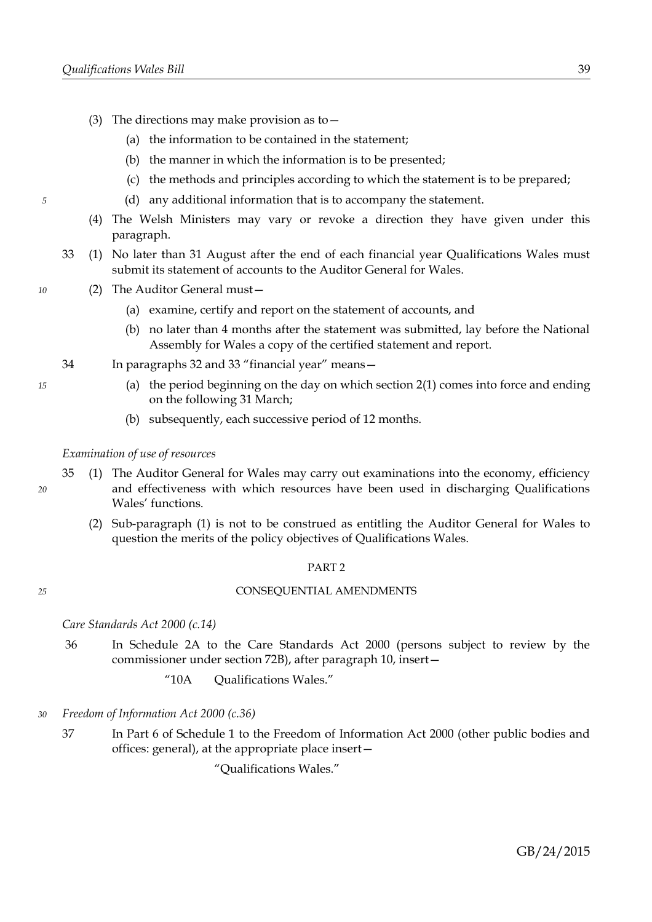- (3) The directions may make provision as to  $-$ 
	- (a) the information to be contained in the statement;
	- (b) the manner in which the information is to be presented;
	- (c) the methods and principles according to which the statement is to be prepared;
	- (d) any additional information that is to accompany the statement.
- (4) The Welsh Ministers may vary or revoke a direction they have given under this paragraph.
- <span id="page-42-1"></span>33 (1) No later than 31 August after the end of each financial year Qualifications Wales must submit its statement of accounts to the Auditor General for Wales.
- (2) The Auditor General must—
	- (a) examine, certify and report on the statement of accounts, and
	- (b) no later than 4 months after the statement was submitted, lay before the National Assembly for Wales a copy of the certified statement and report.
- 34 In paragraphs [32](#page-41-3) and [33](#page-42-1) "financial year" means—
	- (a) the period beginning on the day on which section [2](#page-5-2)[\(1\)](#page-5-3) comes into force and ending on the following 31 March;
	- (b) subsequently, each successive period of 12 months.

### *Examination of use of resources*

- <span id="page-42-0"></span>35 (1) The Auditor General for Wales may carry out examinations into the economy, efficiency and effectiveness with which resources have been used in discharging Qualifications Wales' functions.
	- (2) Sub-paragraph [\(1\)](#page-42-0) is not to be construed as entitling the Auditor General for Wales to question the merits of the policy objectives of Qualifications Wales.

### PART 2

### CONSEQUENTIAL AMENDMENTS

*Care Standards Act 2000 (c.14)*

- 36 In Schedule 2A to the Care Standards Act 2000 (persons subject to review by the commissioner under section 72B), after paragraph 10, insert—
	- "10A Qualifications Wales."
- *Freedom of Information Act 2000 (c.36) 30*
	- 37 In Part 6 of Schedule 1 to the Freedom of Information Act 2000 (other public bodies and offices: general), at the appropriate place insert—

"Qualifications Wales."

*15*

*10*

*5*

*20*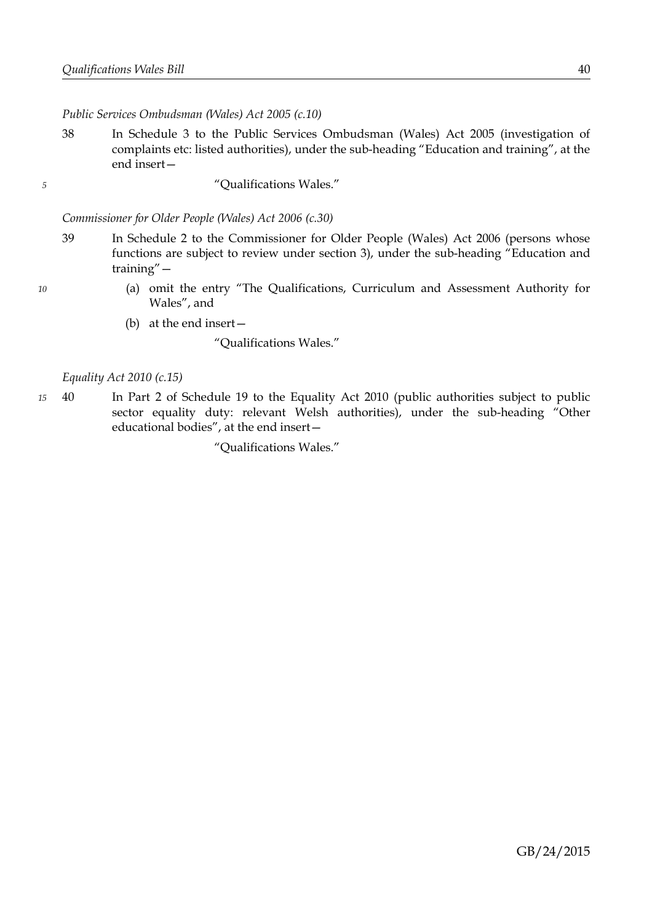*Public Services Ombudsman (Wales) Act 2005 (c.10)*

- 38 In Schedule 3 to the Public Services Ombudsman (Wales) Act 2005 (investigation of complaints etc: listed authorities), under the sub-heading "Education and training", at the end insert—
- *5*

*10*

"Qualifications Wales."

*Commissioner for Older People (Wales) Act 2006 (c.30)*

- 39 In Schedule 2 to the Commissioner for Older People (Wales) Act 2006 (persons whose functions are subject to review under section 3), under the sub-heading "Education and training"—
	- (a) omit the entry "The Qualifications, Curriculum and Assessment Authority for Wales", and
	- (b) at the end insert—

"Qualifications Wales."

### *Equality Act 2010 (c.15)*

40 In Part 2 of Schedule 19 to the Equality Act 2010 (public authorities subject to public sector equality duty: relevant Welsh authorities), under the sub-heading "Other educational bodies", at the end insert— *15*

"Qualifications Wales."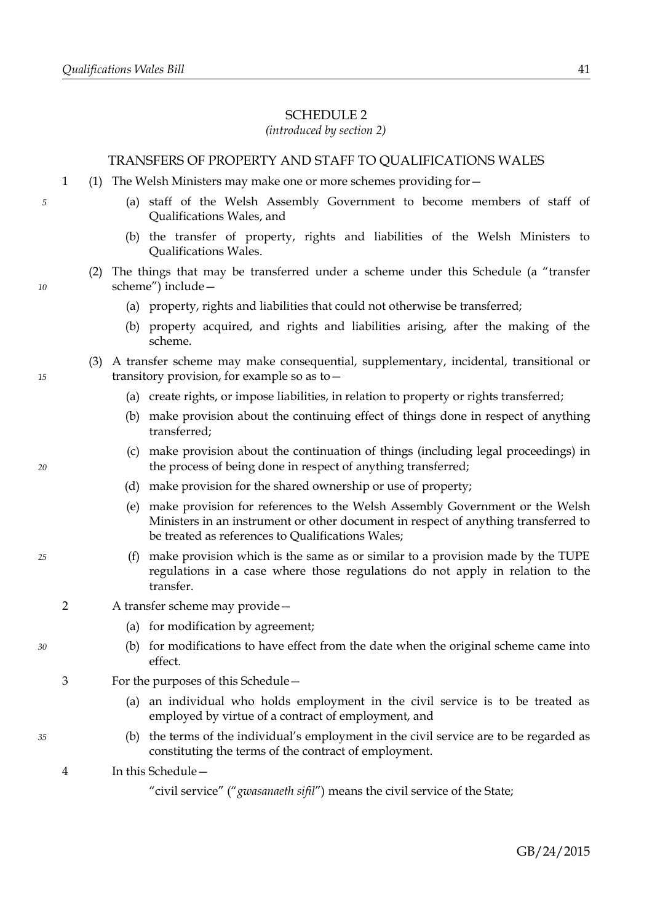### <span id="page-44-0"></span>SCHEDULE 2

### *(introduced by section [2\)](#page-5-2)*

### TRANSFERS OF PROPERTY AND STAFF TO QUALIFICATIONS WALES

- 1 (1) The Welsh Ministers may make one or more schemes providing for—
	- (a) staff of the Welsh Assembly Government to become members of staff of Qualifications Wales, and
	- (b) the transfer of property, rights and liabilities of the Welsh Ministers to Qualifications Wales.
	- (2) The things that may be transferred under a scheme under this Schedule (a "transfer scheme") include—
		- (a) property, rights and liabilities that could not otherwise be transferred;
		- (b) property acquired, and rights and liabilities arising, after the making of the scheme.
	- (3) A transfer scheme may make consequential, supplementary, incidental, transitional or transitory provision, for example so as to—
		- (a) create rights, or impose liabilities, in relation to property or rights transferred;
		- (b) make provision about the continuing effect of things done in respect of anything transferred;
		- (c) make provision about the continuation of things (including legal proceedings) in the process of being done in respect of anything transferred;
		- (d) make provision for the shared ownership or use of property;
		- (e) make provision for references to the Welsh Assembly Government or the Welsh Ministers in an instrument or other document in respect of anything transferred to be treated as references to Qualifications Wales;
		- (f) make provision which is the same as or similar to a provision made by the TUPE regulations in a case where those regulations do not apply in relation to the transfer.
- 2 A transfer scheme may provide—
	- (a) for modification by agreement;
	- (b) for modifications to have effect from the date when the original scheme came into effect.
- 3 For the purposes of this Schedule—
	- (a) an individual who holds employment in the civil service is to be treated as employed by virtue of a contract of employment, and
	- (b) the terms of the individual's employment in the civil service are to be regarded as constituting the terms of the contract of employment.
- 4 In this Schedule—

*10*

*15*

*20*

*25*

*30*

*35*

<sup>&</sup>quot;civil service" ("*gwasanaeth sifil*") means the civil service of the State;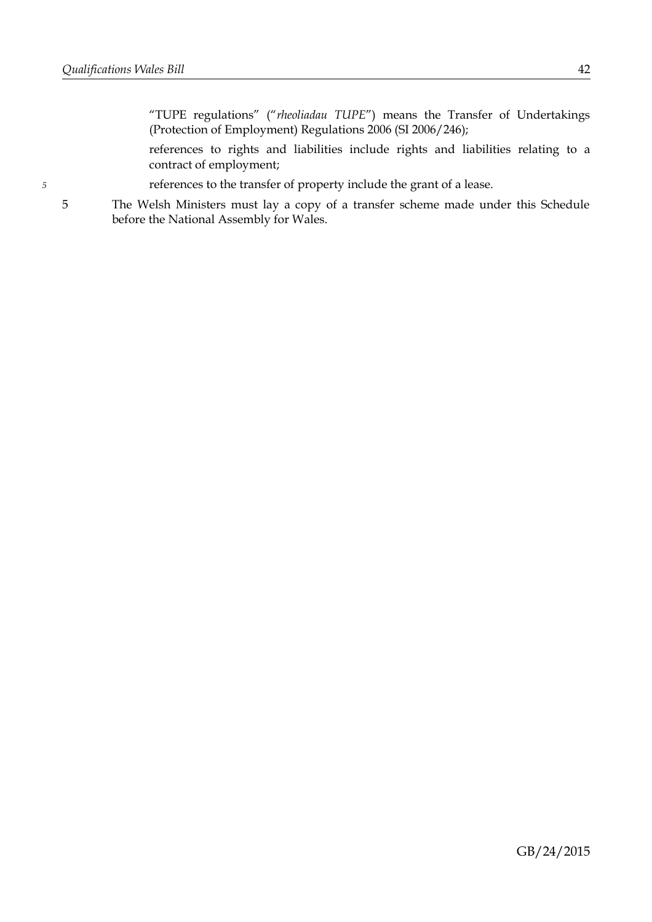*5*

"TUPE regulations" ("*rheoliadau TUPE*") means the Transfer of Undertakings (Protection of Employment) Regulations 2006 (SI 2006/246);

references to rights and liabilities include rights and liabilities relating to a contract of employment;

references to the transfer of property include the grant of a lease.

5 The Welsh Ministers must lay a copy of a transfer scheme made under this Schedule before the National Assembly for Wales.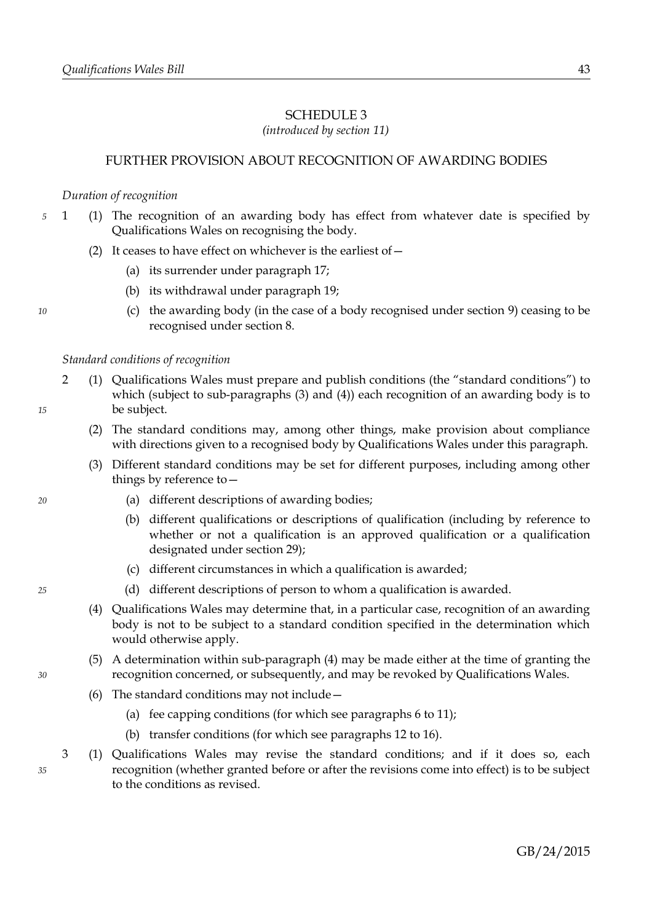# <span id="page-46-0"></span>SCHEDULE 3

*(introduced by section [11\)](#page-9-3)*

# FURTHER PROVISION ABOUT RECOGNITION OF AWARDING BODIES

### <span id="page-46-2"></span>*Duration of recognition*

- <span id="page-46-1"></span>1 (1) The recognition of an awarding body has effect from whatever date is specified by Qualifications Wales on recognising the body. *5*
	- (2) It ceases to have effect on whichever is the earliest of  $-$ 
		- (a) its surrender under paragraph [17;](#page-51-0)
		- (b) its withdrawal under paragraph [19;](#page-52-0)
		- (c) the awarding body (in the case of a body recognised under section [9\)](#page-9-0) ceasing to be recognised under section [8.](#page-8-0)

### *Standard conditions of recognition*

- <span id="page-46-5"></span>2 (1) Qualifications Wales must prepare and publish conditions (the "standard conditions") to which (subject to sub-paragraphs [\(3\)](#page-46-4) and [\(4\)\)](#page-46-3) each recognition of an awarding body is to be subject.
	- (2) The standard conditions may, among other things, make provision about compliance with directions given to a recognised body by Qualifications Wales under this paragraph.
	- (3) Different standard conditions may be set for different purposes, including among other things by reference to—
		- (a) different descriptions of awarding bodies;
		- (b) different qualifications or descriptions of qualification (including by reference to whether or not a qualification is an approved qualification or a qualification designated under section [29\)](#page-18-1);
		- (c) different circumstances in which a qualification is awarded;
		- (d) different descriptions of person to whom a qualification is awarded.
	- (4) Qualifications Wales may determine that, in a particular case, recognition of an awarding body is not to be subject to a standard condition specified in the determination which would otherwise apply.
	- (5) A determination within sub-paragraph [\(4\)](#page-46-3) may be made either at the time of granting the recognition concerned, or subsequently, and may be revoked by Qualifications Wales.
	- (6) The standard conditions may not include—
		- (a) fee capping conditions (for which see paragraphs [6](#page-47-0) to [11\)](#page-49-1);
		- (b) transfer conditions (for which see paragraphs [12](#page-49-0) to [16\)](#page-50-1).
- <span id="page-46-6"></span>3 (1) Qualifications Wales may revise the standard conditions; and if it does so, each recognition (whether granted before or after the revisions come into effect) is to be subject to the conditions as revised.

*15*

*10*

<span id="page-46-3"></span>*25*

<span id="page-46-4"></span>*20*

*35*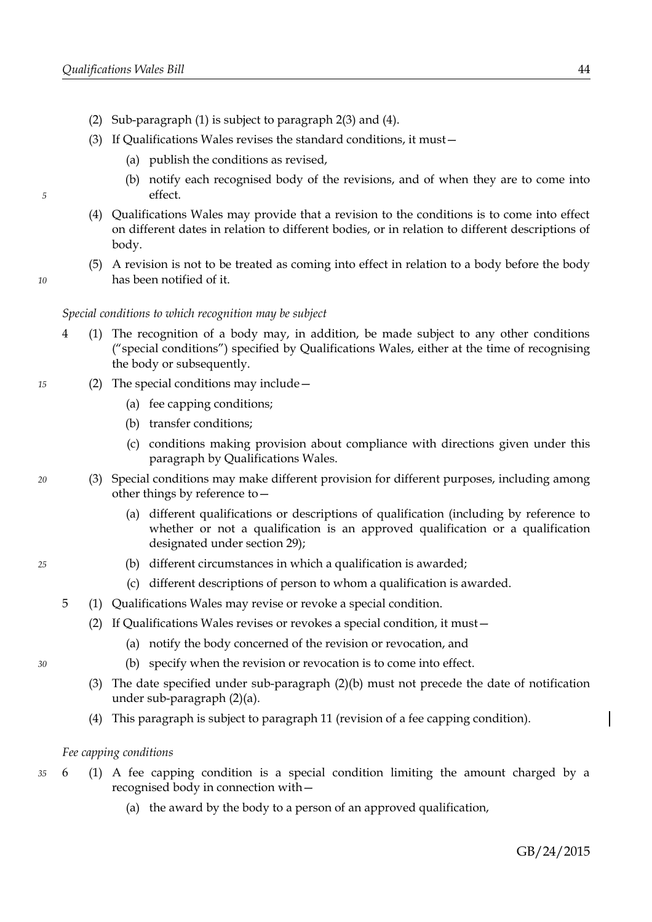*5*

*10*

*20*

<span id="page-47-5"></span>*25*

<span id="page-47-4"></span><span id="page-47-3"></span><span id="page-47-2"></span>*30*

- (2) Sub-paragraph [\(1\)](#page-46-6) is subject to paragraph [2](#page-46-5)[\(3\)](#page-46-4) and [\(4\).](#page-46-3)
- (3) If Qualifications Wales revises the standard conditions, it must—
	- (a) publish the conditions as revised,
	- (b) notify each recognised body of the revisions, and of when they are to come into effect.
- (4) Qualifications Wales may provide that a revision to the conditions is to come into effect on different dates in relation to different bodies, or in relation to different descriptions of body.
- (5) A revision is not to be treated as coming into effect in relation to a body before the body has been notified of it.

### *Special conditions to which recognition may be subject*

- <span id="page-47-1"></span>4 (1) The recognition of a body may, in addition, be made subject to any other conditions ("special conditions") specified by Qualifications Wales, either at the time of recognising the body or subsequently.
- (2) The special conditions may include— *15*
	- (a) fee capping conditions;
	- (b) transfer conditions;
	- (c) conditions making provision about compliance with directions given under this paragraph by Qualifications Wales.
	- (3) Special conditions may make different provision for different purposes, including among other things by reference to—
		- (a) different qualifications or descriptions of qualification (including by reference to whether or not a qualification is an approved qualification or a qualification designated under section [29\)](#page-18-1);
		- (b) different circumstances in which a qualification is awarded;
			- (c) different descriptions of person to whom a qualification is awarded.
	- 5 (1) Qualifications Wales may revise or revoke a special condition.
		- (2) If Qualifications Wales revises or revokes a special condition, it must—
			- (a) notify the body concerned of the revision or revocation, and
			- (b) specify when the revision or revocation is to come into effect.
		- (3) The date specified under sub-paragraph [\(2\)](#page-47-3)[\(b\)](#page-47-4) must not precede the date of notification under sub-paragraph [\(2\)](#page-47-3)[\(a\).](#page-47-2)
		- (4) This paragraph is subject to paragraph [11](#page-49-1) (revision of a fee capping condition).

### <span id="page-47-0"></span>*Fee capping conditions*

- 6 (1) A fee capping condition is a special condition limiting the amount charged by a recognised body in connection with— *35*
	- (a) the award by the body to a person of an approved qualification,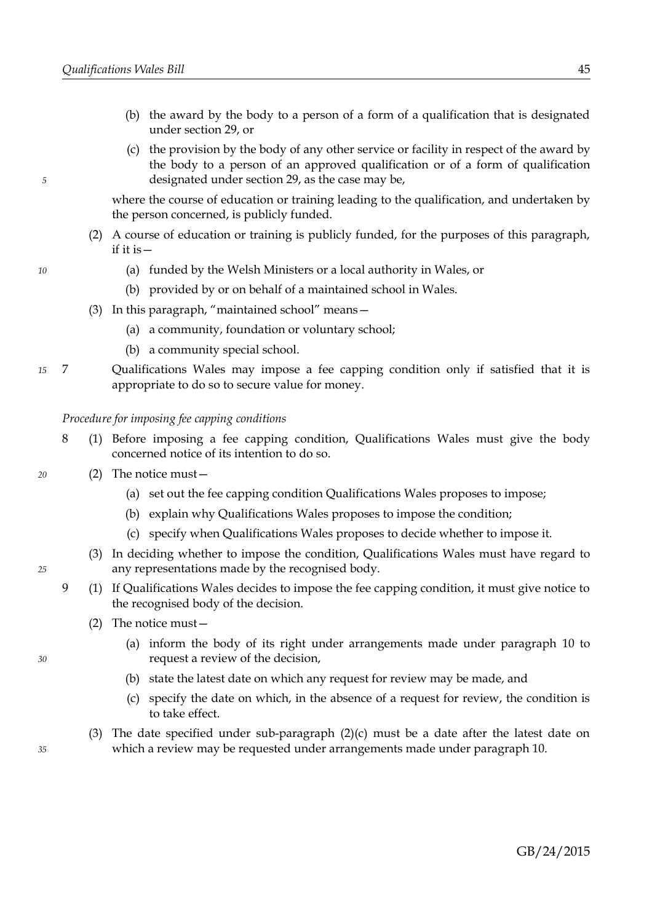- (b) the award by the body to a person of a form of a qualification that is designated under section [29,](#page-18-1) or
- (c) the provision by the body of any other service or facility in respect of the award by the body to a person of an approved qualification or of a form of qualification designated under section [29,](#page-18-1) as the case may be,

where the course of education or training leading to the qualification, and undertaken by the person concerned, is publicly funded.

- (2) A course of education or training is publicly funded, for the purposes of this paragraph, if it is—
	- (a) funded by the Welsh Ministers or a local authority in Wales, or
	- (b) provided by or on behalf of a maintained school in Wales.
- (3) In this paragraph, "maintained school" means—
	- (a) a community, foundation or voluntary school;
	- (b) a community special school.
- 7 Qualifications Wales may impose a fee capping condition only if satisfied that it is appropriate to do so to secure value for money. *15*

### *Procedure for imposing fee capping conditions*

- <span id="page-48-2"></span>8 (1) Before imposing a fee capping condition, Qualifications Wales must give the body concerned notice of its intention to do so.
- (2) The notice must—
	- (a) set out the fee capping condition Qualifications Wales proposes to impose;
	- (b) explain why Qualifications Wales proposes to impose the condition;
	- (c) specify when Qualifications Wales proposes to decide whether to impose it.
	- (3) In deciding whether to impose the condition, Qualifications Wales must have regard to any representations made by the recognised body.
- <span id="page-48-3"></span><span id="page-48-1"></span>9 (1) If Qualifications Wales decides to impose the fee capping condition, it must give notice to the recognised body of the decision.
	- (2) The notice must—
		- (a) inform the body of its right under arrangements made under paragraph [10](#page-49-2) to request a review of the decision,
		- (b) state the latest date on which any request for review may be made, and
		- (c) specify the date on which, in the absence of a request for review, the condition is to take effect.
	- (3) The date specified under sub-paragraph  $(2)(c)$  $(2)(c)$  must be a date after the latest date on which a review may be requested under arrangements made under paragraph [10.](#page-49-2)

*10*

*5*

<span id="page-48-0"></span>*35*

*20*

*25*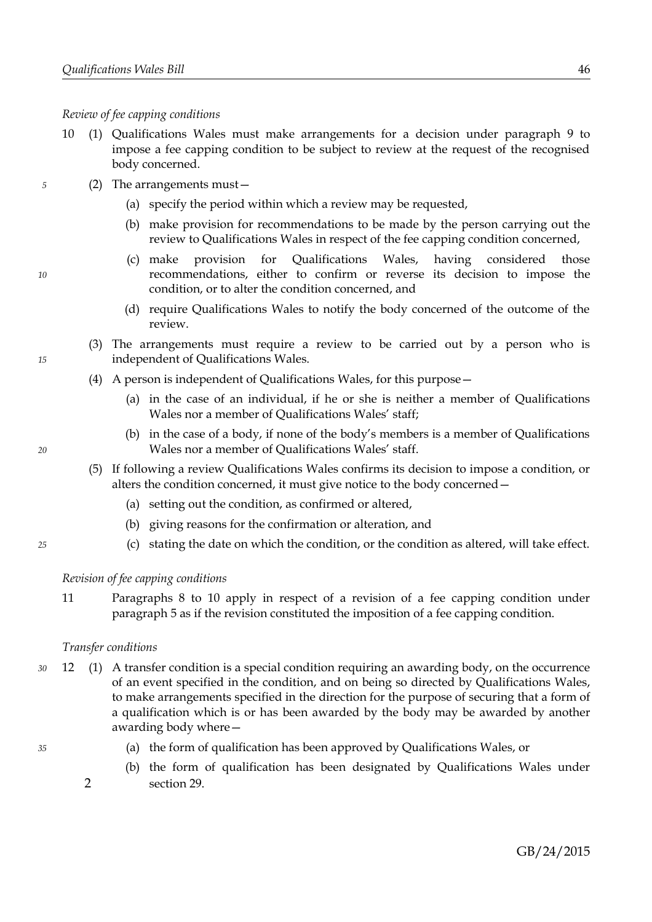*Review of fee capping conditions*

- <span id="page-49-2"></span>10 (1) Qualifications Wales must make arrangements for a decision under paragraph [9](#page-48-3) to impose a fee capping condition to be subject to review at the request of the recognised body concerned.
	- (2) The arrangements must—
		- (a) specify the period within which a review may be requested,
		- (b) make provision for recommendations to be made by the person carrying out the review to Qualifications Wales in respect of the fee capping condition concerned,
		- (c) make provision for Qualifications Wales, having considered those recommendations, either to confirm or reverse its decision to impose the condition, or to alter the condition concerned, and
		- (d) require Qualifications Wales to notify the body concerned of the outcome of the review.
		- (3) The arrangements must require a review to be carried out by a person who is independent of Qualifications Wales.
		- (4) A person is independent of Qualifications Wales, for this purpose—
			- (a) in the case of an individual, if he or she is neither a member of Qualifications Wales nor a member of Qualifications Wales' staff;
			- (b) in the case of a body, if none of the body's members is a member of Qualifications Wales nor a member of Qualifications Wales' staff.
		- (5) If following a review Qualifications Wales confirms its decision to impose a condition, or alters the condition concerned, it must give notice to the body concerned—
			- (a) setting out the condition, as confirmed or altered,
			- (b) giving reasons for the confirmation or alteration, and
			- (c) stating the date on which the condition, or the condition as altered, will take effect.

### *Revision of fee capping conditions*

<span id="page-49-1"></span>11 Paragraphs [8](#page-48-2) to [10](#page-49-2) apply in respect of a revision of a fee capping condition under paragraph [5](#page-47-5) as if the revision constituted the imposition of a fee capping condition.

### <span id="page-49-0"></span>*Transfer conditions*

- 12 (1) A transfer condition is a special condition requiring an awarding body, on the occurrence of an event specified in the condition, and on being so directed by Qualifications Wales, to make arrangements specified in the direction for the purpose of securing that a form of a qualification which is or has been awarded by the body may be awarded by another awarding body where— *30*
	- (a) the form of qualification has been approved by Qualifications Wales, or
	- (b) the form of qualification has been designated by Qualifications Wales under 2 section [29.](#page-18-1)

*20*

*25*

*15*

*5*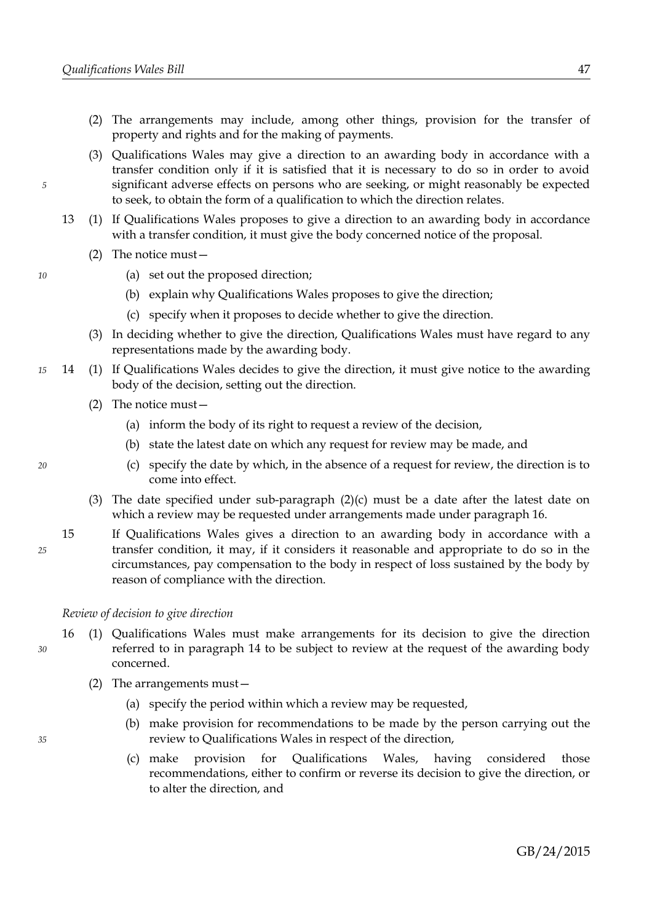- (2) The arrangements may include, among other things, provision for the transfer of property and rights and for the making of payments.
- (3) Qualifications Wales may give a direction to an awarding body in accordance with a transfer condition only if it is satisfied that it is necessary to do so in order to avoid significant adverse effects on persons who are seeking, or might reasonably be expected to seek, to obtain the form of a qualification to which the direction relates.
- 13 (1) If Qualifications Wales proposes to give a direction to an awarding body in accordance with a transfer condition, it must give the body concerned notice of the proposal.
	- (2) The notice must—
		- (a) set out the proposed direction;
		- (b) explain why Qualifications Wales proposes to give the direction;
		- (c) specify when it proposes to decide whether to give the direction.
	- (3) In deciding whether to give the direction, Qualifications Wales must have regard to any representations made by the awarding body.
- <span id="page-50-4"></span><span id="page-50-2"></span>14 (1) If Qualifications Wales decides to give the direction, it must give notice to the awarding body of the decision, setting out the direction. *15*
	- (2) The notice must—
		- (a) inform the body of its right to request a review of the decision,
		- (b) state the latest date on which any request for review may be made, and
		- (c) specify the date by which, in the absence of a request for review, the direction is to come into effect.
	- (3) The date specified under sub-paragraph  $(2)(c)$  $(2)(c)$  must be a date after the latest date on which a review may be requested under arrangements made under paragraph [16.](#page-50-1)
	- 15 If Qualifications Wales gives a direction to an awarding body in accordance with a transfer condition, it may, if it considers it reasonable and appropriate to do so in the circumstances, pay compensation to the body in respect of loss sustained by the body by reason of compliance with the direction.

### *Review of decision to give direction*

- <span id="page-50-1"></span>16 (1) Qualifications Wales must make arrangements for its decision to give the direction referred to in paragraph [14](#page-50-2) to be subject to review at the request of the awarding body concerned.
	- (2) The arrangements must—
		- (a) specify the period within which a review may be requested,
		- (b) make provision for recommendations to be made by the person carrying out the review to Qualifications Wales in respect of the direction,
		- (c) make provision for Qualifications Wales, having considered those recommendations, either to confirm or reverse its decision to give the direction, or to alter the direction, and

<span id="page-50-3"></span>*20*

<span id="page-50-0"></span>*25*

*30*

*35*

*5*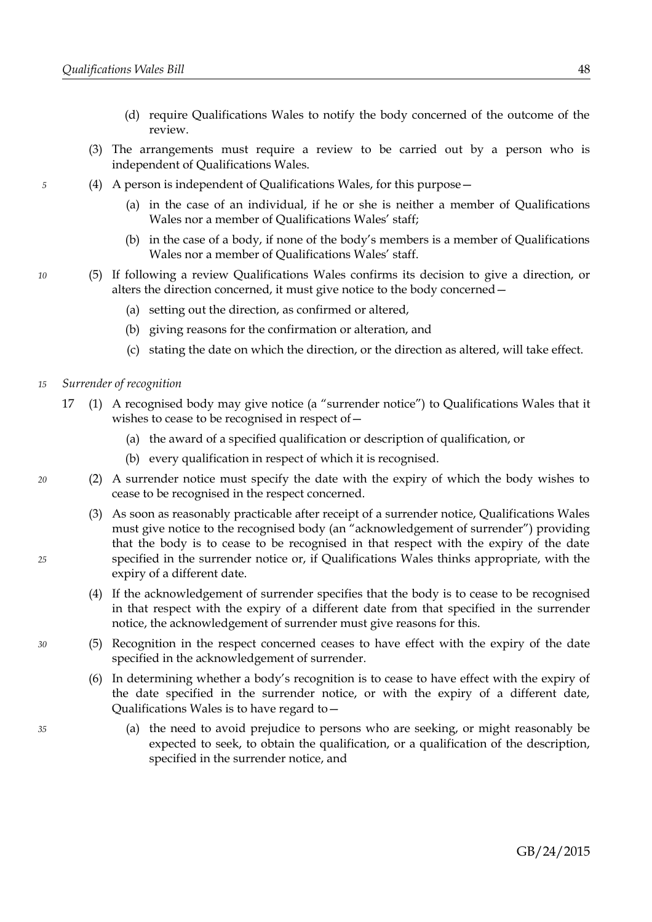- (d) require Qualifications Wales to notify the body concerned of the outcome of the review.
- (3) The arrangements must require a review to be carried out by a person who is independent of Qualifications Wales.
- (4) A person is independent of Qualifications Wales, for this purpose—
	- (a) in the case of an individual, if he or she is neither a member of Qualifications Wales nor a member of Qualifications Wales' staff;
	- (b) in the case of a body, if none of the body's members is a member of Qualifications Wales nor a member of Qualifications Wales' staff.
- (5) If following a review Qualifications Wales confirms its decision to give a direction, or alters the direction concerned, it must give notice to the body concerned—
	- (a) setting out the direction, as confirmed or altered,
	- (b) giving reasons for the confirmation or alteration, and
	- (c) stating the date on which the direction, or the direction as altered, will take effect.
- <span id="page-51-0"></span>*Surrender of recognition 15*
	- 17 (1) A recognised body may give notice (a "surrender notice") to Qualifications Wales that it wishes to cease to be recognised in respect of—
		- (a) the award of a specified qualification or description of qualification, or
		- (b) every qualification in respect of which it is recognised.
		- (2) A surrender notice must specify the date with the expiry of which the body wishes to cease to be recognised in the respect concerned.
		- (3) As soon as reasonably practicable after receipt of a surrender notice, Qualifications Wales must give notice to the recognised body (an "acknowledgement of surrender") providing that the body is to cease to be recognised in that respect with the expiry of the date specified in the surrender notice or, if Qualifications Wales thinks appropriate, with the expiry of a different date.
		- (4) If the acknowledgement of surrender specifies that the body is to cease to be recognised in that respect with the expiry of a different date from that specified in the surrender notice, the acknowledgement of surrender must give reasons for this.
		- (5) Recognition in the respect concerned ceases to have effect with the expiry of the date specified in the acknowledgement of surrender.
			- (6) In determining whether a body's recognition is to cease to have effect with the expiry of the date specified in the surrender notice, or with the expiry of a different date, Qualifications Wales is to have regard to—
				- (a) the need to avoid prejudice to persons who are seeking, or might reasonably be expected to seek, to obtain the qualification, or a qualification of the description, specified in the surrender notice, and

*10*

<span id="page-51-1"></span>*20*

*25*

*30*

*35*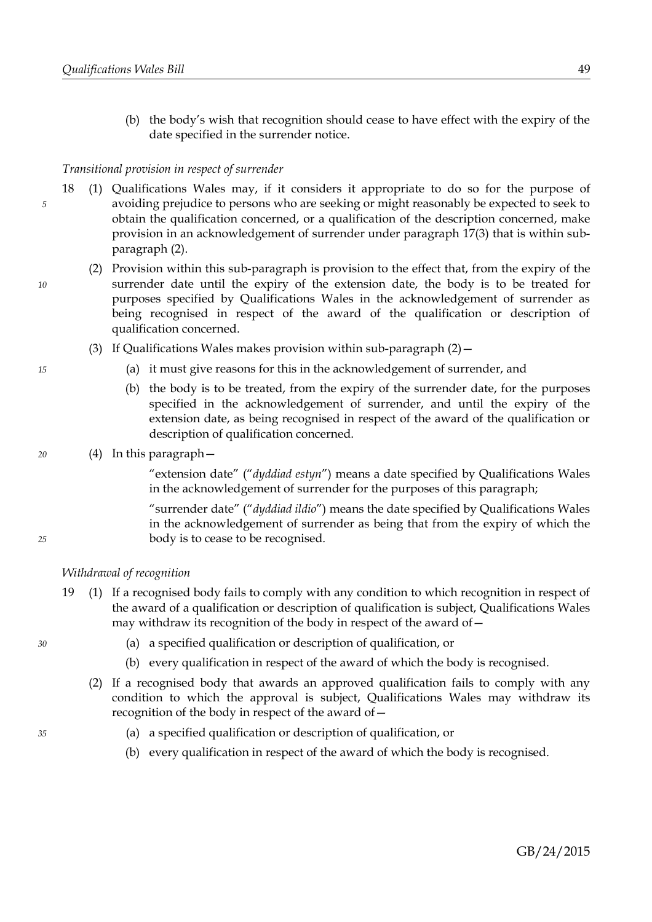(b) the body's wish that recognition should cease to have effect with the expiry of the date specified in the surrender notice.

### *Transitional provision in respect of surrender*

- 18 (1) Qualifications Wales may, if it considers it appropriate to do so for the purpose of avoiding prejudice to persons who are seeking or might reasonably be expected to seek to obtain the qualification concerned, or a qualification of the description concerned, make provision in an acknowledgement of surrender under paragraph [17](#page-51-0)[\(3\)](#page-51-1) that is within subparagraph [\(2\).](#page-52-1)
	- (2) Provision within this sub-paragraph is provision to the effect that, from the expiry of the surrender date until the expiry of the extension date, the body is to be treated for purposes specified by Qualifications Wales in the acknowledgement of surrender as being recognised in respect of the award of the qualification or description of qualification concerned.
		- (3) If Qualifications Wales makes provision within sub-paragraph  $(2)$  -
			- (a) it must give reasons for this in the acknowledgement of surrender, and
			- (b) the body is to be treated, from the expiry of the surrender date, for the purposes specified in the acknowledgement of surrender, and until the expiry of the extension date, as being recognised in respect of the award of the qualification or description of qualification concerned.

### (4) In this paragraph—

"extension date" ("*dyddiad estyn*") means a date specified by Qualifications Wales in the acknowledgement of surrender for the purposes of this paragraph;

"surrender date" ("*dyddiad ildio*") means the date specified by Qualifications Wales in the acknowledgement of surrender as being that from the expiry of which the body is to cease to be recognised.

### *Withdrawal of recognition*

- <span id="page-52-0"></span>19 (1) If a recognised body fails to comply with any condition to which recognition in respect of the award of a qualification or description of qualification is subject, Qualifications Wales may withdraw its recognition of the body in respect of the award of  $-$ 
	- (a) a specified qualification or description of qualification, or
	- (b) every qualification in respect of the award of which the body is recognised.
	- (2) If a recognised body that awards an approved qualification fails to comply with any condition to which the approval is subject, Qualifications Wales may withdraw its recognition of the body in respect of the award of—
		- (a) a specified qualification or description of qualification, or
		- (b) every qualification in respect of the award of which the body is recognised.

*35*

*30*

*15*

<span id="page-52-1"></span>*10*

*5*

*20*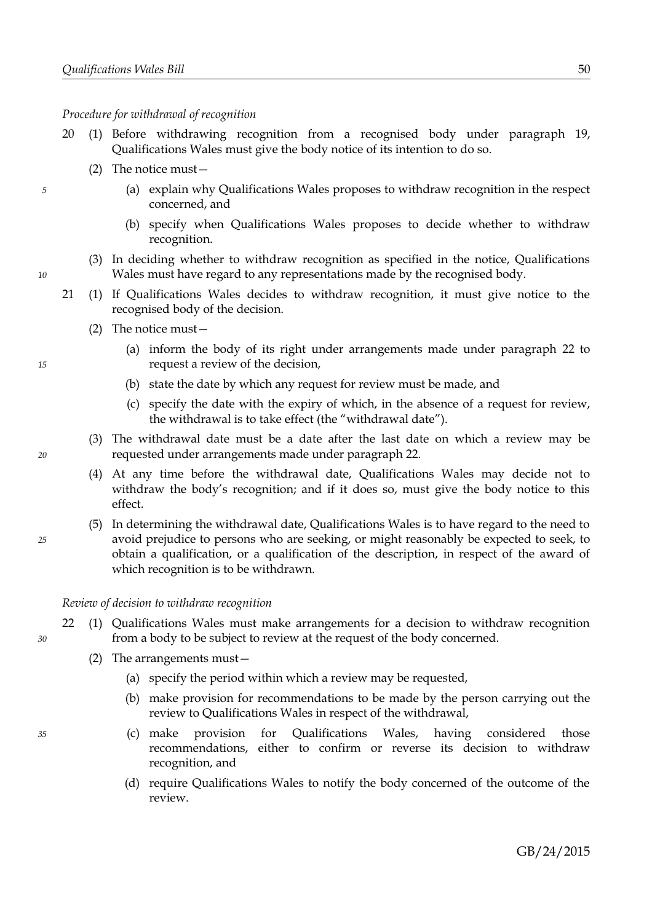*Procedure for withdrawal of recognition*

- 20 (1) Before withdrawing recognition from a recognised body under paragraph [19,](#page-52-0) Qualifications Wales must give the body notice of its intention to do so.
	- (2) The notice must—
		- (a) explain why Qualifications Wales proposes to withdraw recognition in the respect concerned, and
		- (b) specify when Qualifications Wales proposes to decide whether to withdraw recognition.
	- (3) In deciding whether to withdraw recognition as specified in the notice, Qualifications Wales must have regard to any representations made by the recognised body.
- <span id="page-53-1"></span>21 (1) If Qualifications Wales decides to withdraw recognition, it must give notice to the recognised body of the decision.
	- (2) The notice must—
		- (a) inform the body of its right under arrangements made under paragraph [22](#page-53-0) to request a review of the decision,
		- (b) state the date by which any request for review must be made, and
		- (c) specify the date with the expiry of which, in the absence of a request for review, the withdrawal is to take effect (the "withdrawal date").
	- (3) The withdrawal date must be a date after the last date on which a review may be requested under arrangements made under paragraph [22.](#page-53-0)
	- (4) At any time before the withdrawal date, Qualifications Wales may decide not to withdraw the body's recognition; and if it does so, must give the body notice to this effect.
	- (5) In determining the withdrawal date, Qualifications Wales is to have regard to the need to avoid prejudice to persons who are seeking, or might reasonably be expected to seek, to obtain a qualification, or a qualification of the description, in respect of the award of which recognition is to be withdrawn.

*Review of decision to withdraw recognition*

- <span id="page-53-0"></span>22 (1) Qualifications Wales must make arrangements for a decision to withdraw recognition from a body to be subject to review at the request of the body concerned.
	- (2) The arrangements must—
		- (a) specify the period within which a review may be requested,
		- (b) make provision for recommendations to be made by the person carrying out the review to Qualifications Wales in respect of the withdrawal,
		- (c) make provision for Qualifications Wales, having considered those recommendations, either to confirm or reverse its decision to withdraw recognition, and
		- (d) require Qualifications Wales to notify the body concerned of the outcome of the review.

*35*

*25*

*20*

*5*

*10*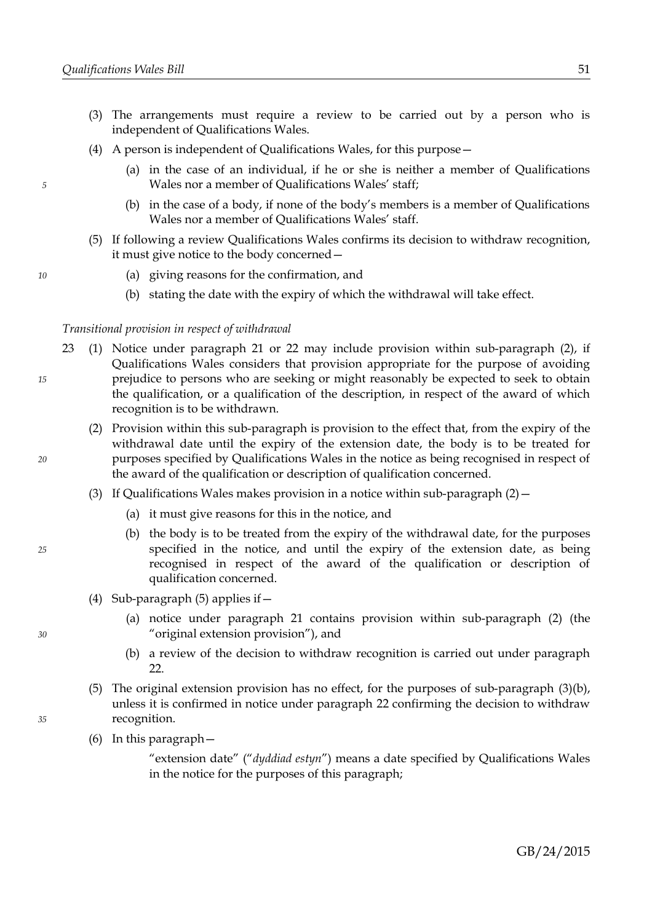- (3) The arrangements must require a review to be carried out by a person who is independent of Qualifications Wales.
- (4) A person is independent of Qualifications Wales, for this purpose—
	- (a) in the case of an individual, if he or she is neither a member of Qualifications Wales nor a member of Qualifications Wales' staff;
	- (b) in the case of a body, if none of the body's members is a member of Qualifications Wales nor a member of Qualifications Wales' staff.
- (5) If following a review Qualifications Wales confirms its decision to withdraw recognition, it must give notice to the body concerned—
	- (a) giving reasons for the confirmation, and
	- (b) stating the date with the expiry of which the withdrawal will take effect.

### *Transitional provision in respect of withdrawal*

- 23 (1) Notice under paragraph [21](#page-53-1) or [22](#page-53-0) may include provision within sub-paragraph [\(2\),](#page-54-0) if Qualifications Wales considers that provision appropriate for the purpose of avoiding prejudice to persons who are seeking or might reasonably be expected to seek to obtain the qualification, or a qualification of the description, in respect of the award of which recognition is to be withdrawn.
	- (2) Provision within this sub-paragraph is provision to the effect that, from the expiry of the withdrawal date until the expiry of the extension date, the body is to be treated for purposes specified by Qualifications Wales in the notice as being recognised in respect of the award of the qualification or description of qualification concerned.
	- (3) If Qualifications Wales makes provision in a notice within sub-paragraph  $(2)$  -
		- (a) it must give reasons for this in the notice, and
		- (b) the body is to be treated from the expiry of the withdrawal date, for the purposes specified in the notice, and until the expiry of the extension date, as being recognised in respect of the award of the qualification or description of qualification concerned.
	- (4) Sub-paragraph [\(5\)](#page-54-3) applies if—
		- (a) notice under paragraph [21](#page-53-1) contains provision within sub-paragraph [\(2\)](#page-54-0) (the "original extension provision"), and
		- (b) a review of the decision to withdraw recognition is carried out under paragraph [22.](#page-53-0)
	- (5) The original extension provision has no effect, for the purposes of sub-paragraph [\(3\)](#page-54-2)[\(b\),](#page-54-1) unless it is confirmed in notice under paragraph [22](#page-53-0) confirming the decision to withdraw recognition.
	- (6) In this paragraph—

"extension date" ("*dyddiad estyn*") means a date specified by Qualifications Wales in the notice for the purposes of this paragraph;

GB/24/2015

<span id="page-54-3"></span>

*30*

*5*

*10*

*15*

<span id="page-54-2"></span><span id="page-54-0"></span>*20*

<span id="page-54-1"></span>*25*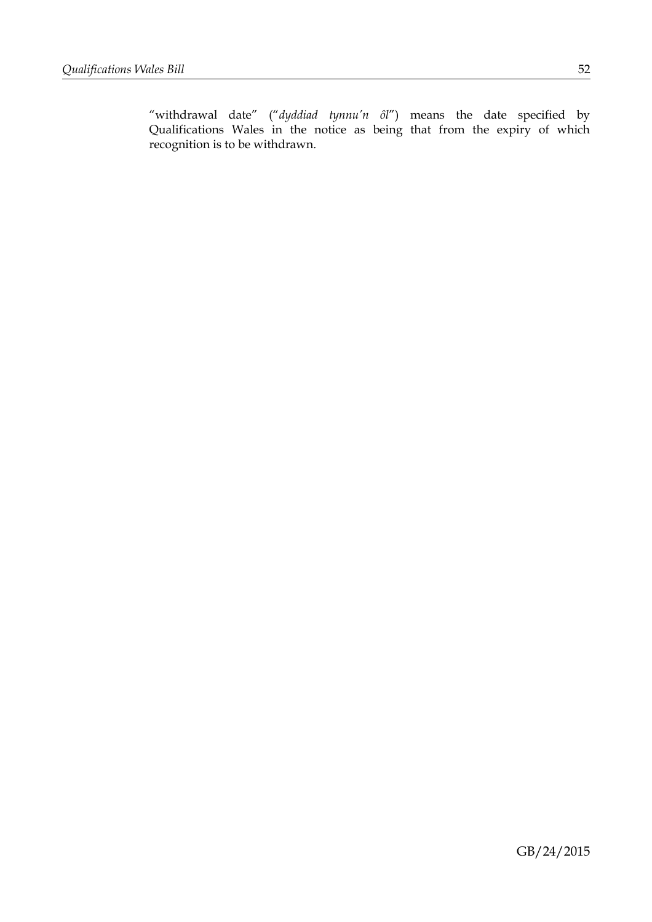"withdrawal date" ("*dyddiad tynnu'n ôl*") means the date specified by Qualifications Wales in the notice as being that from the expiry of which recognition is to be withdrawn.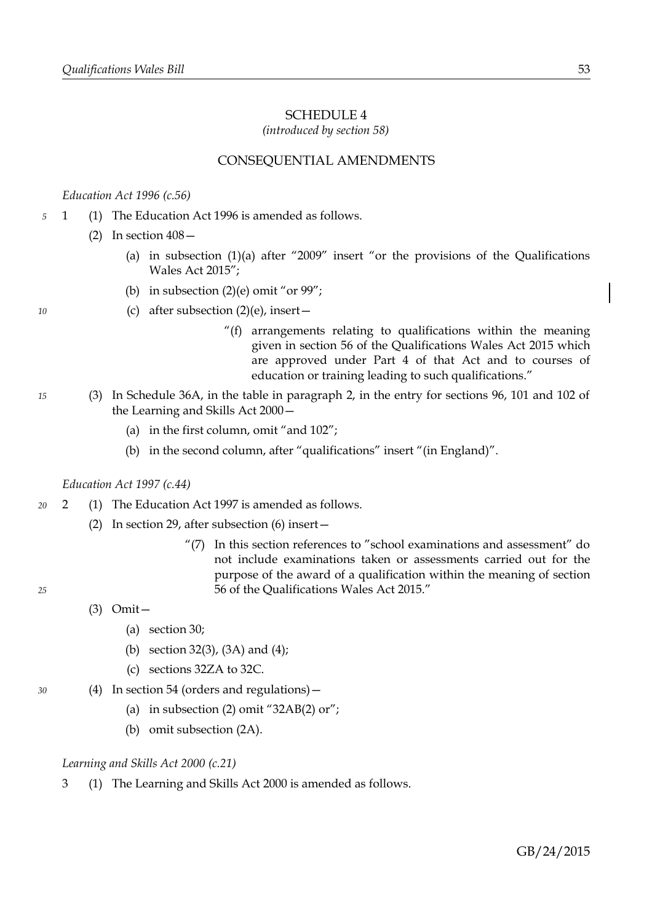# <span id="page-56-0"></span>SCHEDULE 4

*(introduced by section [58\)](#page-35-0)*

# CONSEQUENTIAL AMENDMENTS

### *Education Act 1996 (c.56)*

- 1 (1) The Education Act 1996 is amended as follows. *5*
	- $(2)$  In section  $408-$ 
		- (a) in subsection  $(1)(a)$  after "2009" insert "or the provisions of the Qualifications Wales Act 2015";
		- (b) in subsection  $(2)(e)$  omit "or 99";
		- (c) after subsection  $(2)(e)$ , insert
			- "(f) arrangements relating to qualifications within the meaning given in section [56](#page-33-0) of the Qualifications Wales Act 2015 which are approved under Part [4](#page-10-0) of that Act and to courses of education or training leading to such qualifications."
- (3) In Schedule 36A, in the table in paragraph 2, in the entry for sections 96, 101 and 102 of the Learning and Skills Act 2000—
	- (a) in the first column, omit "and 102";
	- (b) in the second column, after "qualifications" insert "(in England)".

### *Education Act 1997 (c.44)*

- 2 (1) The Education Act 1997 is amended as follows. *20*
	- (2) In section 29, after subsection (6) insert—
		- "(7) In this section references to "school examinations and assessment" do not include examinations taken or assessments carried out for the purpose of the award of a qualification within the meaning of section [56](#page-33-0) of the Qualifications Wales Act 2015."
	- (3) Omit—
		- (a) section 30;
		- (b) section 32(3), (3A) and (4);
		- (c) sections 32ZA to 32C.
	- (4) In section 54 (orders and regulations)—
		- (a) in subsection (2) omit " $32AB(2)$  or";
		- (b) omit subsection (2A).

### *Learning and Skills Act 2000 (c.21)*

3 (1) The Learning and Skills Act 2000 is amended as follows.

*10*

*15*

*25*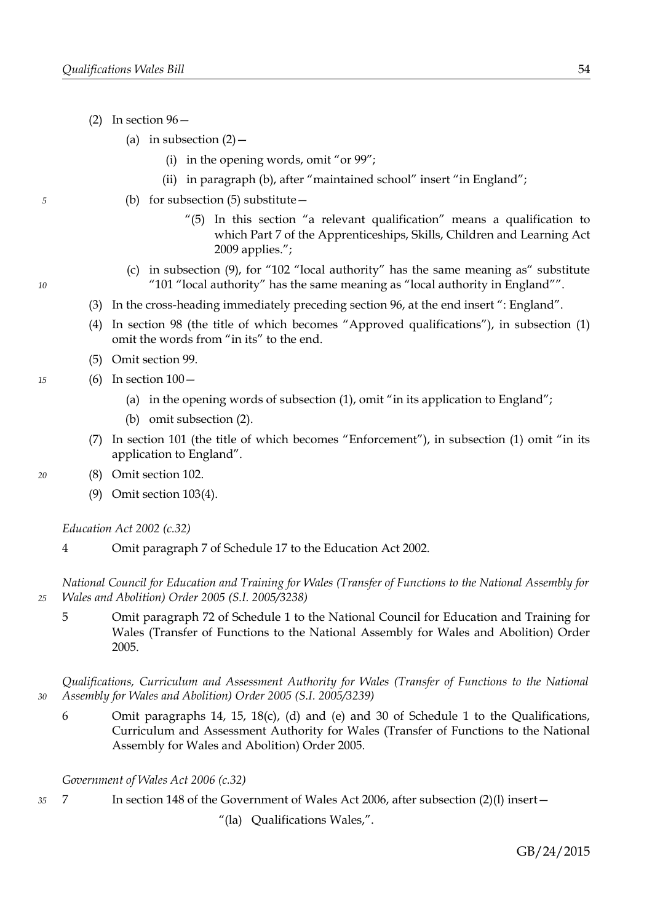- (2) In section  $96-$ 
	- (a) in subsection  $(2)$  -
		- (i) in the opening words, omit "or 99";
		- (ii) in paragraph (b), after "maintained school" insert "in England";
	- (b) for subsection  $(5)$  substitute  $-$ 
		- "(5) In this section "a relevant qualification" means a qualification to which Part 7 of the Apprenticeships, Skills, Children and Learning Act 2009 applies.";
	- (c) in subsection (9), for "102 "local authority" has the same meaning as" substitute "101 "local authority" has the same meaning as "local authority in England"".
- (3) In the cross-heading immediately preceding section 96, at the end insert ": England".
- (4) In section 98 (the title of which becomes "Approved qualifications"), in subsection (1) omit the words from "in its" to the end.
- (5) Omit section 99.
- (6) In section  $100-$ *15*
	- (a) in the opening words of subsection (1), omit "in its application to England";
	- (b) omit subsection (2).
	- (7) In section 101 (the title of which becomes "Enforcement"), in subsection (1) omit "in its application to England".
	- (8) Omit section 102.
		- (9) Omit section 103(4).

*Education Act 2002 (c.32)*

4 Omit paragraph 7 of Schedule 17 to the Education Act 2002.

*National Council for Education and Training for Wales (Transfer of Functions to the National Assembly for Wales and Abolition) Order 2005 (S.I. 2005/3238)*

5 Omit paragraph 72 of Schedule 1 to the National Council for Education and Training for Wales (Transfer of Functions to the National Assembly for Wales and Abolition) Order 2005.

*Qualifications, Curriculum and Assessment Authority for Wales (Transfer of Functions to the National Assembly for Wales and Abolition) Order 2005 (S.I. 2005/3239)*

6 Omit paragraphs 14, 15, 18(c), (d) and (e) and 30 of Schedule 1 to the Qualifications, Curriculum and Assessment Authority for Wales (Transfer of Functions to the National Assembly for Wales and Abolition) Order 2005.

*Government of Wales Act 2006 (c.32)*

7 In section 148 of the Government of Wales Act 2006, after subsection (2)(l) insert— *35*

"(la) Qualifications Wales,".

*5*

*20*

*25*